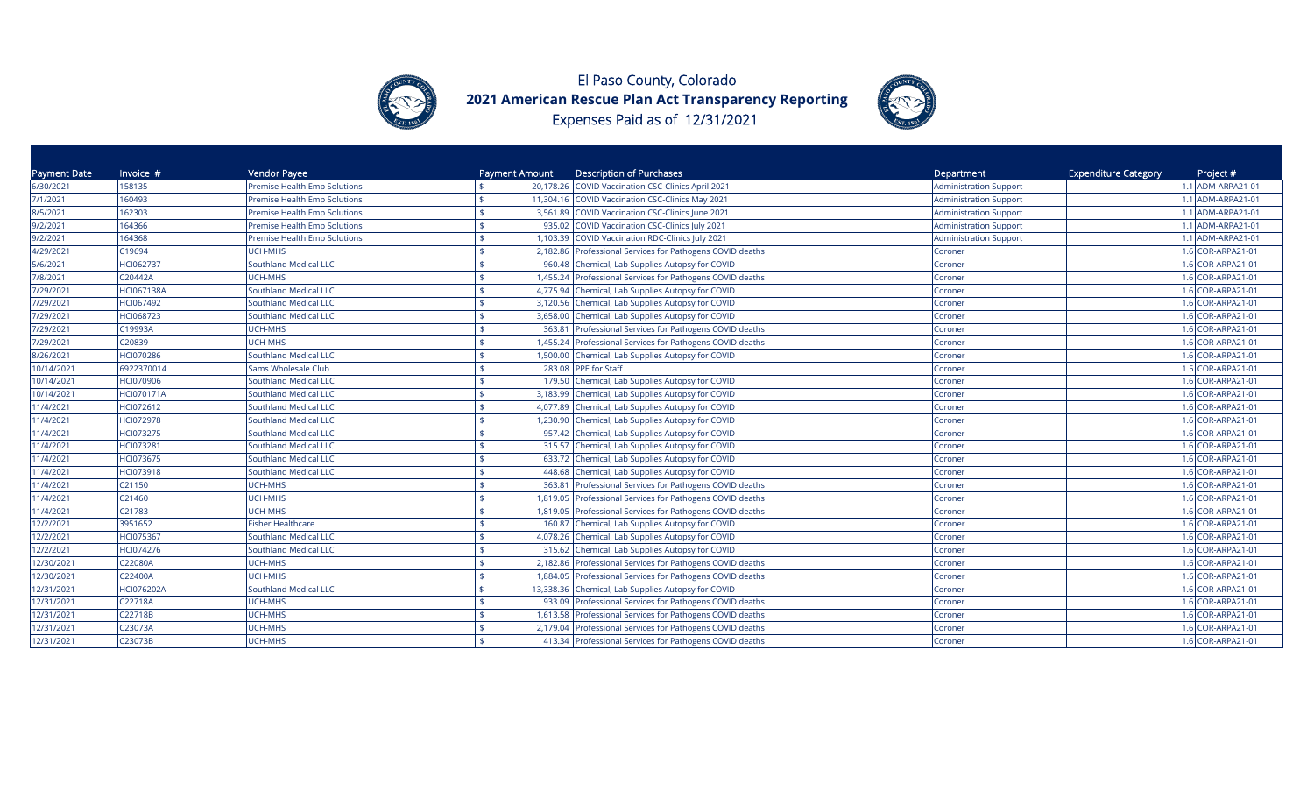



| Payment Date | Invoice #         | Vendor Payee                        | Payment Amount | <b>Description of Purchases</b>                           | Department                    | <b>Expenditure Category</b><br>Project # |
|--------------|-------------------|-------------------------------------|----------------|-----------------------------------------------------------|-------------------------------|------------------------------------------|
| 6/30/2021    | 158135            | <b>Premise Health Emp Solutions</b> |                | 20,178.26 COVID Vaccination CSC-Clinics April 2021        | <b>Administration Support</b> | 1.1 ADM-ARPA21-01                        |
| 7/1/2021     | 160493            | Premise Health Emp Solutions        |                | 11,304.16 COVID Vaccination CSC-Clinics May 2021          | Administration Support        | 1.1 ADM-ARPA21-01                        |
| 8/5/2021     | 162303            | Premise Health Emp Solutions        |                | 3,561.89 COVID Vaccination CSC-Clinics June 2021          | <b>Administration Support</b> | 1.1 ADM-ARPA21-01                        |
| 9/2/2021     | 164366            | Premise Health Emp Solutions        |                | 935.02 COVID Vaccination CSC-Clinics July 2021            | <b>Administration Support</b> | 1.1 ADM-ARPA21-01                        |
| 9/2/2021     | 164368            | Premise Health Emp Solutions        |                | 1,103.39 COVID Vaccination RDC-Clinics July 2021          | <b>Administration Support</b> | 1.1 ADM-ARPA21-01                        |
| 4/29/2021    | C19694            | UCH-MHS                             |                | 2,182.86 Professional Services for Pathogens COVID deaths | Coroner                       | 1.6 COR-ARPA21-01                        |
| 5/6/2021     | HCI062737         | Southland Medical LLC               |                | 960.48 Chemical, Lab Supplies Autopsy for COVID           | Coroner                       | 1.6 COR-ARPA21-01                        |
| 7/8/2021     | C20442A           | <b>UCH-MHS</b>                      |                | 1,455.24 Professional Services for Pathogens COVID deaths | Coroner                       | 1.6 COR-ARPA21-01                        |
| 7/29/2021    | <b>HCI067138A</b> | Southland Medical LLC               |                | 4,775.94 Chemical, Lab Supplies Autopsy for COVID         | Coroner                       | 1.6 COR-ARPA21-01                        |
| 7/29/2021    | HCI067492         | Southland Medical LLC               |                | 3,120.56 Chemical, Lab Supplies Autopsy for COVID         | Coroner                       | 1.6 COR-ARPA21-01                        |
| 7/29/2021    | HCI068723         | Southland Medical LLC               |                | 3,658.00 Chemical, Lab Supplies Autopsy for COVID         | Coroner                       | 1.6 COR-ARPA21-01                        |
| 7/29/2021    | C19993A           | UCH-MHS                             |                | 363.81 Professional Services for Pathogens COVID deaths   | Coroner                       | 1.6 COR-ARPA21-01                        |
| 7/29/2021    | C20839            | UCH-MHS                             |                | 1,455.24 Professional Services for Pathogens COVID deaths | Coroner                       | 1.6 COR-ARPA21-01                        |
| 8/26/2021    | <b>HCl070286</b>  | <b>Southland Medical LLC</b>        |                | 1,500.00 Chemical, Lab Supplies Autopsy for COVID         | Coroner                       | 1.6 COR-ARPA21-01                        |
| 10/14/2021   | 6922370014        | Sams Wholesale Club                 |                | 283.08 PPE for Staff                                      | Coroner                       | 1.5 COR-ARPA21-01                        |
| 10/14/2021   | <b>HCI070906</b>  | Southland Medical LLC               |                | 179.50 Chemical, Lab Supplies Autopsy for COVID           | Coroner                       | 1.6 COR-ARPA21-01                        |
| 10/14/2021   | <b>HCl070171A</b> | Southland Medical LLC               |                | 3,183.99 Chemical, Lab Supplies Autopsy for COVID         | Coroner                       | 1.6 COR-ARPA21-01                        |
| 11/4/2021    | HCI072612         | <b>Southland Medical LLC</b>        |                | 4,077.89 Chemical, Lab Supplies Autopsy for COVID         | Coroner                       | 1.6 COR-ARPA21-01                        |
| 11/4/2021    | <b>HCI072978</b>  | <b>Southland Medical LLC</b>        |                | 1,230.90 Chemical, Lab Supplies Autopsy for COVID         | Coroner                       | 1.6 COR-ARPA21-01                        |
| 11/4/2021    | HCI073275         | Southland Medical LLC               |                | 957.42 Chemical, Lab Supplies Autopsy for COVID           | Coroner                       | 1.6 COR-ARPA21-01                        |
| 11/4/2021    | HCI073281         | Southland Medical LLC               |                | 315.57 Chemical, Lab Supplies Autopsy for COVID           | Coroner                       | 1.6 COR-ARPA21-01                        |
| 11/4/2021    | HCI073675         | <b>Southland Medical LLC</b>        |                | 633.72 Chemical, Lab Supplies Autopsy for COVID           | Coroner                       | 1.6 COR-ARPA21-01                        |
| 11/4/2021    | HCl073918         | Southland Medical LLC               |                | 448.68 Chemical, Lab Supplies Autopsy for COVID           | Coroner                       | 1.6 COR-ARPA21-01                        |
| 11/4/2021    | C21150            | UCH-MHS                             |                | 363.81 Professional Services for Pathogens COVID deaths   | Coroner                       | 1.6 COR-ARPA21-01                        |
| 11/4/2021    | C21460            | UCH-MHS                             |                | 1,819.05 Professional Services for Pathogens COVID deaths | Coroner                       | 1.6 COR-ARPA21-01                        |
| 11/4/2021    | C21783            | UCH-MHS                             |                | 1,819.05 Professional Services for Pathogens COVID deaths | Coroner                       | 1.6 COR-ARPA21-01                        |
| 12/2/2021    | 3951652           | <b>Fisher Healthcare</b>            |                | 160.87 Chemical, Lab Supplies Autopsy for COVID           | Coroner                       | 1.6 COR-ARPA21-01                        |
| 12/2/2021    | HCl075367         | <b>Southland Medical LLC</b>        |                | 4,078.26 Chemical, Lab Supplies Autopsy for COVID         | Coroner                       | 1.6 COR-ARPA21-01                        |
| 12/2/2021    | HCl074276         | <b>Southland Medical LLC</b>        |                | 315.62 Chemical, Lab Supplies Autopsy for COVID           | Coroner                       | 1.6 COR-ARPA21-01                        |
| 12/30/2021   | C22080A           | UCH-MHS                             |                | 2,182.86 Professional Services for Pathogens COVID deaths | Coroner                       | 1.6 COR-ARPA21-01                        |
| 12/30/2021   | C22400A           | UCH-MHS                             |                | 1,884.05 Professional Services for Pathogens COVID deaths | Coroner                       | 1.6 COR-ARPA21-01                        |
| 12/31/2021   | <b>HCI076202A</b> | <b>Southland Medical LLC</b>        |                | 13,338.36 Chemical, Lab Supplies Autopsy for COVID        | Coroner                       | 1.6 COR-ARPA21-01                        |
| 12/31/2021   | C22718A           | UCH-MHS                             |                | 933.09 Professional Services for Pathogens COVID deaths   | Coroner                       | 1.6 COR-ARPA21-01                        |
| 12/31/2021   | C22718B           | <b>UCH-MHS</b>                      |                | 1,613.58 Professional Services for Pathogens COVID deaths | Coroner                       | 1.6 COR-ARPA21-01                        |
| 12/31/2021   | C23073A           | UCH-MHS                             |                | 2,179.04 Professional Services for Pathogens COVID deaths | Coroner                       | 1.6 COR-ARPA21-01                        |
| 12/31/2021   | C23073B           | <b>UCH-MHS</b>                      |                | 413.34 Professional Services for Pathogens COVID deaths   | Coroner                       | 1.6 COR-ARPA21-01                        |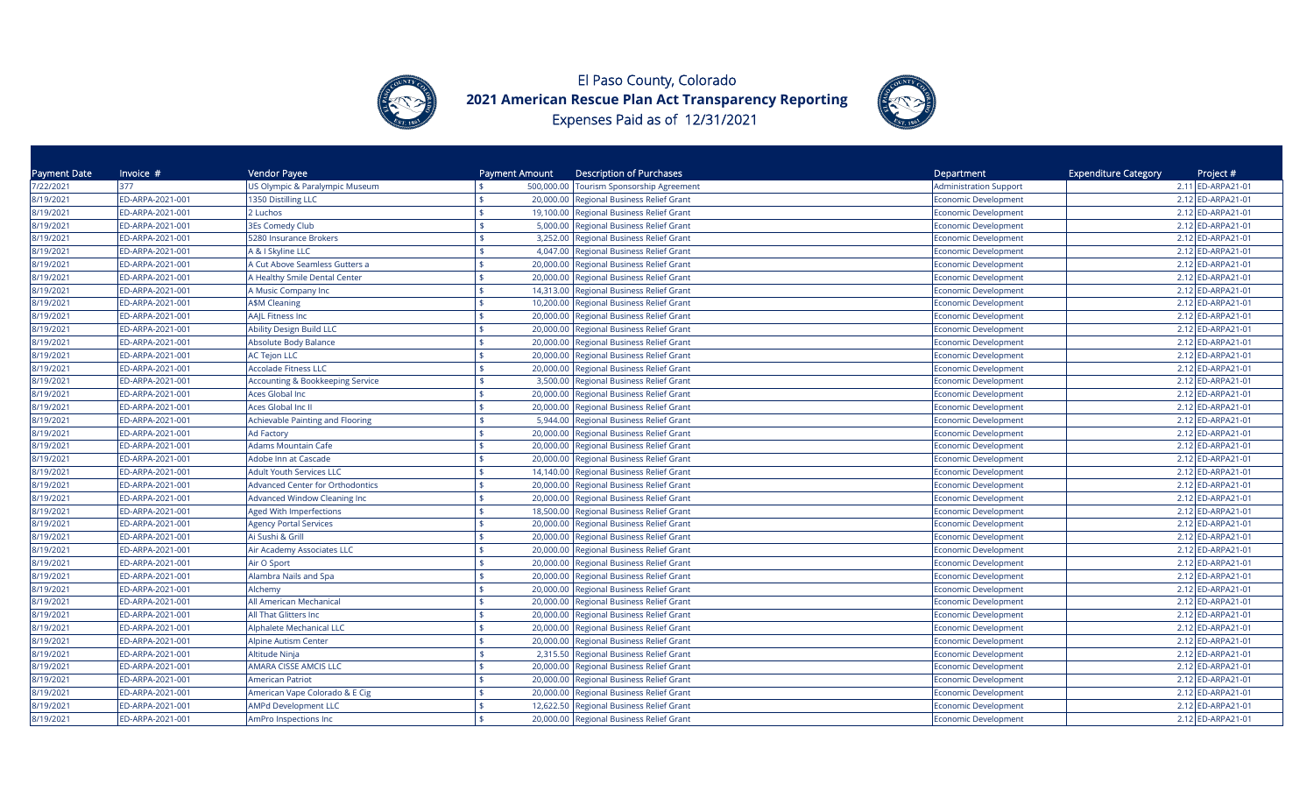



| Payment Date | Invoice $#$      | Vendor Payee                                | Payment Amount | <b>Description of Purchases</b>                    | Department                    | <b>Expenditure Category</b><br>Project # |
|--------------|------------------|---------------------------------------------|----------------|----------------------------------------------------|-------------------------------|------------------------------------------|
| 7/22/2021    | 377              | US Olympic & Paralympic Museum              |                | 500,000.00 Tourism Sponsorship Agreement           | <b>Administration Support</b> | 2.11 ED-ARPA21-01                        |
| 8/19/2021    | ED-ARPA-2021-001 | 1350 Distilling LLC                         | \$             | 20,000.00 Regional Business Relief Grant           | Economic Development          | 2.12 ED-ARPA21-01                        |
| 8/19/2021    | ED-ARPA-2021-001 | 2 Luchos                                    |                | 19,100.00 Regional Business Relief Grant           | Economic Development          | 2.12 ED-ARPA21-01                        |
| 8/19/2021    | ED-ARPA-2021-001 | <b>3Es Comedy Club</b>                      | \$             | 5,000.00<br>Regional Business Relief Grant         | Economic Development          | 2.12 ED-ARPA21-01                        |
| 8/19/2021    | ED-ARPA-2021-001 | 5280 Insurance Brokers                      |                | 3,252.00<br>Regional Business Relief Grant         | Economic Development          | 2.12 ED-ARPA21-01                        |
| 8/19/2021    | ED-ARPA-2021-001 | A & I Skyline LLC                           |                | 4,047.00<br>Regional Business Relief Grant         | <b>Economic Development</b>   | 2.12 ED-ARPA21-01                        |
| 8/19/2021    | ED-ARPA-2021-001 | A Cut Above Seamless Gutters a              |                | 20,000.00<br>Regional Business Relief Grant        | <b>Economic Development</b>   | 2.12 ED-ARPA21-01                        |
| 8/19/2021    | ED-ARPA-2021-001 | A Healthy Smile Dental Center               |                | 20,000.00<br>Regional Business Relief Grant        | <b>Economic Development</b>   | 2.12 ED-ARPA21-01                        |
| 8/19/2021    | ED-ARPA-2021-001 | A Music Company Inc                         |                | 14,313.00 Regional Business Relief Grant           | <b>Economic Development</b>   | 2.12 ED-ARPA21-01                        |
| 8/19/2021    | ED-ARPA-2021-001 | <b>A\$M Cleaning</b>                        |                | 10,200.00<br>Regional Business Relief Grant        | <b>Economic Development</b>   | 2.12 ED-ARPA21-01                        |
| 8/19/2021    | ED-ARPA-2021-001 | AAJL Fitness Inc                            |                | 20,000.00 Regional Business Relief Grant           | Economic Development          | 2.12 ED-ARPA21-01                        |
| 8/19/2021    | ED-ARPA-2021-001 | <b>Ability Design Build LLC</b>             |                | <b>Regional Business Relief Grant</b><br>20,000.00 | <b>Economic Development</b>   | 2.12 ED-ARPA21-01                        |
| 8/19/2021    | ED-ARPA-2021-001 | Absolute Body Balance                       |                | Regional Business Relief Grant<br>20,000.00        | <b>Economic Development</b>   | 2.12 ED-ARPA21-01                        |
| 8/19/2021    | ED-ARPA-2021-001 | <b>AC Tejon LLC</b>                         |                | 20,000.00<br><b>Regional Business Relief Grant</b> | Economic Development          | 2.12 ED-ARPA21-01                        |
| 8/19/2021    | ED-ARPA-2021-001 | <b>Accolade Fitness LLC</b>                 |                | 20,000.00 Regional Business Relief Grant           | <b>Economic Development</b>   | 2.12 ED-ARPA21-01                        |
| 8/19/2021    | ED-ARPA-2021-001 | <b>Accounting &amp; Bookkeeping Service</b> | \$             | 3,500.00 Regional Business Relief Grant            | Economic Development          | 2.12 ED-ARPA21-01                        |
| 8/19/2021    | ED-ARPA-2021-001 | <b>Aces Global Inc</b>                      |                | 20,000.00 Regional Business Relief Grant           | Economic Development          | 2.12 ED-ARPA21-01                        |
| 8/19/2021    | ED-ARPA-2021-001 | Aces Global Inc II                          |                | 20,000.00<br><b>Regional Business Relief Grant</b> | Economic Development          | 2.12 ED-ARPA21-01                        |
| 8/19/2021    | ED-ARPA-2021-001 | Achievable Painting and Flooring            |                | 5,944.00<br><b>Regional Business Relief Grant</b>  | Economic Development          | 2.12 ED-ARPA21-01                        |
| 8/19/2021    | ED-ARPA-2021-001 | <b>Ad Factory</b>                           |                | 20,000.00<br>Regional Business Relief Grant        | <b>Economic Development</b>   | 2.12 ED-ARPA21-01                        |
| 8/19/2021    | ED-ARPA-2021-001 | <b>Adams Mountain Cafe</b>                  |                | Regional Business Relief Grant<br>20,000.00        | <b>Economic Development</b>   | 2.12 ED-ARPA21-01                        |
| 8/19/2021    | ED-ARPA-2021-001 | Adobe Inn at Cascade                        |                | Regional Business Relief Grant<br>20,000.00        | <b>Economic Development</b>   | 2.12 ED-ARPA21-01                        |
| 8/19/2021    | ED-ARPA-2021-001 | <b>Adult Youth Services LLC</b>             | ¢              | 14,140.00 Regional Business Relief Grant           | <b>Economic Development</b>   | 2.12 ED-ARPA21-01                        |
| 8/19/2021    | ED-ARPA-2021-001 | <b>Advanced Center for Orthodontics</b>     |                | Regional Business Relief Grant<br>20,000.00        | <b>Economic Development</b>   | 2.12 ED-ARPA21-01                        |
| 8/19/2021    | ED-ARPA-2021-001 | Advanced Window Cleaning Inc                | \$             | 20,000.00 Regional Business Relief Grant           | <b>Economic Development</b>   | 2.12 ED-ARPA21-01                        |
| 8/19/2021    | ED-ARPA-2021-001 | <b>Aged With Imperfections</b>              |                | 18,500.00<br>Regional Business Relief Grant        | <b>Economic Development</b>   | 2.12 ED-ARPA21-01                        |
| 8/19/2021    | ED-ARPA-2021-001 | <b>Agency Portal Services</b>               |                | Regional Business Relief Grant<br>20,000.00        | <b>Economic Development</b>   | 2.12 ED-ARPA21-01                        |
| 8/19/2021    | ED-ARPA-2021-001 | Ai Sushi & Grill                            |                | 20,000.00<br>Regional Business Relief Grant        | Economic Development          | 2.12 ED-ARPA21-01                        |
| 8/19/2021    | ED-ARPA-2021-001 | Air Academy Associates LLC                  |                | 20,000.00<br>Regional Business Relief Grant        | <b>Economic Development</b>   | 2.12 ED-ARPA21-01                        |
| 8/19/2021    | ED-ARPA-2021-001 | Air O Sport                                 | \$             | 20,000.00<br>Regional Business Relief Grant        | <b>Economic Development</b>   | 2.12 ED-ARPA21-01                        |
| 8/19/2021    | ED-ARPA-2021-001 | Alambra Nails and Spa                       |                | 20,000.00 Regional Business Relief Grant           | <b>Economic Development</b>   | 2.12 ED-ARPA21-01                        |
| 8/19/2021    | ED-ARPA-2021-001 | Alchemy                                     |                | 20,000.00 Regional Business Relief Grant           | Economic Development          | 2.12 ED-ARPA21-01                        |
| 8/19/2021    | ED-ARPA-2021-001 | All American Mechanical                     |                | Regional Business Relief Grant<br>20,000.00        | Economic Development          | 2.12 ED-ARPA21-01                        |
| 8/19/2021    | ED-ARPA-2021-001 | All That Glitters Inc                       |                | 20,000.00<br><b>Regional Business Relief Grant</b> | Economic Development          | 2.12 ED-ARPA21-01                        |
| 8/19/2021    | ED-ARPA-2021-001 | Alphalete Mechanical LLC                    |                | <b>Regional Business Relief Grant</b><br>20,000.00 | Economic Development          | 2.12 ED-ARPA21-01                        |
| 8/19/2021    | ED-ARPA-2021-001 | Alpine Autism Center                        |                | <b>Regional Business Relief Grant</b><br>20,000.00 | Economic Development          | 2.12 ED-ARPA21-01                        |
| 8/19/2021    | ED-ARPA-2021-001 | Altitude Ninja                              | \$             | 2,315.50 Regional Business Relief Grant            | <b>Economic Development</b>   | 2.12 ED-ARPA21-01                        |
| 8/19/2021    | ED-ARPA-2021-001 | AMARA CISSE AMCIS LLC                       |                | 20,000.00 Regional Business Relief Grant           | <b>Economic Development</b>   | 2.12 ED-ARPA21-01                        |
| 8/19/2021    | ED-ARPA-2021-001 | <b>American Patriot</b>                     | ¢              | 20,000.00 Regional Business Relief Grant           | <b>Economic Development</b>   | 2.12 ED-ARPA21-01                        |
| 8/19/2021    | ED-ARPA-2021-001 | American Vape Colorado & E Cig              |                | 20,000.00<br>Regional Business Relief Grant        | <b>Economic Development</b>   | 2.12 ED-ARPA21-01                        |
| 8/19/2021    | ED-ARPA-2021-001 | <b>AMPd Development LLC</b>                 |                | 12,622.50<br>Regional Business Relief Grant        | <b>Economic Development</b>   | 2.12 ED-ARPA21-01                        |
| 8/19/2021    | ED-ARPA-2021-001 | AmPro Inspections Inc                       |                | 20,000.00 Regional Business Relief Grant           | <b>Economic Development</b>   | 2.12 ED-ARPA21-01                        |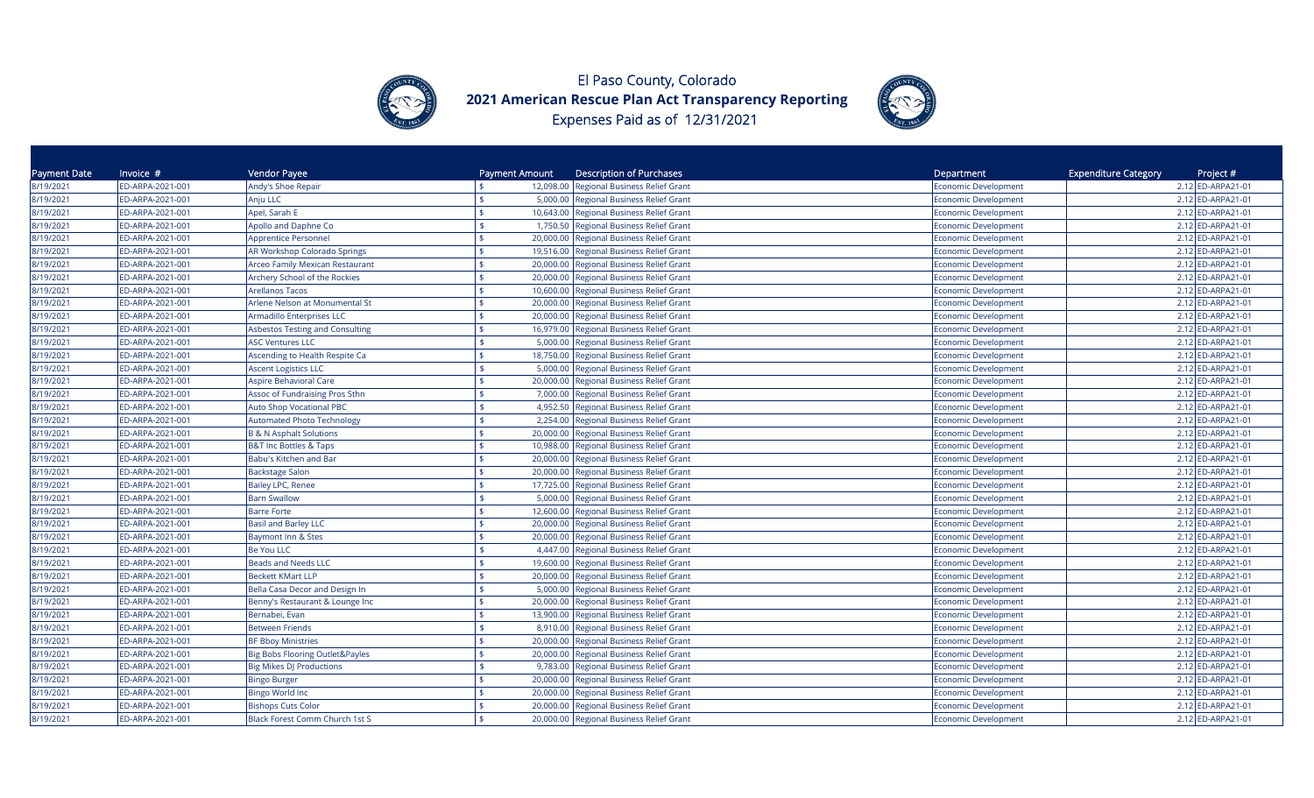



| Payment Date | Invoice #        | Vendor Payee                           | Payment Amount | <b>Description of Purchases</b>          | Department                  | <b>Expenditure Category</b><br>Project # |
|--------------|------------------|----------------------------------------|----------------|------------------------------------------|-----------------------------|------------------------------------------|
| 8/19/2021    | ED-ARPA-2021-001 | Andy's Shoe Repair                     | 12,098.00      | Regional Business Relief Grant           | Economic Development        | 2.12 ED-ARPA21-01                        |
| 8/19/2021    | ED-ARPA-2021-001 | Anju LLC                               |                | 5,000.00 Regional Business Relief Grant  | <b>Economic Development</b> | 2.12 ED-ARPA21-01                        |
| 8/19/2021    | ED-ARPA-2021-001 | Apel, Sarah E                          |                | 10,643.00 Regional Business Relief Grant | <b>Economic Development</b> | 2.12 ED-ARPA21-01                        |
| 8/19/2021    | ED-ARPA-2021-001 | Apollo and Daphne Co                   |                | 1,750.50 Regional Business Relief Grant  | Economic Development        | 2.12 ED-ARPA21-01                        |
| 8/19/2021    | ED-ARPA-2021-001 | <b>Apprentice Personnel</b>            | 20,000.00      | Regional Business Relief Grant           | <b>Economic Development</b> | 2.12 ED-ARPA21-01                        |
| 8/19/2021    | ED-ARPA-2021-001 | AR Workshop Colorado Springs           | 19,516.00      | Regional Business Relief Grant           | Economic Development        | 2.12 ED-ARPA21-01                        |
| 8/19/2021    | ED-ARPA-2021-001 | Arceo Family Mexican Restaurant        | 20,000.00      | Regional Business Relief Grant           | <b>Economic Development</b> | 2.12 ED-ARPA21-01                        |
| 8/19/2021    | ED-ARPA-2021-001 | Archery School of the Rockies          | 20,000.00      | Regional Business Relief Grant           | <b>Economic Development</b> | 2.12 ED-ARPA21-01                        |
| 8/19/2021    | ED-ARPA-2021-001 | <b>Arellanos Tacos</b>                 | 10,600.00      | Regional Business Relief Grant           | Economic Development        | 2.12 ED-ARPA21-01                        |
| 8/19/2021    | ED-ARPA-2021-001 | Arlene Nelson at Monumental St         | 20,000.00      | Regional Business Relief Grant           | Economic Development        | 2.12 ED-ARPA21-01                        |
| 8/19/2021    | ED-ARPA-2021-001 | Armadillo Enterprises LLC              | 20,000.00      | Regional Business Relief Grant           | <b>Economic Development</b> | 2.12 ED-ARPA21-01                        |
| 8/19/2021    | ED-ARPA-2021-001 | <b>Asbestos Testing and Consulting</b> |                | 16,979.00 Regional Business Relief Grant | <b>Economic Development</b> | 2.12 ED-ARPA21-01                        |
| 8/19/2021    | ED-ARPA-2021-001 | <b>ASC Ventures LLC</b>                | 5,000.00       | <b>Regional Business Relief Grant</b>    | Economic Development        | 2.12 ED-ARPA21-01                        |
| 8/19/2021    | ED-ARPA-2021-001 | Ascending to Health Respite Ca         | 18,750.00      | <b>Regional Business Relief Grant</b>    | Economic Development        | 2.12 ED-ARPA21-01                        |
| 8/19/2021    | ED-ARPA-2021-001 | <b>Ascent Logistics LLC</b>            | 5,000.00       | Regional Business Relief Grant           | Economic Development        | 2.12 ED-ARPA21-01                        |
| 8/19/2021    | ED-ARPA-2021-001 | <b>Aspire Behavioral Care</b>          | 20,000.00      | <b>Regional Business Relief Grant</b>    | Economic Development        | 2.12 ED-ARPA21-01                        |
| 8/19/2021    | ED-ARPA-2021-001 | Assoc of Fundraising Pros Sthn         | 7,000.00       | Regional Business Relief Grant           | Economic Development        | 2.12 ED-ARPA21-01                        |
| 8/19/2021    | ED-ARPA-2021-001 | <b>Auto Shop Vocational PBC</b>        |                | 4,952.50 Regional Business Relief Grant  | <b>Economic Development</b> | 2.12 ED-ARPA21-01                        |
| 8/19/2021    | ED-ARPA-2021-001 | <b>Automated Photo Technology</b>      | 2,254.00       | Regional Business Relief Grant           | <b>Economic Development</b> | 2.12 ED-ARPA21-01                        |
| 8/19/2021    | ED-ARPA-2021-001 | <b>B &amp; N Asphalt Solutions</b>     | 20,000.00      | Regional Business Relief Grant           | Economic Development        | 2.12 ED-ARPA21-01                        |
| 8/19/2021    | ED-ARPA-2021-001 | <b>B&amp;T Inc Bottles &amp; Taps</b>  | 10,988.00      | Regional Business Relief Grant           | Economic Development        | 2.12 ED-ARPA21-01                        |
| 8/19/2021    | ED-ARPA-2021-001 | Babu's Kitchen and Bar                 | 20,000.00      | Regional Business Relief Grant           | Economic Development        | 2.12 ED-ARPA21-01                        |
| 8/19/2021    | ED-ARPA-2021-001 | <b>Backstage Salon</b>                 | 20,000.00      | Regional Business Relief Grant           | Economic Development        | 2.12 ED-ARPA21-01                        |
| 8/19/2021    | ED-ARPA-2021-001 | <b>Bailey LPC, Renee</b>               |                | 17,725.00 Regional Business Relief Grant | Economic Development        | 2.12 ED-ARPA21-01                        |
| 8/19/2021    | ED-ARPA-2021-001 | <b>Barn Swallow</b>                    |                | 5,000.00 Regional Business Relief Grant  | Economic Development        | 2.12 ED-ARPA21-01                        |
| 8/19/2021    | ED-ARPA-2021-001 | <b>Barre Forte</b>                     |                | 12,600.00 Regional Business Relief Grant | <b>Economic Development</b> | 2.12 ED-ARPA21-01                        |
| 8/19/2021    | ED-ARPA-2021-001 | <b>Basil and Barley LLC</b>            | 20,000.00      | <b>Regional Business Relief Grant</b>    | <b>Economic Development</b> | 2.12 ED-ARPA21-01                        |
| 8/19/2021    | ED-ARPA-2021-001 | Baymont Inn & Stes                     | 20,000.00      | Regional Business Relief Grant           | <b>Economic Development</b> | 2.12 ED-ARPA21-01                        |
| 8/19/2021    | ED-ARPA-2021-001 | Be You LLC                             | 4,447.00       | Regional Business Relief Grant           | <b>Economic Development</b> | 2.12 ED-ARPA21-01                        |
| 8/19/2021    | ED-ARPA-2021-001 | <b>Beads and Needs LLC</b>             | 19,600.00      | Regional Business Relief Grant           | <b>Economic Development</b> | 2.12 ED-ARPA21-01                        |
| 8/19/2021    | ED-ARPA-2021-001 | <b>Beckett KMart LLP</b>               | 20,000.00      | <b>Regional Business Relief Grant</b>    | <b>Economic Development</b> | 2.12 ED-ARPA21-01                        |
| 8/19/2021    | ED-ARPA-2021-001 | Bella Casa Decor and Design In         | \$<br>5,000.00 | <b>Regional Business Relief Grant</b>    | Economic Development        | 2.12 ED-ARPA21-01                        |
| 8/19/2021    | ED-ARPA-2021-001 | Benny's Restaurant & Lounge Inc        | 20,000.00      | <b>Regional Business Relief Grant</b>    | Economic Development        | 2.12 ED-ARPA21-01                        |
| 8/19/2021    | ED-ARPA-2021-001 | Bernabei, Evan                         | 13,900.00      | <b>Regional Business Relief Grant</b>    | Economic Development        | 2.12 ED-ARPA21-01                        |
| 8/19/2021    | ED-ARPA-2021-001 | <b>Between Friends</b>                 | 8,910.00       | <b>Regional Business Relief Grant</b>    | Economic Development        | 2.12 ED-ARPA21-01                        |
| 8/19/2021    | ED-ARPA-2021-001 | <b>BF Bboy Ministries</b>              | 20,000.00      | Regional Business Relief Grant           | Economic Development        | 2.12 ED-ARPA21-01                        |
| 8/19/2021    | ED-ARPA-2021-001 | Big Bobs Flooring Outlet&Payles        | 20,000.00      | Regional Business Relief Grant           | Economic Development        | 2.12 ED-ARPA21-01                        |
| 8/19/2021    | ED-ARPA-2021-001 | <b>Big Mikes DJ Productions</b>        | 9,783.00       | Regional Business Relief Grant           | Economic Development        | 2.12 ED-ARPA21-01                        |
| 8/19/2021    | ED-ARPA-2021-001 | <b>Bingo Burger</b>                    | 20,000.00      | Regional Business Relief Grant           | <b>Economic Development</b> | 2.12 ED-ARPA21-01                        |
| 8/19/2021    | ED-ARPA-2021-001 | <b>Bingo World Inc</b>                 |                | 20,000.00 Regional Business Relief Grant | <b>Economic Development</b> | 2.12 ED-ARPA21-01                        |
| 8/19/2021    | ED-ARPA-2021-001 | <b>Bishops Cuts Color</b>              | 20,000.00      | Regional Business Relief Grant           | Economic Development        | 2.12 ED-ARPA21-01                        |
| 8/19/2021    | ED-ARPA-2021-001 | Black Forest Comm Church 1st S         |                | 20,000.00 Regional Business Relief Grant | <b>Economic Development</b> | 2.12 ED-ARPA21-01                        |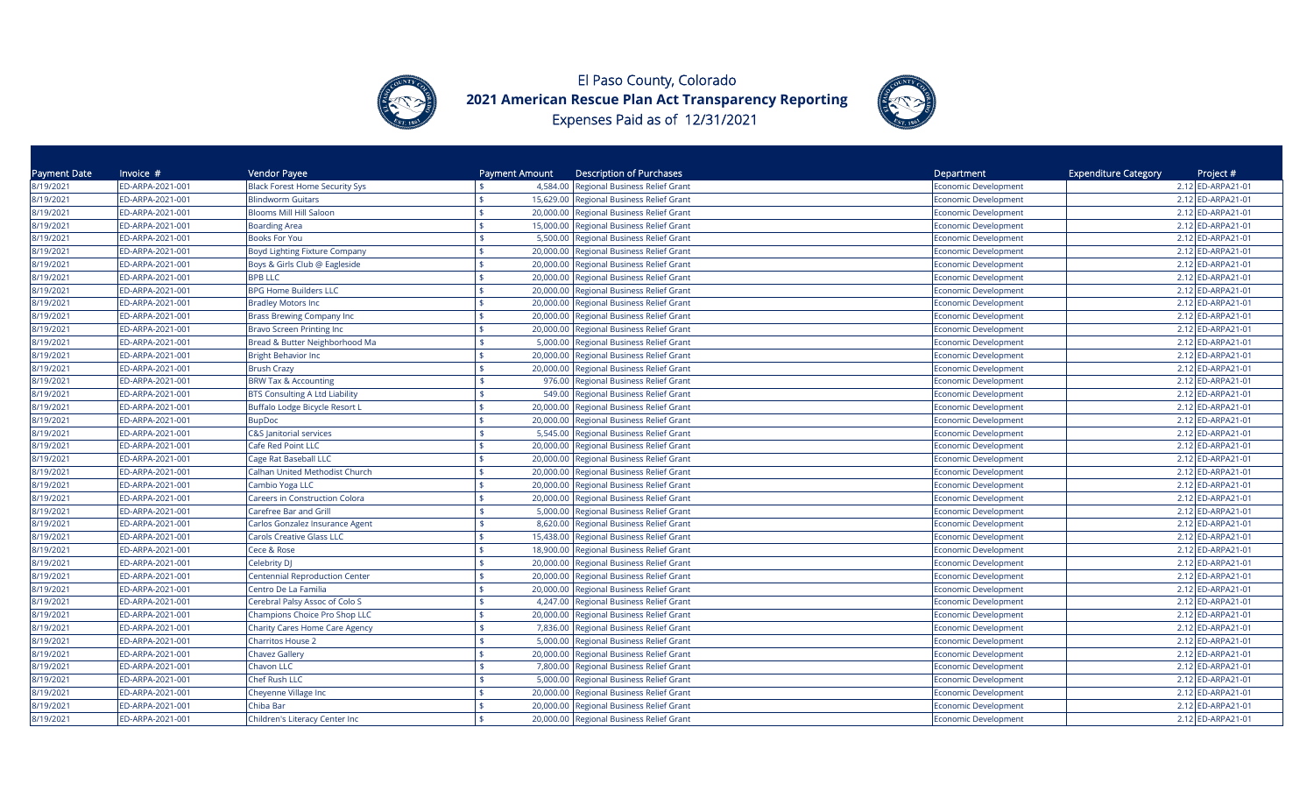



| Payment Date | Invoice $#$      | Vendor Payee                          | Payment Amount  | <b>Description of Purchases</b>          | Department                  | <b>Expenditure Category</b><br>Project # |
|--------------|------------------|---------------------------------------|-----------------|------------------------------------------|-----------------------------|------------------------------------------|
| 8/19/2021    | ED-ARPA-2021-001 | <b>Black Forest Home Security Sys</b> |                 | 4,584.00 Regional Business Relief Grant  | Economic Development        | 2.12 ED-ARPA21-01                        |
| 8/19/2021    | ED-ARPA-2021-001 | <b>Blindworm Guitars</b>              | \$              | 15,629.00 Regional Business Relief Grant | Economic Development        | 2.12 ED-ARPA21-01                        |
| 8/19/2021    | ED-ARPA-2021-001 | <b>Blooms Mill Hill Saloon</b>        | \$              | 20,000.00 Regional Business Relief Grant | Economic Development        | 2.12 ED-ARPA21-01                        |
| 8/19/2021    | ED-ARPA-2021-001 | <b>Boarding Area</b>                  | 15,000.00       | Regional Business Relief Grant           | Economic Development        | 2.12 ED-ARPA21-01                        |
| 8/19/2021    | ED-ARPA-2021-001 | Books For You                         | 5,500.00        | Regional Business Relief Grant           | Economic Development        | 2.12 ED-ARPA21-01                        |
| 8/19/2021    | ED-ARPA-2021-001 | Boyd Lighting Fixture Company         | 20,000.00       | Regional Business Relief Grant           | <b>Economic Development</b> | 2.12 ED-ARPA21-01                        |
| 8/19/2021    | ED-ARPA-2021-001 | Boys & Girls Club @ Eagleside         | 20,000.00       | Regional Business Relief Grant           | <b>Economic Development</b> | 2.12 ED-ARPA21-01                        |
| 8/19/2021    | ED-ARPA-2021-001 | <b>BPB LLC</b>                        | 20,000.00       | Regional Business Relief Grant           | <b>Economic Development</b> | 2.12 ED-ARPA21-01                        |
| 8/19/2021    | ED-ARPA-2021-001 | <b>BPG Home Builders LLC</b>          | \$<br>20,000.00 | Regional Business Relief Grant           | <b>Economic Development</b> | 2.12 ED-ARPA21-01                        |
| 8/19/2021    | ED-ARPA-2021-001 | <b>Bradley Motors Inc</b>             |                 | 20,000.00 Regional Business Relief Grant | <b>Economic Development</b> | 2.12 ED-ARPA21-01                        |
| 8/19/2021    | ED-ARPA-2021-001 | <b>Brass Brewing Company Inc</b>      | 20,000.00       | Regional Business Relief Grant           | Economic Development        | 2.12 ED-ARPA21-01                        |
| 8/19/2021    | ED-ARPA-2021-001 | <b>Bravo Screen Printing Inc</b>      | 20,000.00       | <b>Regional Business Relief Grant</b>    | <b>Economic Development</b> | 2.12 ED-ARPA21-01                        |
| 8/19/2021    | ED-ARPA-2021-001 | Bread & Butter Neighborhood Ma        | 5,000.00        | <b>Regional Business Relief Grant</b>    | Economic Development        | 2.12 ED-ARPA21-01                        |
| 8/19/2021    | ED-ARPA-2021-001 | <b>Bright Behavior Inc</b>            | 20,000.00       | <b>Regional Business Relief Grant</b>    | <b>Economic Development</b> | 2.12 ED-ARPA21-01                        |
| 8/19/2021    | ED-ARPA-2021-001 | <b>Brush Crazy</b>                    | 20,000.00       | Regional Business Relief Grant           | <b>Economic Development</b> | 2.12 ED-ARPA21-01                        |
| 8/19/2021    | ED-ARPA-2021-001 | <b>BRW Tax &amp; Accounting</b>       |                 | 976.00 Regional Business Relief Grant    | Economic Development        | 2.12 ED-ARPA21-01                        |
| 8/19/2021    | ED-ARPA-2021-001 | <b>BTS Consulting A Ltd Liability</b> | 549.00          | Regional Business Relief Grant           | <b>Economic Development</b> | 2.12 ED-ARPA21-01                        |
| 8/19/2021    | ED-ARPA-2021-001 | Buffalo Lodge Bicycle Resort L        | 20,000.00       | Regional Business Relief Grant           | Economic Development        | 2.12 ED-ARPA21-01                        |
| 8/19/2021    | ED-ARPA-2021-001 | <b>BupDoc</b>                         |                 | 20,000.00 Regional Business Relief Grant | Economic Development        | 2.12 ED-ARPA21-01                        |
| 8/19/2021    | ED-ARPA-2021-001 | C&S Janitorial services               | 5,545.00        | <b>Regional Business Relief Grant</b>    | <b>Economic Development</b> | 2.12 ED-ARPA21-01                        |
| 8/19/2021    | ED-ARPA-2021-001 | Cafe Red Point LLC                    | 20,000.00       | Regional Business Relief Grant           | <b>Economic Development</b> | 2.12 ED-ARPA21-01                        |
| 8/19/2021    | ED-ARPA-2021-001 | Cage Rat Baseball LLC                 | 20,000.00       | Regional Business Relief Grant           | <b>Economic Development</b> | 2.12 ED-ARPA21-01                        |
| 8/19/2021    | ED-ARPA-2021-001 | Calhan United Methodist Church        | 20,000.00<br>\$ | Regional Business Relief Grant           | <b>Economic Development</b> | 2.12 ED-ARPA21-01                        |
| 8/19/2021    | ED-ARPA-2021-001 | Cambio Yoga LLC                       | 20,000.00       | Regional Business Relief Grant           | <b>Economic Development</b> | 2.12 ED-ARPA21-01                        |
| 8/19/2021    | ED-ARPA-2021-001 | <b>Careers in Construction Colora</b> | \$              | 20,000.00 Regional Business Relief Grant | <b>Economic Development</b> | 2.12 ED-ARPA21-01                        |
| 8/19/2021    | ED-ARPA-2021-001 | <b>Carefree Bar and Grill</b>         | 5,000.00        | Regional Business Relief Grant           | <b>Economic Development</b> | 2.12 ED-ARPA21-01                        |
| 8/19/2021    | ED-ARPA-2021-001 | Carlos Gonzalez Insurance Agent       | 8,620.00        | Regional Business Relief Grant           | <b>Economic Development</b> | 2.12 ED-ARPA21-01                        |
| 8/19/2021    | ED-ARPA-2021-001 | <b>Carols Creative Glass LLC</b>      | 15,438.00       | Regional Business Relief Grant           | <b>Economic Development</b> | 2.12 ED-ARPA21-01                        |
| 8/19/2021    | ED-ARPA-2021-001 | Cece & Rose                           | 18,900.00       | <b>Regional Business Relief Grant</b>    | Economic Development        | 2.12 ED-ARPA21-01                        |
| 8/19/2021    | ED-ARPA-2021-001 | Celebrity DJ                          | ፍ<br>20,000.00  | Regional Business Relief Grant           | <b>Economic Development</b> | 2.12 ED-ARPA21-01                        |
| 8/19/2021    | ED-ARPA-2021-001 | <b>Centennial Reproduction Center</b> | 20,000.00       | Regional Business Relief Grant           | <b>Economic Development</b> | 2.12 ED-ARPA21-01                        |
| 8/19/2021    | ED-ARPA-2021-001 | Centro De La Familia                  | \$              | 20,000.00 Regional Business Relief Grant | Economic Development        | 2.12 ED-ARPA21-01                        |
| 8/19/2021    | ED-ARPA-2021-001 | Cerebral Palsy Assoc of Colo S        | 4,247.00        | <b>Regional Business Relief Grant</b>    | Economic Development        | 2.12 ED-ARPA21-01                        |
| 8/19/2021    | ED-ARPA-2021-001 | <b>Champions Choice Pro Shop LLC</b>  | 20,000.00       | <b>Regional Business Relief Grant</b>    | Economic Development        | 2.12 ED-ARPA21-01                        |
| 8/19/2021    | ED-ARPA-2021-001 | <b>Charity Cares Home Care Agency</b> |                 | 7,836.00 Regional Business Relief Grant  | <b>Economic Development</b> | 2.12 ED-ARPA21-01                        |
| 8/19/2021    | ED-ARPA-2021-001 | <b>Charritos House 2</b>              | \$<br>5,000.00  | <b>Regional Business Relief Grant</b>    | <b>Economic Development</b> | 2.12 ED-ARPA21-01                        |
| 8/19/2021    | ED-ARPA-2021-001 | <b>Chavez Gallery</b>                 | 20,000.00       | Regional Business Relief Grant           | <b>Economic Development</b> | 2.12 ED-ARPA21-01                        |
| 8/19/2021    | ED-ARPA-2021-001 | Chavon LLC                            | 7,800.00        | Regional Business Relief Grant           | <b>Economic Development</b> | 2.12 ED-ARPA21-01                        |
| 8/19/2021    | ED-ARPA-2021-001 | Chef Rush LLC                         | 5,000.00        | Regional Business Relief Grant           | <b>Economic Development</b> | 2.12 ED-ARPA21-01                        |
| 8/19/2021    | ED-ARPA-2021-001 | Cheyenne Village Inc                  | 20,000.00       | Regional Business Relief Grant           | <b>Economic Development</b> | 2.12 ED-ARPA21-01                        |
| 8/19/2021    | ED-ARPA-2021-001 | Chiba Bar                             | 20,000.00       | <b>Regional Business Relief Grant</b>    | <b>Economic Development</b> | 2.12 ED-ARPA21-01                        |
| 8/19/2021    | ED-ARPA-2021-001 | Children's Literacy Center Inc        |                 | 20,000.00 Regional Business Relief Grant | <b>Economic Development</b> | 2.12 ED-ARPA21-01                        |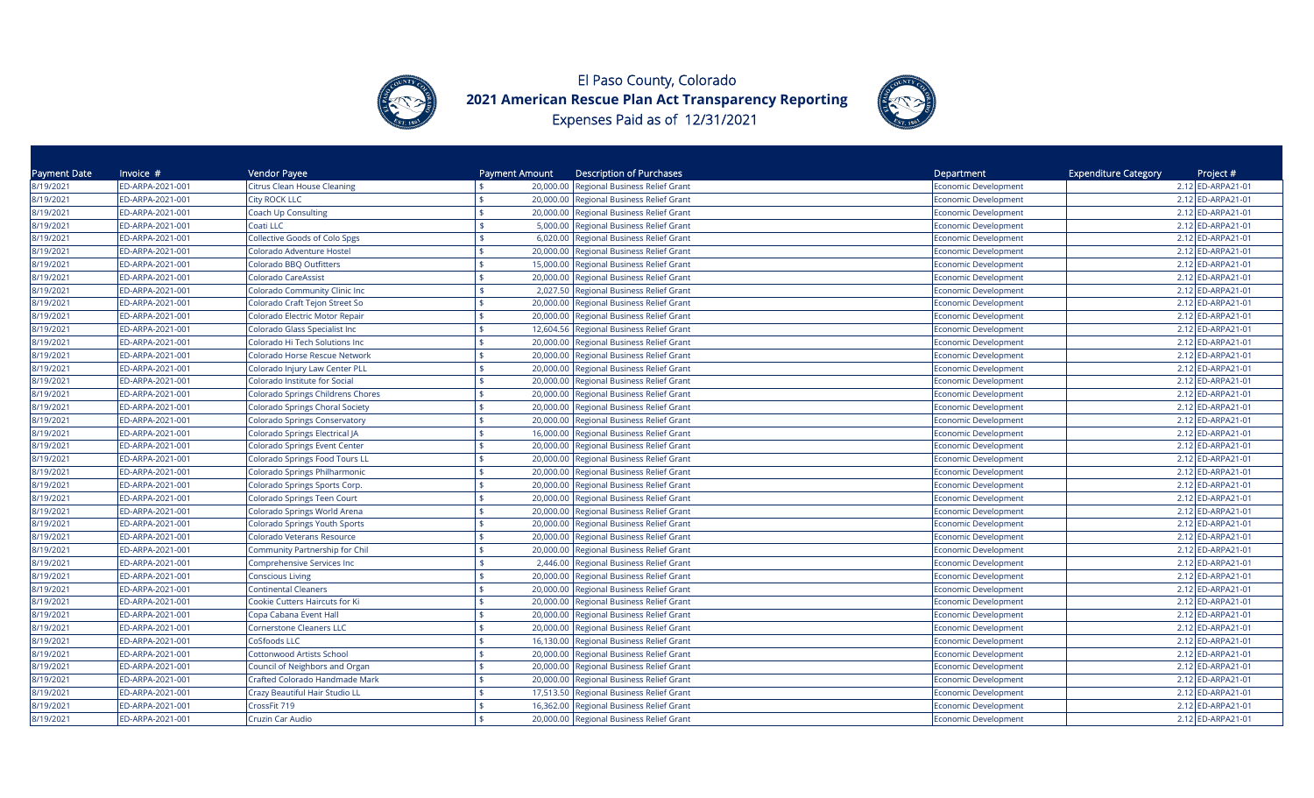



| Payment Date | Invoice $#$      | Vendor Payee                         | Payment Amount  | Description of Purchases                 | Department                  | <b>Expenditure Category</b><br>Project # |
|--------------|------------------|--------------------------------------|-----------------|------------------------------------------|-----------------------------|------------------------------------------|
| 8/19/2021    | ED-ARPA-2021-001 | <b>Citrus Clean House Cleaning</b>   |                 | 20,000.00 Regional Business Relief Grant | Economic Development        | 2.12 ED-ARPA21-01                        |
| 8/19/2021    | ED-ARPA-2021-001 | <b>City ROCK LLC</b>                 |                 | 20,000.00 Regional Business Relief Grant | <b>Economic Development</b> | 2.12 ED-ARPA21-01                        |
| 8/19/2021    | ED-ARPA-2021-001 | Coach Up Consulting                  |                 | 20,000.00 Regional Business Relief Grant | Economic Development        | 2.12 ED-ARPA21-01                        |
| 8/19/2021    | ED-ARPA-2021-001 | Coati LLC                            |                 | 5,000.00 Regional Business Relief Grant  | Economic Development        | 2.12 ED-ARPA21-01                        |
| 8/19/2021    | ED-ARPA-2021-001 | <b>Collective Goods of Colo Spgs</b> | 6,020.00        | Regional Business Relief Grant           | <b>Economic Development</b> | 2.12 ED-ARPA21-01                        |
| 8/19/2021    | ED-ARPA-2021-001 | Colorado Adventure Hostel            | 20,000.00       | Regional Business Relief Grant           | Economic Development        | 2.12 ED-ARPA21-01                        |
| 8/19/2021    | ED-ARPA-2021-001 | Colorado BBQ Outfitters              | 15,000.00       | <b>Regional Business Relief Grant</b>    | Economic Development        | 2.12 ED-ARPA21-01                        |
| 8/19/2021    | ED-ARPA-2021-001 | Colorado CareAssist                  |                 | 20,000.00 Regional Business Relief Grant | <b>Economic Development</b> | 2.12 ED-ARPA21-01                        |
| 8/19/2021    | ED-ARPA-2021-001 | Colorado Community Clinic Inc        |                 | 2,027.50 Regional Business Relief Grant  | Economic Development        | 2.12 ED-ARPA21-01                        |
| 8/19/2021    | ED-ARPA-2021-001 | Colorado Craft Tejon Street So       | 20,000.00       | Regional Business Relief Grant           | <b>Economic Development</b> | 2.12 ED-ARPA21-01                        |
| 8/19/2021    | ED-ARPA-2021-001 | Colorado Electric Motor Repair       | 20,000.00       | Regional Business Relief Grant           | <b>Economic Development</b> | 2.12 ED-ARPA21-01                        |
| 8/19/2021    | ED-ARPA-2021-001 | Colorado Glass Specialist Inc        | 12,604.56       | Regional Business Relief Grant           | <b>Economic Development</b> | 2.12 ED-ARPA21-01                        |
| 8/19/2021    | ED-ARPA-2021-001 | Colorado Hi Tech Solutions Inc       | 20,000.00       | Regional Business Relief Grant           | <b>Economic Development</b> | 2.12 ED-ARPA21-01                        |
| 8/19/2021    | ED-ARPA-2021-001 | Colorado Horse Rescue Network        | 20,000.00       | Regional Business Relief Grant           | <b>Economic Development</b> | 2.12 ED-ARPA21-01                        |
| 8/19/2021    | ED-ARPA-2021-001 | Colorado Injury Law Center PLL       |                 | 20,000.00 Regional Business Relief Grant | <b>Economic Development</b> | 2.12 ED-ARPA21-01                        |
| 8/19/2021    | ED-ARPA-2021-001 | Colorado Institute for Social        | \$              | 20,000.00 Regional Business Relief Grant | Economic Development        | 2.12 ED-ARPA21-01                        |
| 8/19/2021    | ED-ARPA-2021-001 | Colorado Springs Childrens Chores    |                 | 20,000.00 Regional Business Relief Grant | Economic Development        | 2.12 ED-ARPA21-01                        |
| 8/19/2021    | ED-ARPA-2021-001 | Colorado Springs Choral Society      |                 | 20,000.00 Regional Business Relief Grant | Economic Development        | 2.12 ED-ARPA21-01                        |
| 8/19/2021    | ED-ARPA-2021-001 | Colorado Springs Conservatory        | 20,000.00       | <b>Regional Business Relief Grant</b>    | <b>Economic Development</b> | 2.12 ED-ARPA21-01                        |
| 8/19/2021    | ED-ARPA-2021-001 | Colorado Springs Electrical JA       | 16,000.00       | Regional Business Relief Grant           | Economic Development        | 2.12 ED-ARPA21-01                        |
| 8/19/2021    | ED-ARPA-2021-001 | Colorado Springs Event Center        | 20,000.00       | Regional Business Relief Grant           | Economic Development        | 2.12 ED-ARPA21-01                        |
| 8/19/2021    | ED-ARPA-2021-001 | Colorado Springs Food Tours LL       | 20,000.00       | Regional Business Relief Grant           | <b>Economic Development</b> | 2.12 ED-ARPA21-01                        |
| 8/19/2021    | ED-ARPA-2021-001 | Colorado Springs Philharmonic        | \$              | 20,000.00 Regional Business Relief Grant | <b>Economic Development</b> | 2.12 ED-ARPA21-01                        |
| 8/19/2021    | ED-ARPA-2021-001 | Colorado Springs Sports Corp.        | 20,000.00       | Regional Business Relief Grant           | <b>Economic Development</b> | 2.12 ED-ARPA21-01                        |
| 8/19/2021    | ED-ARPA-2021-001 | Colorado Springs Teen Court          |                 | 20,000.00 Regional Business Relief Grant | Economic Development        | 2.12 ED-ARPA21-01                        |
| 8/19/2021    | ED-ARPA-2021-001 | Colorado Springs World Arena         | 20,000.00       | Regional Business Relief Grant           | <b>Economic Development</b> | 2.12 ED-ARPA21-01                        |
| 8/19/2021    | ED-ARPA-2021-001 | <b>Colorado Springs Youth Sports</b> | 20,000.00       | Regional Business Relief Grant           | <b>Economic Development</b> | 2.12 ED-ARPA21-01                        |
| 8/19/2021    | ED-ARPA-2021-001 | Colorado Veterans Resource           | 20,000.00       | Regional Business Relief Grant           | <b>Economic Development</b> | 2.12 ED-ARPA21-01                        |
| 8/19/2021    | ED-ARPA-2021-001 | Community Partnership for Chil       |                 | 20,000.00 Regional Business Relief Grant | <b>Economic Development</b> | 2.12 ED-ARPA21-01                        |
| 8/19/2021    | ED-ARPA-2021-001 | Comprehensive Services Inc           | \$              | 2,446.00 Regional Business Relief Grant  | <b>Economic Development</b> | 2.12 ED-ARPA21-01                        |
| 8/19/2021    | ED-ARPA-2021-001 | <b>Conscious Living</b>              |                 | 20,000.00 Regional Business Relief Grant | <b>Economic Development</b> | 2.12 ED-ARPA21-01                        |
| 8/19/2021    | ED-ARPA-2021-001 | <b>Continental Cleaners</b>          | 20,000.00       | Regional Business Relief Grant           | Economic Development        | 2.12 ED-ARPA21-01                        |
| 8/19/2021    | ED-ARPA-2021-001 | Cookie Cutters Haircuts for Ki       | 20,000.00       | <b>Regional Business Relief Grant</b>    | Economic Development        | 2.12 ED-ARPA21-01                        |
| 8/19/2021    | ED-ARPA-2021-001 | Copa Cabana Event Hall               | 20,000.00       | <b>Regional Business Relief Grant</b>    | Economic Development        | 2.12 ED-ARPA21-01                        |
| 8/19/2021    | ED-ARPA-2021-001 | <b>Cornerstone Cleaners LLC</b>      | 20,000.00       | <b>Regional Business Relief Grant</b>    | Economic Development        | 2.12 ED-ARPA21-01                        |
| 8/19/2021    | ED-ARPA-2021-001 | CoSfoods LLC                         | 16,130.00       | Regional Business Relief Grant           | Economic Development        | 2.12 ED-ARPA21-01                        |
| 8/19/2021    | ED-ARPA-2021-001 | <b>Cottonwood Artists School</b>     | \$<br>20,000.00 | Regional Business Relief Grant           | <b>Economic Development</b> | 2.12 ED-ARPA21-01                        |
| 8/19/2021    | ED-ARPA-2021-001 | Council of Neighbors and Organ       | 20,000.00       | Regional Business Relief Grant           | <b>Economic Development</b> | 2.12 ED-ARPA21-01                        |
| 8/19/2021    | ED-ARPA-2021-001 | Crafted Colorado Handmade Mark       | 20,000.00       | Regional Business Relief Grant           | <b>Economic Development</b> | 2.12 ED-ARPA21-01                        |
| 8/19/2021    | ED-ARPA-2021-001 | Crazy Beautiful Hair Studio LL       | 17,513.50       | Regional Business Relief Grant           | <b>Economic Development</b> | 2.12 ED-ARPA21-01                        |
| 8/19/2021    | ED-ARPA-2021-001 | CrossFit 719                         | 16,362.00       | Regional Business Relief Grant           | <b>Economic Development</b> | 2.12 ED-ARPA21-01                        |
| 8/19/2021    | ED-ARPA-2021-001 | Cruzin Car Audio                     |                 | 20,000.00 Regional Business Relief Grant | <b>Economic Development</b> | 2.12 ED-ARPA21-01                        |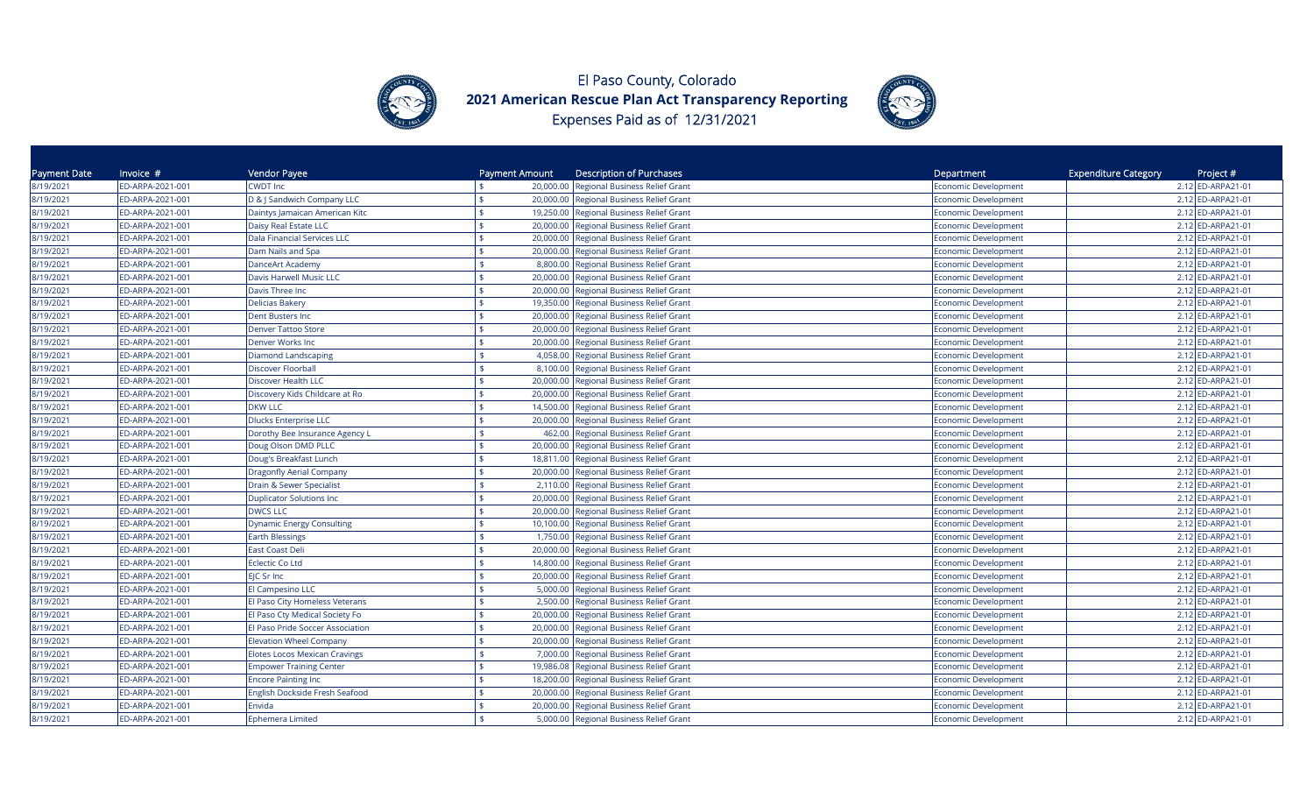



| Payment Date | Invoice $#$      | Vendor Payee                         | Payment Amount  | <b>Description of Purchases</b>          | Department                  | <b>Expenditure Category</b><br>Project # |
|--------------|------------------|--------------------------------------|-----------------|------------------------------------------|-----------------------------|------------------------------------------|
| 8/19/2021    | ED-ARPA-2021-001 | <b>CWDT Inc</b>                      |                 | 20,000.00 Regional Business Relief Grant | Economic Development        | 2.12 ED-ARPA21-01                        |
| 8/19/2021    | ED-ARPA-2021-001 | D & J Sandwich Company LLC           |                 | 20,000.00 Regional Business Relief Grant | Economic Development        | 2.12 ED-ARPA21-01                        |
| 8/19/2021    | ED-ARPA-2021-001 | Daintys Jamaican American Kitc       |                 | 19,250.00 Regional Business Relief Grant | Economic Development        | 2.12 ED-ARPA21-01                        |
| 8/19/2021    | ED-ARPA-2021-001 | Daisy Real Estate LLC                | 20,000.00       | Regional Business Relief Grant           | Economic Development        | 2.12 ED-ARPA21-01                        |
| 8/19/2021    | ED-ARPA-2021-001 | Dala Financial Services LLC          | 20,000.00       | Regional Business Relief Grant           | Economic Development        | 2.12 ED-ARPA21-01                        |
| 8/19/2021    | ED-ARPA-2021-001 | Dam Nails and Spa                    | 20,000.00       | Regional Business Relief Grant           | <b>Economic Development</b> | 2.12 ED-ARPA21-01                        |
| 8/19/2021    | ED-ARPA-2021-001 | DanceArt Academy                     | 8,800.00        | Regional Business Relief Grant           | <b>Economic Development</b> | 2.12 ED-ARPA21-01                        |
| 8/19/2021    | ED-ARPA-2021-001 | Davis Harwell Music LLC              | ¢<br>20,000.00  | Regional Business Relief Grant           | Economic Development        | 2.12 ED-ARPA21-01                        |
| 8/19/2021    | ED-ARPA-2021-001 | Davis Three Inc                      | 20,000.00       | Regional Business Relief Grant           | <b>Economic Development</b> | 2.12 ED-ARPA21-01                        |
| 8/19/2021    | ED-ARPA-2021-001 | <b>Delicias Bakery</b>               | 19,350.00       | Regional Business Relief Grant           | <b>Economic Development</b> | 2.12 ED-ARPA21-01                        |
| 8/19/2021    | ED-ARPA-2021-001 | Dent Busters Inc                     | ¢               | 20,000.00 Regional Business Relief Grant | Economic Development        | 2.12 ED-ARPA21-01                        |
| 8/19/2021    | ED-ARPA-2021-001 | <b>Denver Tattoo Store</b>           | 20,000.00       | <b>Regional Business Relief Grant</b>    | <b>Economic Development</b> | 2.12 ED-ARPA21-01                        |
| 8/19/2021    | ED-ARPA-2021-001 | Denver Works Inc                     | 20,000.00       | <b>Regional Business Relief Grant</b>    | <b>Economic Development</b> | 2.12 ED-ARPA21-01                        |
| 8/19/2021    | ED-ARPA-2021-001 | <b>Diamond Landscaping</b>           | 4,058.00        | Regional Business Relief Grant           | Economic Development        | 2.12 ED-ARPA21-01                        |
| 8/19/2021    | ED-ARPA-2021-001 | Discover Floorball                   |                 | 8,100.00 Regional Business Relief Grant  | <b>Economic Development</b> | 2.12 ED-ARPA21-01                        |
| 8/19/2021    | ED-ARPA-2021-001 | Discover Health LLC                  | \$              | 20,000.00 Regional Business Relief Grant | Economic Development        | 2.12 ED-ARPA21-01                        |
| 8/19/2021    | ED-ARPA-2021-001 | Discovery Kids Childcare at Ro       |                 | 20,000.00 Regional Business Relief Grant | Economic Development        | 2.12 ED-ARPA21-01                        |
| 8/19/2021    | ED-ARPA-2021-001 | <b>DKW LLC</b>                       | 14,500.00       | <b>Regional Business Relief Grant</b>    | Economic Development        | 2.12 ED-ARPA21-01                        |
| 8/19/2021    | ED-ARPA-2021-001 | <b>Dlucks Enterprise LLC</b>         | 20,000.00       | <b>Regional Business Relief Grant</b>    | Economic Development        | 2.12 ED-ARPA21-01                        |
| 8/19/2021    | ED-ARPA-2021-001 | Dorothy Bee Insurance Agency L       | 462.00          | Regional Business Relief Grant           | Economic Development        | 2.12 ED-ARPA21-01                        |
| 8/19/2021    | ED-ARPA-2021-001 | Doug Olson DMD PLLC                  | 20,000.00       | Regional Business Relief Grant           | <b>Economic Development</b> | 2.12 ED-ARPA21-01                        |
| 8/19/2021    | ED-ARPA-2021-001 | Doug's Breakfast Lunch               |                 | 18,811.00 Regional Business Relief Grant | <b>Economic Development</b> | 2.12 ED-ARPA21-01                        |
| 8/19/2021    | ED-ARPA-2021-001 | <b>Dragonfly Aerial Company</b>      | \$              | 20,000.00 Regional Business Relief Grant | <b>Economic Development</b> | 2.12 ED-ARPA21-01                        |
| 8/19/2021    | ED-ARPA-2021-001 | Drain & Sewer Specialist             | 2,110.00        | Regional Business Relief Grant           | <b>Economic Development</b> | 2.12 ED-ARPA21-01                        |
| 8/19/2021    | ED-ARPA-2021-001 | <b>Duplicator Solutions Inc</b>      | \$              | 20,000.00 Regional Business Relief Grant | <b>Economic Development</b> | 2.12 ED-ARPA21-01                        |
| 8/19/2021    | ED-ARPA-2021-001 | <b>DWCS LLC</b>                      | 20,000.00       | Regional Business Relief Grant           | <b>Economic Development</b> | 2.12 ED-ARPA21-01                        |
| 8/19/2021    | ED-ARPA-2021-001 | <b>Dynamic Energy Consulting</b>     | 10,100.00       | Regional Business Relief Grant           | <b>Economic Development</b> | 2.12 ED-ARPA21-01                        |
| 8/19/2021    | ED-ARPA-2021-001 | <b>Earth Blessings</b>               | 1,750.00        | Regional Business Relief Grant           | Economic Development        | 2.12 ED-ARPA21-01                        |
| 8/19/2021    | ED-ARPA-2021-001 | East Coast Deli                      | 20,000.00       | Regional Business Relief Grant           | <b>Economic Development</b> | 2.12 ED-ARPA21-01                        |
| 8/19/2021    | ED-ARPA-2021-001 | <b>Eclectic Co Ltd</b>               | \$<br>14,800.00 | Regional Business Relief Grant           | <b>Economic Development</b> | 2.12 ED-ARPA21-01                        |
| 8/19/2021    | ED-ARPA-2021-001 | EJC Sr Inc                           |                 | 20,000.00 Regional Business Relief Grant | <b>Economic Development</b> | 2.12 ED-ARPA21-01                        |
| 8/19/2021    | ED-ARPA-2021-001 | El Campesino LLC                     |                 | 5,000.00 Regional Business Relief Grant  | Economic Development        | 2.12 ED-ARPA21-01                        |
| 8/19/2021    | ED-ARPA-2021-001 | El Paso City Homeless Veterans       | 2,500.00        | Regional Business Relief Grant           | Economic Development        | 2.12 ED-ARPA21-01                        |
| 8/19/2021    | ED-ARPA-2021-001 | El Paso Cty Medical Society Fo       | 20,000.00       | <b>Regional Business Relief Grant</b>    | Economic Development        | 2.12 ED-ARPA21-01                        |
| 8/19/2021    | ED-ARPA-2021-001 | El Paso Pride Soccer Association     | 20,000.00       | Regional Business Relief Grant           | <b>Economic Development</b> | 2.12 ED-ARPA21-01                        |
| 8/19/2021    | ED-ARPA-2021-001 | <b>Elevation Wheel Company</b>       | 20,000.00       | <b>Regional Business Relief Grant</b>    | <b>Economic Development</b> | 2.12 ED-ARPA21-01                        |
| 8/19/2021    | ED-ARPA-2021-001 | <b>Elotes Locos Mexican Cravings</b> | 7,000.00<br>\$  | Regional Business Relief Grant           | <b>Economic Development</b> | 2.12 ED-ARPA21-01                        |
| 8/19/2021    | ED-ARPA-2021-001 | <b>Empower Training Center</b>       | 19,986.08       | Regional Business Relief Grant           | <b>Economic Development</b> | 2.12 ED-ARPA21-01                        |
| 8/19/2021    | ED-ARPA-2021-001 | <b>Encore Painting Inc</b>           | ¢               | 18,200.00 Regional Business Relief Grant | <b>Economic Development</b> | 2.12 ED-ARPA21-01                        |
| 8/19/2021    | ED-ARPA-2021-001 | English Dockside Fresh Seafood       | 20,000.00       | Regional Business Relief Grant           | <b>Economic Development</b> | 2.12 ED-ARPA21-01                        |
| 8/19/2021    | ED-ARPA-2021-001 | Envida                               | 20,000.00       | <b>Regional Business Relief Grant</b>    | <b>Economic Development</b> | 2.12 ED-ARPA21-01                        |
| 8/19/2021    | ED-ARPA-2021-001 | <b>Ephemera Limited</b>              |                 | 5,000.00 Regional Business Relief Grant  | <b>Economic Development</b> | 2.12 ED-ARPA21-01                        |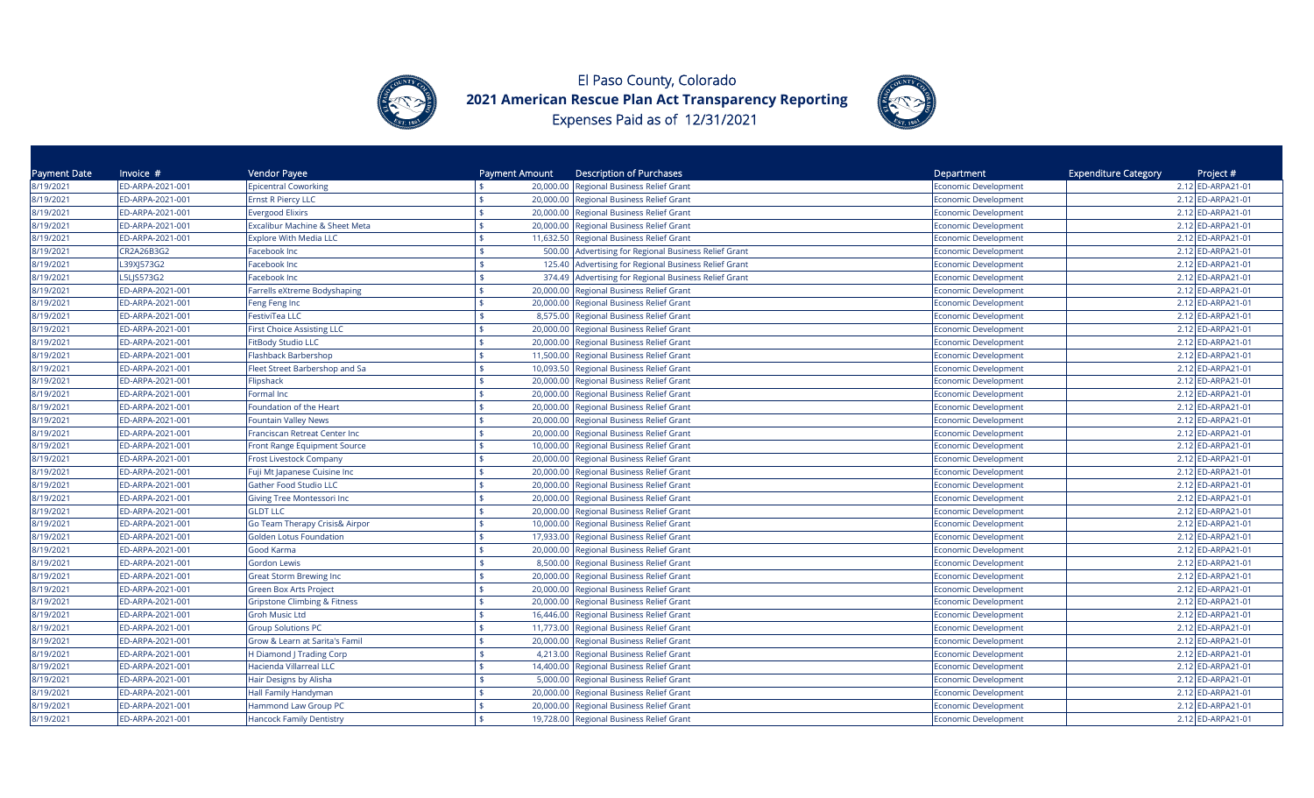



| Payment Date | Invoice #        | Vendor Payee                            | Payment Amount  | <b>Description of Purchases</b>                | Department                  | <b>Expenditure Category</b><br>Project # |
|--------------|------------------|-----------------------------------------|-----------------|------------------------------------------------|-----------------------------|------------------------------------------|
| 8/19/2021    | ED-ARPA-2021-001 | <b>Epicentral Coworking</b>             | 20,000.00       | <b>Regional Business Relief Grant</b>          | Economic Development        | 2.12 ED-ARPA21-01                        |
| 8/19/2021    | ED-ARPA-2021-001 | <b>Ernst R Piercy LLC</b>               |                 | 20,000.00 Regional Business Relief Grant       | Economic Development        | 2.12 ED-ARPA21-01                        |
| 8/19/2021    | ED-ARPA-2021-001 | <b>Evergood Elixirs</b>                 |                 | 20,000.00 Regional Business Relief Grant       | Economic Development        | 2.12 ED-ARPA21-01                        |
| 8/19/2021    | ED-ARPA-2021-001 | Excalibur Machine & Sheet Meta          | \$              | 20,000.00 Regional Business Relief Grant       | Economic Development        | 2.12 ED-ARPA21-01                        |
| 8/19/2021    | ED-ARPA-2021-001 | <b>Explore With Media LLC</b>           | 11,632.50       | Regional Business Relief Grant                 | Economic Development        | 2.12 ED-ARPA21-01                        |
| 8/19/2021    | CR2A26B3G2       | Facebook Inc                            | 500.00          | Advertising for Regional Business Relief Grant | <b>Economic Development</b> | 2.12 ED-ARPA21-01                        |
| 8/19/2021    | L39XJ573G2       | Facebook Inc                            | 125.40          | Advertising for Regional Business Relief Grant | <b>Economic Development</b> | 2.12 ED-ARPA21-01                        |
| 8/19/2021    | L5LJS573G2       | Facebook Inc                            | 374.49          | Advertising for Regional Business Relief Grant | <b>Economic Development</b> | 2.12 ED-ARPA21-01                        |
| 8/19/2021    | ED-ARPA-2021-001 | Farrells eXtreme Bodyshaping            | 20,000.00       | Regional Business Relief Grant                 | <b>Economic Development</b> | 2.12 ED-ARPA21-01                        |
| 8/19/2021    | ED-ARPA-2021-001 | Feng Feng Inc                           | 20,000.00       | Regional Business Relief Grant                 | Economic Development        | 2.12 ED-ARPA21-01                        |
| 8/19/2021    | ED-ARPA-2021-001 | <b>FestiviTea LLC</b>                   | 8,575.00<br>\$. | Regional Business Relief Grant                 | Economic Development        | 2.12 ED-ARPA21-01                        |
| 8/19/2021    | ED-ARPA-2021-001 | <b>First Choice Assisting LLC</b>       | 20,000.00       | <b>Regional Business Relief Grant</b>          | Economic Development        | 2.12 ED-ARPA21-01                        |
| 8/19/2021    | ED-ARPA-2021-001 | FitBody Studio LLC                      | 20,000.00       | Regional Business Relief Grant                 | Economic Development        | 2.12 ED-ARPA21-01                        |
| 8/19/2021    | ED-ARPA-2021-001 | <b>Flashback Barbershop</b>             | 11,500.00       | Regional Business Relief Grant                 | Economic Development        | 2.12 ED-ARPA21-01                        |
| 8/19/2021    | ED-ARPA-2021-001 | Fleet Street Barbershop and Sa          | 10,093.50       | Regional Business Relief Grant                 | <b>Economic Development</b> | 2.12 ED-ARPA21-01                        |
| 8/19/2021    | ED-ARPA-2021-001 | Flipshack                               | \$.             | 20,000.00 Regional Business Relief Grant       | <b>Economic Development</b> | 2.12 ED-ARPA21-01                        |
| 8/19/2021    | ED-ARPA-2021-001 | Formal Inc                              | 20,000.00       | Regional Business Relief Grant                 | Economic Development        | 2.12 ED-ARPA21-01                        |
| 8/19/2021    | ED-ARPA-2021-001 | Foundation of the Heart                 | 20,000.00       | Regional Business Relief Grant                 | Economic Development        | 2.12 ED-ARPA21-01                        |
| 8/19/2021    | ED-ARPA-2021-001 | <b>Fountain Valley News</b>             | 20,000.00       | <b>Regional Business Relief Grant</b>          | <b>Economic Development</b> | 2.12 ED-ARPA21-01                        |
| 8/19/2021    | ED-ARPA-2021-001 | Franciscan Retreat Center Inc           | 20,000.00       | Regional Business Relief Grant                 | <b>Economic Development</b> | 2.12 ED-ARPA21-01                        |
| 8/19/2021    | ED-ARPA-2021-001 | Front Range Equipment Source            | 10,000.00       | Regional Business Relief Grant                 | <b>Economic Development</b> | 2.12 ED-ARPA21-01                        |
| 8/19/2021    | ED-ARPA-2021-001 | <b>Frost Livestock Company</b>          | 20,000.00       | Regional Business Relief Grant                 | Economic Development        | 2.12 ED-ARPA21-01                        |
| 8/19/2021    | ED-ARPA-2021-001 | Fuji Mt Japanese Cuisine Inc            | 20,000.00<br>\$ | <b>Regional Business Relief Grant</b>          | Economic Development        | 2.12 ED-ARPA21-01                        |
| 8/19/2021    | ED-ARPA-2021-001 | <b>Gather Food Studio LLC</b>           | 20,000.00       | Regional Business Relief Grant                 | Economic Development        | 2.12 ED-ARPA21-01                        |
| 8/19/2021    | ED-ARPA-2021-001 | Giving Tree Montessori Inc              |                 | 20,000.00 Regional Business Relief Grant       | Economic Development        | 2.12 ED-ARPA21-01                        |
| 8/19/2021    | ED-ARPA-2021-001 | <b>GLDT LLC</b>                         | 20,000.00       | Regional Business Relief Grant                 | <b>Economic Development</b> | 2.12 ED-ARPA21-01                        |
| 8/19/2021    | ED-ARPA-2021-001 | Go Team Therapy Crisis& Airpor          | 10,000.00       | Regional Business Relief Grant                 | Economic Development        | 2.12 ED-ARPA21-01                        |
| 8/19/2021    | ED-ARPA-2021-001 | <b>Golden Lotus Foundation</b>          | 17,933.00       | Regional Business Relief Grant                 | <b>Economic Development</b> | 2.12 ED-ARPA21-01                        |
| 8/19/2021    | ED-ARPA-2021-001 | Good Karma                              | 20,000.00       | Regional Business Relief Grant                 | <b>Economic Development</b> | 2.12 ED-ARPA21-01                        |
| 8/19/2021    | ED-ARPA-2021-001 | Gordon Lewis                            | \$              | 8,500.00 Regional Business Relief Grant        | <b>Economic Development</b> | 2.12 ED-ARPA21-01                        |
| 8/19/2021    | ED-ARPA-2021-001 | Great Storm Brewing Inc                 | 20,000.00       | Regional Business Relief Grant                 | <b>Economic Development</b> | 2.12 ED-ARPA21-01                        |
| 8/19/2021    | ED-ARPA-2021-001 | <b>Green Box Arts Project</b>           |                 | 20,000.00 Regional Business Relief Grant       | Economic Development        | 2.12 ED-ARPA21-01                        |
| 8/19/2021    | ED-ARPA-2021-001 | <b>Gripstone Climbing &amp; Fitness</b> | 20,000.00       | <b>Regional Business Relief Grant</b>          | Economic Development        | 2.12 ED-ARPA21-01                        |
| 8/19/2021    | ED-ARPA-2021-001 | <b>Groh Music Ltd</b>                   | 16,446.00       | <b>Regional Business Relief Grant</b>          | Economic Development        | 2.12 ED-ARPA21-01                        |
| 8/19/2021    | ED-ARPA-2021-001 | <b>Group Solutions PC</b>               | 11,773.00       | <b>Regional Business Relief Grant</b>          | Economic Development        | 2.12 ED-ARPA21-01                        |
| 8/19/2021    | ED-ARPA-2021-001 | Grow & Learn at Sarita's Famil          | 20,000.00       | <b>Regional Business Relief Grant</b>          | Economic Development        | 2.12 ED-ARPA21-01                        |
| 8/19/2021    | ED-ARPA-2021-001 | H Diamond J Trading Corp                |                 | 4,213.00 Regional Business Relief Grant        | Economic Development        | 2.12 ED-ARPA21-01                        |
| 8/19/2021    | ED-ARPA-2021-001 | Hacienda Villarreal LLC                 |                 | 14,400.00 Regional Business Relief Grant       | Economic Development        | 2.12 ED-ARPA21-01                        |
| 8/19/2021    | ED-ARPA-2021-001 | Hair Designs by Alisha                  |                 | 5,000.00 Regional Business Relief Grant        | <b>Economic Development</b> | 2.12 ED-ARPA21-01                        |
| 8/19/2021    | ED-ARPA-2021-001 | Hall Family Handyman                    | 20,000.00       | Regional Business Relief Grant                 | <b>Economic Development</b> | 2.12 ED-ARPA21-01                        |
| 8/19/2021    | ED-ARPA-2021-001 | Hammond Law Group PC                    | 20,000.00       | Regional Business Relief Grant                 | <b>Economic Development</b> | 2.12 ED-ARPA21-01                        |
| 8/19/2021    | ED-ARPA-2021-001 | <b>Hancock Family Dentistry</b>         |                 | 19,728.00 Regional Business Relief Grant       | <b>Economic Development</b> | 2.12 ED-ARPA21-01                        |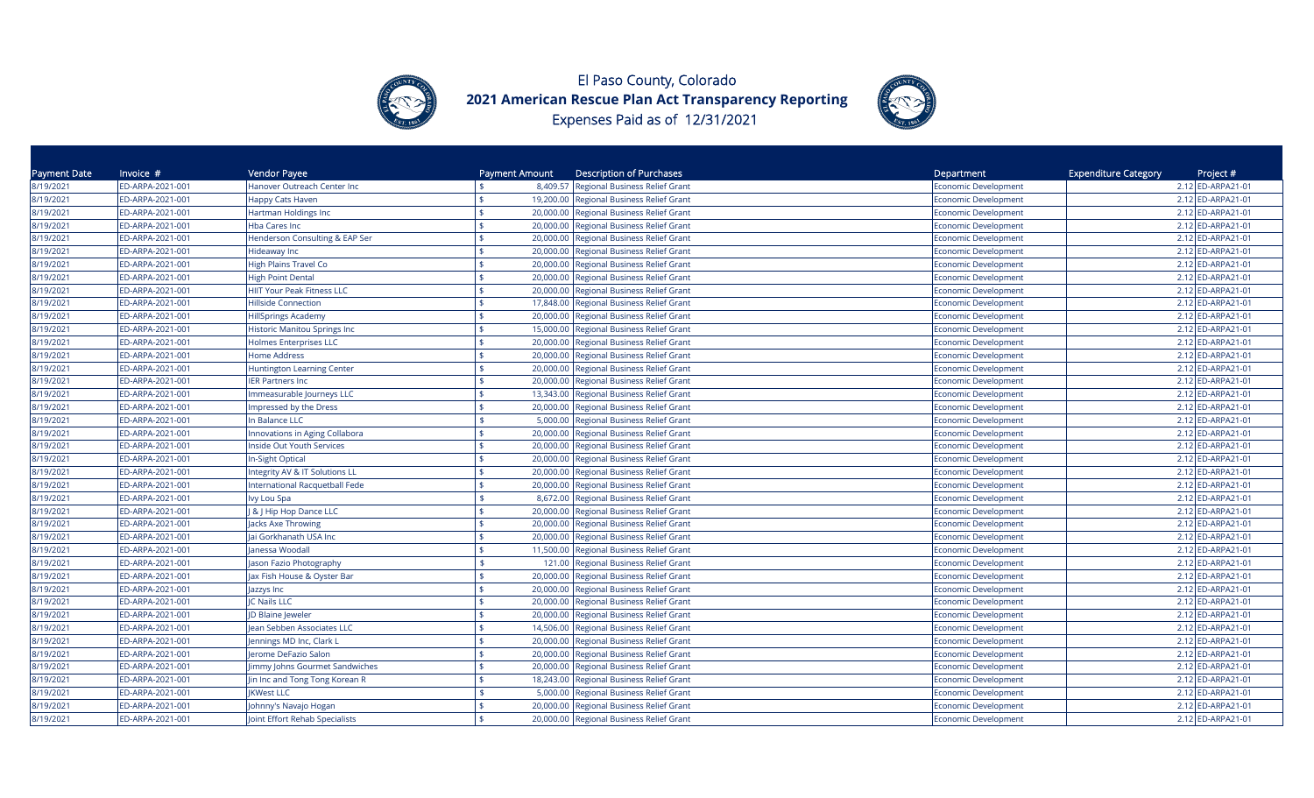



| Payment Date | Invoice $#$      | Vendor Payee                        | Payment Amount            | <b>Description of Purchases</b>          | Department                  | <b>Expenditure Category</b> | Project #         |
|--------------|------------------|-------------------------------------|---------------------------|------------------------------------------|-----------------------------|-----------------------------|-------------------|
| 8/19/2021    | ED-ARPA-2021-001 | Hanover Outreach Center Inc         |                           | 8,409.57 Regional Business Relief Grant  | Economic Development        |                             | 2.12 ED-ARPA21-01 |
| 8/19/2021    | ED-ARPA-2021-001 | Happy Cats Haven                    | \$                        | 19,200.00 Regional Business Relief Grant | Economic Development        |                             | 2.12 ED-ARPA21-01 |
| 8/19/2021    | ED-ARPA-2021-001 | Hartman Holdings Inc                |                           | 20,000.00 Regional Business Relief Grant | Economic Development        |                             | 2.12 ED-ARPA21-01 |
| 8/19/2021    | ED-ARPA-2021-001 | Hba Cares Inc                       | 20,000.00                 | Regional Business Relief Grant           | Economic Development        |                             | 2.12 ED-ARPA21-01 |
| 8/19/2021    | ED-ARPA-2021-001 | Henderson Consulting & EAP Ser      | 20,000.00                 | Regional Business Relief Grant           | Economic Development        |                             | 2.12 ED-ARPA21-01 |
| 8/19/2021    | ED-ARPA-2021-001 | Hideaway Inc                        | 20,000.00                 | Regional Business Relief Grant           | <b>Economic Development</b> |                             | 2.12 ED-ARPA21-01 |
| 8/19/2021    | ED-ARPA-2021-001 | <b>High Plains Travel Co</b>        | 20,000.00                 | Regional Business Relief Grant           | <b>Economic Development</b> |                             | 2.12 ED-ARPA21-01 |
| 8/19/2021    | ED-ARPA-2021-001 | <b>High Point Dental</b>            | 20,000.00                 | Regional Business Relief Grant           | <b>Economic Development</b> |                             | 2.12 ED-ARPA21-01 |
| 8/19/2021    | ED-ARPA-2021-001 | <b>HIIT Your Peak Fitness LLC</b>   | 20,000.00                 | Regional Business Relief Grant           | <b>Economic Development</b> |                             | 2.12 ED-ARPA21-01 |
| 8/19/2021    | ED-ARPA-2021-001 | <b>Hillside Connection</b>          | 17,848.00                 | <b>Regional Business Relief Grant</b>    | <b>Economic Development</b> |                             | 2.12 ED-ARPA21-01 |
| 8/19/2021    | ED-ARPA-2021-001 | <b>HillSprings Academy</b>          | 20,000.00                 | Regional Business Relief Grant           | <b>Economic Development</b> |                             | 2.12 ED-ARPA21-01 |
| 8/19/2021    | ED-ARPA-2021-001 | <b>Historic Manitou Springs Inc</b> | 15,000.00                 | <b>Regional Business Relief Grant</b>    | <b>Economic Development</b> |                             | 2.12 ED-ARPA21-01 |
| 8/19/2021    | ED-ARPA-2021-001 | <b>Holmes Enterprises LLC</b>       | 20,000.00                 | <b>Regional Business Relief Grant</b>    | <b>Economic Development</b> |                             | 2.12 ED-ARPA21-01 |
| 8/19/2021    | ED-ARPA-2021-001 | <b>Home Address</b>                 | 20,000.00                 | Regional Business Relief Grant           | Economic Development        |                             | 2.12 ED-ARPA21-01 |
| 8/19/2021    | ED-ARPA-2021-001 | <b>Huntington Learning Center</b>   | 20,000.00                 | Regional Business Relief Grant           | <b>Economic Development</b> |                             | 2.12 ED-ARPA21-01 |
| 8/19/2021    | ED-ARPA-2021-001 | <b>IER Partners Inc</b>             | \$                        | 20,000.00 Regional Business Relief Grant | Economic Development        |                             | 2.12 ED-ARPA21-01 |
| 8/19/2021    | ED-ARPA-2021-001 | Immeasurable Journeys LLC           |                           | 13,343.00 Regional Business Relief Grant | Economic Development        |                             | 2.12 ED-ARPA21-01 |
| 8/19/2021    | ED-ARPA-2021-001 | Impressed by the Dress              | 20,000.00                 | <b>Regional Business Relief Grant</b>    | Economic Development        |                             | 2.12 ED-ARPA21-01 |
| 8/19/2021    | ED-ARPA-2021-001 | In Balance LLC                      | 5,000.00                  | <b>Regional Business Relief Grant</b>    | Economic Development        |                             | 2.12 ED-ARPA21-01 |
| 8/19/2021    | ED-ARPA-2021-001 | Innovations in Aging Collabora      | 20,000.00                 | Regional Business Relief Grant           | Economic Development        |                             | 2.12 ED-ARPA21-01 |
| 8/19/2021    | ED-ARPA-2021-001 | Inside Out Youth Services           | 20,000.00                 | Regional Business Relief Grant           | <b>Economic Development</b> |                             | 2.12 ED-ARPA21-01 |
| 8/19/2021    | ED-ARPA-2021-001 | <b>In-Sight Optical</b>             | 20,000.00                 | <b>Regional Business Relief Grant</b>    | <b>Economic Development</b> |                             | 2.12 ED-ARPA21-01 |
| 8/19/2021    | ED-ARPA-2021-001 | Integrity AV & IT Solutions LL      | \$<br>20,000.00           | <b>Regional Business Relief Grant</b>    | <b>Economic Development</b> |                             | 2.12 ED-ARPA21-01 |
| 8/19/2021    | ED-ARPA-2021-001 | International Racquetball Fede      | 20,000.00                 | Regional Business Relief Grant           | <b>Economic Development</b> |                             | 2.12 ED-ARPA21-01 |
| 8/19/2021    | ED-ARPA-2021-001 | Ivy Lou Spa                         | $\frac{1}{2}$<br>8,672.00 | Regional Business Relief Grant           | <b>Economic Development</b> |                             | 2.12 ED-ARPA21-01 |
| 8/19/2021    | ED-ARPA-2021-001 | <b>8 J Hip Hop Dance LLC</b>        | 20,000.00                 | <b>Regional Business Relief Grant</b>    | <b>Economic Development</b> |                             | 2.12 ED-ARPA21-01 |
| 8/19/2021    | ED-ARPA-2021-001 | Jacks Axe Throwing                  | 20,000.00                 | Regional Business Relief Grant           | <b>Economic Development</b> |                             | 2.12 ED-ARPA21-01 |
| 8/19/2021    | ED-ARPA-2021-001 | Jai Gorkhanath USA Inc              | 20,000.00                 | Regional Business Relief Grant           | Economic Development        |                             | 2.12 ED-ARPA21-01 |
| 8/19/2021    | ED-ARPA-2021-001 | Janessa Woodall                     | 11,500.00                 | Regional Business Relief Grant           | <b>Economic Development</b> |                             | 2.12 ED-ARPA21-01 |
| 8/19/2021    | ED-ARPA-2021-001 | Jason Fazio Photography             | \$<br>121.00              | Regional Business Relief Grant           | <b>Economic Development</b> |                             | 2.12 ED-ARPA21-01 |
| 8/19/2021    | ED-ARPA-2021-001 | Jax Fish House & Oyster Bar         | 20,000.00                 | Regional Business Relief Grant           | <b>Economic Development</b> |                             | 2.12 ED-ARPA21-01 |
| 8/19/2021    | ED-ARPA-2021-001 | Jazzys Inc                          |                           | 20,000.00 Regional Business Relief Grant | Economic Development        |                             | 2.12 ED-ARPA21-01 |
| 8/19/2021    | ED-ARPA-2021-001 | <b>IC Nails LLC</b>                 | 20,000.00                 | Regional Business Relief Grant           | Economic Development        |                             | 2.12 ED-ARPA21-01 |
| 8/19/2021    | ED-ARPA-2021-001 | D Blaine Jeweler                    | 20,000.00                 | <b>Regional Business Relief Grant</b>    | Economic Development        |                             | 2.12 ED-ARPA21-01 |
| 8/19/2021    | ED-ARPA-2021-001 | lean Sebben Associates LLC          | 14,506.00                 | <b>Regional Business Relief Grant</b>    | Economic Development        |                             | 2.12 ED-ARPA21-01 |
| 8/19/2021    | ED-ARPA-2021-001 | Jennings MD Inc, Clark L            | 20,000.00                 | <b>Regional Business Relief Grant</b>    | Economic Development        |                             | 2.12 ED-ARPA21-01 |
| 8/19/2021    | ED-ARPA-2021-001 | Jerome DeFazio Salon                | 20,000.00<br>¢            | Regional Business Relief Grant           | <b>Economic Development</b> |                             | 2.12 ED-ARPA21-01 |
| 8/19/2021    | ED-ARPA-2021-001 | Jimmy Johns Gourmet Sandwiches      | 20,000.00                 | Regional Business Relief Grant           | <b>Economic Development</b> |                             | 2.12 ED-ARPA21-01 |
| 8/19/2021    | ED-ARPA-2021-001 | Jin Inc and Tong Tong Korean R      | 18,243.00                 | Regional Business Relief Grant           | <b>Economic Development</b> |                             | 2.12 ED-ARPA21-01 |
| 8/19/2021    | ED-ARPA-2021-001 | <b>JKWest LLC</b>                   | 5,000.00                  | Regional Business Relief Grant           | <b>Economic Development</b> |                             | 2.12 ED-ARPA21-01 |
| 8/19/2021    | ED-ARPA-2021-001 | Johnny's Navajo Hogan               | 20,000.00                 | Regional Business Relief Grant           | <b>Economic Development</b> |                             | 2.12 ED-ARPA21-01 |
| 8/19/2021    | ED-ARPA-2021-001 | Joint Effort Rehab Specialists      |                           | 20,000.00 Regional Business Relief Grant | <b>Economic Development</b> |                             | 2.12 ED-ARPA21-01 |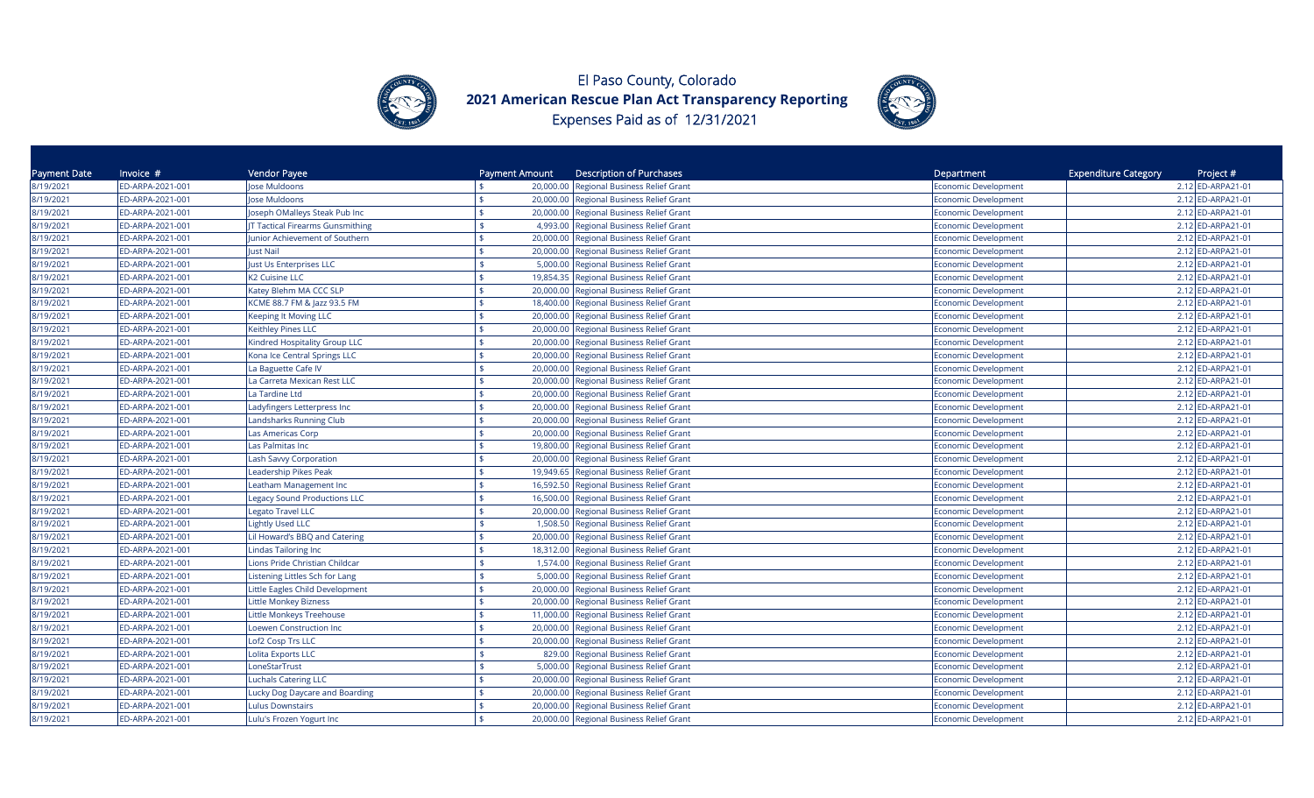



| Payment Date | Invoice $#$      | Vendor Payee                        | Payment Amount     | <b>Description of Purchases</b>          | Department                  | <b>Expenditure Category</b><br>Project # |
|--------------|------------------|-------------------------------------|--------------------|------------------------------------------|-----------------------------|------------------------------------------|
| 8/19/2021    | ED-ARPA-2021-001 | lose Muldoons                       |                    | 20,000.00 Regional Business Relief Grant | Economic Development        | 2.12 ED-ARPA21-01                        |
| 8/19/2021    | ED-ARPA-2021-001 | Jose Muldoons                       |                    | 20,000.00 Regional Business Relief Grant | Economic Development        | 2.12 ED-ARPA21-01                        |
| 8/19/2021    | ED-ARPA-2021-001 | Joseph OMalleys Steak Pub Inc       |                    | 20,000.00 Regional Business Relief Grant | Economic Development        | 2.12 ED-ARPA21-01                        |
| 8/19/2021    | ED-ARPA-2021-001 | JT Tactical Firearms Gunsmithing    | 4,993.00           | Regional Business Relief Grant           | Economic Development        | 2.12 ED-ARPA21-01                        |
| 8/19/2021    | ED-ARPA-2021-001 | Junior Achievement of Southern      | 20,000.00          | Regional Business Relief Grant           | Economic Development        | 2.12 ED-ARPA21-01                        |
| 8/19/2021    | ED-ARPA-2021-001 | Just Nail                           | 20,000.00          | Regional Business Relief Grant           | <b>Economic Development</b> | 2.12 ED-ARPA21-01                        |
| 8/19/2021    | ED-ARPA-2021-001 | Just Us Enterprises LLC             | 5,000.00           | Regional Business Relief Grant           | <b>Economic Development</b> | 2.12 ED-ARPA21-01                        |
| 8/19/2021    | ED-ARPA-2021-001 | K2 Cuisine LLC                      | 19,854.35          | Regional Business Relief Grant           | <b>Economic Development</b> | 2.12 ED-ARPA21-01                        |
| 8/19/2021    | ED-ARPA-2021-001 | Katey Blehm MA CCC SLP              | 20,000.00          | Regional Business Relief Grant           | <b>Economic Development</b> | 2.12 ED-ARPA21-01                        |
| 8/19/2021    | ED-ARPA-2021-001 | KCME 88.7 FM & Jazz 93.5 FM         | 18,400.00          | <b>Regional Business Relief Grant</b>    | <b>Economic Development</b> | 2.12 ED-ARPA21-01                        |
| 8/19/2021    | ED-ARPA-2021-001 | <b>Keeping It Moving LLC</b>        |                    | 20,000.00 Regional Business Relief Grant | Economic Development        | 2.12 ED-ARPA21-01                        |
| 8/19/2021    | ED-ARPA-2021-001 | Keithley Pines LLC                  | 20,000.00          | <b>Regional Business Relief Grant</b>    | <b>Economic Development</b> | 2.12 ED-ARPA21-01                        |
| 8/19/2021    | ED-ARPA-2021-001 | Kindred Hospitality Group LLC       | 20,000.00          | Regional Business Relief Grant           | <b>Economic Development</b> | 2.12 ED-ARPA21-01                        |
| 8/19/2021    | ED-ARPA-2021-001 | Kona Ice Central Springs LLC        | 20,000.00          | Regional Business Relief Grant           | Economic Development        | 2.12 ED-ARPA21-01                        |
| 8/19/2021    | ED-ARPA-2021-001 | La Baguette Cafe IV                 | 20,000.00          | Regional Business Relief Grant           | <b>Economic Development</b> | 2.12 ED-ARPA21-01                        |
| 8/19/2021    | ED-ARPA-2021-001 | La Carreta Mexican Rest LLC         | \$                 | 20,000.00 Regional Business Relief Grant | Economic Development        | 2.12 ED-ARPA21-01                        |
| 8/19/2021    | ED-ARPA-2021-001 | La Tardine Ltd                      |                    | 20,000.00 Regional Business Relief Grant | Economic Development        | 2.12 ED-ARPA21-01                        |
| 8/19/2021    | ED-ARPA-2021-001 | Ladyfingers Letterpress Inc         | 20,000.00          | <b>Regional Business Relief Grant</b>    | Economic Development        | 2.12 ED-ARPA21-01                        |
| 8/19/2021    | ED-ARPA-2021-001 | Landsharks Running Club             | 20,000.00          | <b>Regional Business Relief Grant</b>    | Economic Development        | 2.12 ED-ARPA21-01                        |
| 8/19/2021    | ED-ARPA-2021-001 | Las Americas Corp                   | 20,000.00          | Regional Business Relief Grant           | Economic Development        | 2.12 ED-ARPA21-01                        |
| 8/19/2021    | ED-ARPA-2021-001 | Las Palmitas Inc                    | 19,800.00          | Regional Business Relief Grant           | <b>Economic Development</b> | 2.12 ED-ARPA21-01                        |
| 8/19/2021    | ED-ARPA-2021-001 | Lash Savvy Corporation              | 20,000.00          | Regional Business Relief Grant           | <b>Economic Development</b> | 2.12 ED-ARPA21-01                        |
| 8/19/2021    | ED-ARPA-2021-001 | Leadership Pikes Peak               | ¢<br>19,949.65     | <b>Regional Business Relief Grant</b>    | <b>Economic Development</b> | 2.12 ED-ARPA21-01                        |
| 8/19/2021    | ED-ARPA-2021-001 | Leatham Management Inc              | 16,592.50          | Regional Business Relief Grant           | <b>Economic Development</b> | 2.12 ED-ARPA21-01                        |
| 8/19/2021    | ED-ARPA-2021-001 | <b>Legacy Sound Productions LLC</b> | \$                 | 16,500.00 Regional Business Relief Grant | <b>Economic Development</b> | 2.12 ED-ARPA21-01                        |
| 8/19/2021    | ED-ARPA-2021-001 | <b>Legato Travel LLC</b>            | 20,000.00          | Regional Business Relief Grant           | <b>Economic Development</b> | 2.12 ED-ARPA21-01                        |
| 8/19/2021    | ED-ARPA-2021-001 | Lightly Used LLC                    | 1,508.50           | Regional Business Relief Grant           | <b>Economic Development</b> | 2.12 ED-ARPA21-01                        |
| 8/19/2021    | ED-ARPA-2021-001 | Lil Howard's BBQ and Catering       | 20,000.00          | Regional Business Relief Grant           | Economic Development        | 2.12 ED-ARPA21-01                        |
| 8/19/2021    | ED-ARPA-2021-001 | <b>Lindas Tailoring Inc</b>         | 18,312.00          | Regional Business Relief Grant           | <b>Economic Development</b> | 2.12 ED-ARPA21-01                        |
| 8/19/2021    | ED-ARPA-2021-001 | Lions Pride Christian Childcar      | $\mathbf{\hat{S}}$ | 1,574.00 Regional Business Relief Grant  | <b>Economic Development</b> | 2.12 ED-ARPA21-01                        |
| 8/19/2021    | ED-ARPA-2021-001 | Listening Littles Sch for Lang      |                    | 5,000.00 Regional Business Relief Grant  | <b>Economic Development</b> | 2.12 ED-ARPA21-01                        |
| 8/19/2021    | ED-ARPA-2021-001 | Little Eagles Child Development     |                    | 20,000.00 Regional Business Relief Grant | Economic Development        | 2.12 ED-ARPA21-01                        |
| 8/19/2021    | ED-ARPA-2021-001 | Little Monkey Bizness               | 20,000.00          | Regional Business Relief Grant           | Economic Development        | 2.12 ED-ARPA21-01                        |
| 8/19/2021    | ED-ARPA-2021-001 | Little Monkeys Treehouse            | 11,000.00          | <b>Regional Business Relief Grant</b>    | Economic Development        | 2.12 ED-ARPA21-01                        |
| 8/19/2021    | ED-ARPA-2021-001 | Loewen Construction Inc             | 20,000.00          | <b>Regional Business Relief Grant</b>    | <b>Economic Development</b> | 2.12 ED-ARPA21-01                        |
| 8/19/2021    | ED-ARPA-2021-001 | Lof2 Cosp Trs LLC                   | 20,000.00          | <b>Regional Business Relief Grant</b>    | <b>Economic Development</b> | 2.12 ED-ARPA21-01                        |
| 8/19/2021    | ED-ARPA-2021-001 | <b>Lolita Exports LLC</b>           | 829.00<br>\$       | Regional Business Relief Grant           | <b>Economic Development</b> | 2.12 ED-ARPA21-01                        |
| 8/19/2021    | ED-ARPA-2021-001 | LoneStarTrust                       | 5,000.00           | Regional Business Relief Grant           | <b>Economic Development</b> | 2.12 ED-ARPA21-01                        |
| 8/19/2021    | ED-ARPA-2021-001 | <b>Luchals Catering LLC</b>         | 20,000.00<br>¢     | Regional Business Relief Grant           | <b>Economic Development</b> | 2.12 ED-ARPA21-01                        |
| 8/19/2021    | ED-ARPA-2021-001 | Lucky Dog Daycare and Boarding      | 20,000.00          | Regional Business Relief Grant           | <b>Economic Development</b> | 2.12 ED-ARPA21-01                        |
| 8/19/2021    | ED-ARPA-2021-001 | <b>Lulus Downstairs</b>             | 20,000.00          | <b>Regional Business Relief Grant</b>    | <b>Economic Development</b> | 2.12 ED-ARPA21-01                        |
| 8/19/2021    | ED-ARPA-2021-001 | Lulu's Frozen Yogurt Inc            |                    | 20,000.00 Regional Business Relief Grant | <b>Economic Development</b> | 2.12 ED-ARPA21-01                        |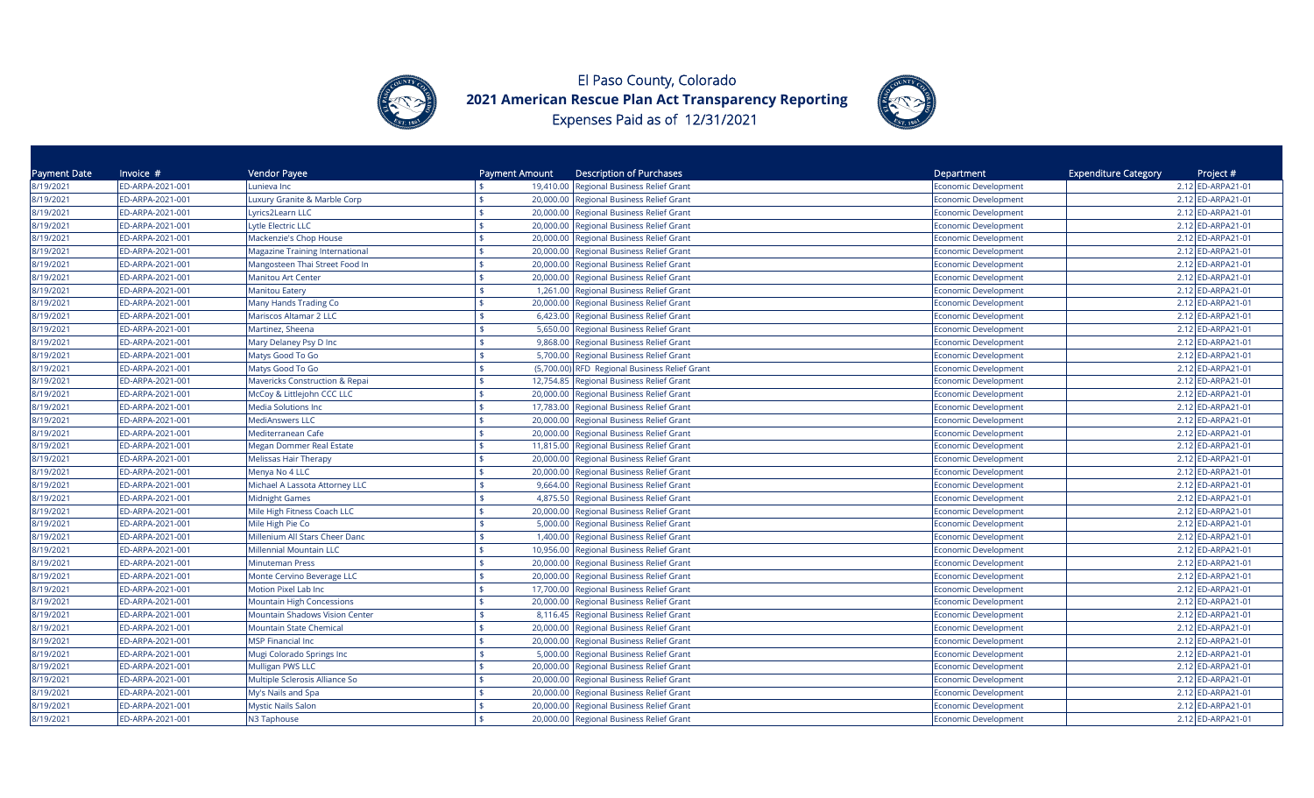



| Payment Date | Invoice $#$      | Vendor Payee                              | Payment Amount | <b>Description of Purchases</b>                    | Department                  | <b>Expenditure Category</b><br>Project # |
|--------------|------------------|-------------------------------------------|----------------|----------------------------------------------------|-----------------------------|------------------------------------------|
| 8/19/2021    | ED-ARPA-2021-001 | Lunieva Inc                               |                | 19,410.00 Regional Business Relief Grant           | Economic Development        | 2.12 ED-ARPA21-01                        |
| 8/19/2021    | ED-ARPA-2021-001 | Luxury Granite & Marble Corp              | \$             | 20,000.00 Regional Business Relief Grant           | Economic Development        | 2.12 ED-ARPA21-01                        |
| 8/19/2021    | ED-ARPA-2021-001 | Lyrics2Learn LLC                          |                | 20,000.00 Regional Business Relief Grant           | Economic Development        | 2.12 ED-ARPA21-01                        |
| 8/19/2021    | ED-ARPA-2021-001 | Lytle Electric LLC                        | \$             | 20,000.00 Regional Business Relief Grant           | Economic Development        | 2.12 ED-ARPA21-01                        |
| 8/19/2021    | ED-ARPA-2021-001 | Mackenzie's Chop House                    |                | 20,000.00<br>Regional Business Relief Grant        | Economic Development        | 2.12 ED-ARPA21-01                        |
| 8/19/2021    | ED-ARPA-2021-001 | Magazine Training International           |                | Regional Business Relief Grant<br>20,000.00        | <b>Economic Development</b> | 2.12 ED-ARPA21-01                        |
| 8/19/2021    | ED-ARPA-2021-001 | Mangosteen Thai Street Food In            |                | 20,000.00<br>Regional Business Relief Grant        | <b>Economic Development</b> | 2.12 ED-ARPA21-01                        |
| 8/19/2021    | ED-ARPA-2021-001 | <b>Manitou Art Center</b>                 |                | Regional Business Relief Grant<br>20,000.00        | <b>Economic Development</b> | 2.12 ED-ARPA21-01                        |
| 8/19/2021    | ED-ARPA-2021-001 | <b>Manitou Eatery</b>                     | $\frac{1}{2}$  | 1,261.00<br>Regional Business Relief Grant         | <b>Economic Development</b> | 2.12 ED-ARPA21-01                        |
| 8/19/2021    | ED-ARPA-2021-001 | Many Hands Trading Co                     |                | 20,000.00 Regional Business Relief Grant           | <b>Economic Development</b> | 2.12 ED-ARPA21-01                        |
| 8/19/2021    | ED-ARPA-2021-001 | Mariscos Altamar 2 LLC                    | ¢              | 6,423.00 Regional Business Relief Grant            | <b>Economic Development</b> | 2.12 ED-ARPA21-01                        |
| 8/19/2021    | ED-ARPA-2021-001 | Martinez, Sheena                          |                | 5,650.00<br><b>Regional Business Relief Grant</b>  | <b>Economic Development</b> | 2.12 ED-ARPA21-01                        |
| 8/19/2021    | ED-ARPA-2021-001 | Mary Delaney Psy D Inc                    |                | 9,868.00<br><b>Regional Business Relief Grant</b>  | Economic Development        | 2.12 ED-ARPA21-01                        |
| 8/19/2021    | ED-ARPA-2021-001 | Matys Good To Go                          |                | 5,700.00<br>Regional Business Relief Grant         | <b>Economic Development</b> | 2.12 ED-ARPA21-01                        |
| 8/19/2021    | ED-ARPA-2021-001 | Matys Good To Go                          |                | (5,700.00) RFD Regional Business Relief Grant      | <b>Economic Development</b> | 2.12 ED-ARPA21-01                        |
| 8/19/2021    | ED-ARPA-2021-001 | <b>Mavericks Construction &amp; Repai</b> |                | 12,754.85 Regional Business Relief Grant           | Economic Development        | 2.12 ED-ARPA21-01                        |
| 8/19/2021    | ED-ARPA-2021-001 | McCoy & Littlejohn CCC LLC                |                | 20,000.00 Regional Business Relief Grant           | Economic Development        | 2.12 ED-ARPA21-01                        |
| 8/19/2021    | ED-ARPA-2021-001 | <b>Media Solutions Inc</b>                |                | 17,783.00 Regional Business Relief Grant           | Economic Development        | 2.12 ED-ARPA21-01                        |
| 8/19/2021    | ED-ARPA-2021-001 | <b>MediAnswers LLC</b>                    |                | 20,000.00 Regional Business Relief Grant           | Economic Development        | 2.12 ED-ARPA21-01                        |
| 8/19/2021    | ED-ARPA-2021-001 | Mediterranean Cafe                        |                | <b>Regional Business Relief Grant</b><br>20,000.00 | Economic Development        | 2.12 ED-ARPA21-01                        |
| 8/19/2021    | ED-ARPA-2021-001 | Megan Dommer Real Estate                  |                | 11,815.00<br>Regional Business Relief Grant        | <b>Economic Development</b> | 2.12 ED-ARPA21-01                        |
| 8/19/2021    | ED-ARPA-2021-001 | <b>Melissas Hair Therapy</b>              |                | 20,000.00<br>Regional Business Relief Grant        | <b>Economic Development</b> | 2.12 ED-ARPA21-01                        |
| 8/19/2021    | ED-ARPA-2021-001 | Menya No 4 LLC                            | \$             | 20,000.00<br>Regional Business Relief Grant        | <b>Economic Development</b> | 2.12 ED-ARPA21-01                        |
| 8/19/2021    | ED-ARPA-2021-001 | Michael A Lassota Attorney LLC            |                | 9,664.00<br>Regional Business Relief Grant         | <b>Economic Development</b> | 2.12 ED-ARPA21-01                        |
| 8/19/2021    | ED-ARPA-2021-001 | <b>Midnight Games</b>                     | \$             | 4,875.50 Regional Business Relief Grant            | <b>Economic Development</b> | 2.12 ED-ARPA21-01                        |
| 8/19/2021    | ED-ARPA-2021-001 | Mile High Fitness Coach LLC               |                | 20,000.00<br>Regional Business Relief Grant        | <b>Economic Development</b> | 2.12 ED-ARPA21-01                        |
| 8/19/2021    | ED-ARPA-2021-001 | Mile High Pie Co                          |                | 5,000.00<br>Regional Business Relief Grant         | <b>Economic Development</b> | 2.12 ED-ARPA21-01                        |
| 8/19/2021    | ED-ARPA-2021-001 | Millenium All Stars Cheer Danc            | ¢              | 1,400.00<br>Regional Business Relief Grant         | <b>Economic Development</b> | 2.12 ED-ARPA21-01                        |
| 8/19/2021    | ED-ARPA-2021-001 | Millennial Mountain LLC                   |                | Regional Business Relief Grant<br>10,956.00        | Economic Development        | 2.12 ED-ARPA21-01                        |
| 8/19/2021    | ED-ARPA-2021-001 | <b>Minuteman Press</b>                    | \$             | Regional Business Relief Grant<br>20,000.00        | <b>Economic Development</b> | 2.12 ED-ARPA21-01                        |
| 8/19/2021    | ED-ARPA-2021-001 | Monte Cervino Beverage LLC                |                | 20,000.00 Regional Business Relief Grant           | <b>Economic Development</b> | 2.12 ED-ARPA21-01                        |
| 8/19/2021    | ED-ARPA-2021-001 | Motion Pixel Lab Inc                      | \$             | 17,700.00 Regional Business Relief Grant           | Economic Development        | 2.12 ED-ARPA21-01                        |
| 8/19/2021    | ED-ARPA-2021-001 | <b>Mountain High Concessions</b>          |                | 20,000.00 Regional Business Relief Grant           | Economic Development        | 2.12 ED-ARPA21-01                        |
| 8/19/2021    | ED-ARPA-2021-001 | <b>Mountain Shadows Vision Center</b>     |                | 8,116.45<br><b>Regional Business Relief Grant</b>  | Economic Development        | 2.12 ED-ARPA21-01                        |
| 8/19/2021    | ED-ARPA-2021-001 | Mountain State Chemical                   |                | 20,000.00 Regional Business Relief Grant           | Economic Development        | 2.12 ED-ARPA21-01                        |
| 8/19/2021    | ED-ARPA-2021-001 | <b>MSP Financial Inc</b>                  | \$             | <b>Regional Business Relief Grant</b><br>20,000.00 | Economic Development        | 2.12 ED-ARPA21-01                        |
| 8/19/2021    | ED-ARPA-2021-001 | Mugi Colorado Springs Inc                 | ¢              | 5,000.00<br><b>Regional Business Relief Grant</b>  | <b>Economic Development</b> | 2.12 ED-ARPA21-01                        |
| 8/19/2021    | ED-ARPA-2021-001 | Mulligan PWS LLC                          |                | 20,000.00<br>Regional Business Relief Grant        | <b>Economic Development</b> | 2.12 ED-ARPA21-01                        |
| 8/19/2021    | ED-ARPA-2021-001 | Multiple Sclerosis Alliance So            |                | 20,000.00<br>Regional Business Relief Grant        | <b>Economic Development</b> | 2.12 ED-ARPA21-01                        |
| 8/19/2021    | ED-ARPA-2021-001 | My's Nails and Spa                        |                | 20,000.00<br>Regional Business Relief Grant        | <b>Economic Development</b> | 2.12 ED-ARPA21-01                        |
| 8/19/2021    | ED-ARPA-2021-001 | <b>Mystic Nails Salon</b>                 | \$             | 20,000.00<br><b>Regional Business Relief Grant</b> | <b>Economic Development</b> | 2.12 ED-ARPA21-01                        |
| 8/19/2021    | ED-ARPA-2021-001 | N3 Taphouse                               |                | 20,000.00 Regional Business Relief Grant           | <b>Economic Development</b> | 2.12 ED-ARPA21-01                        |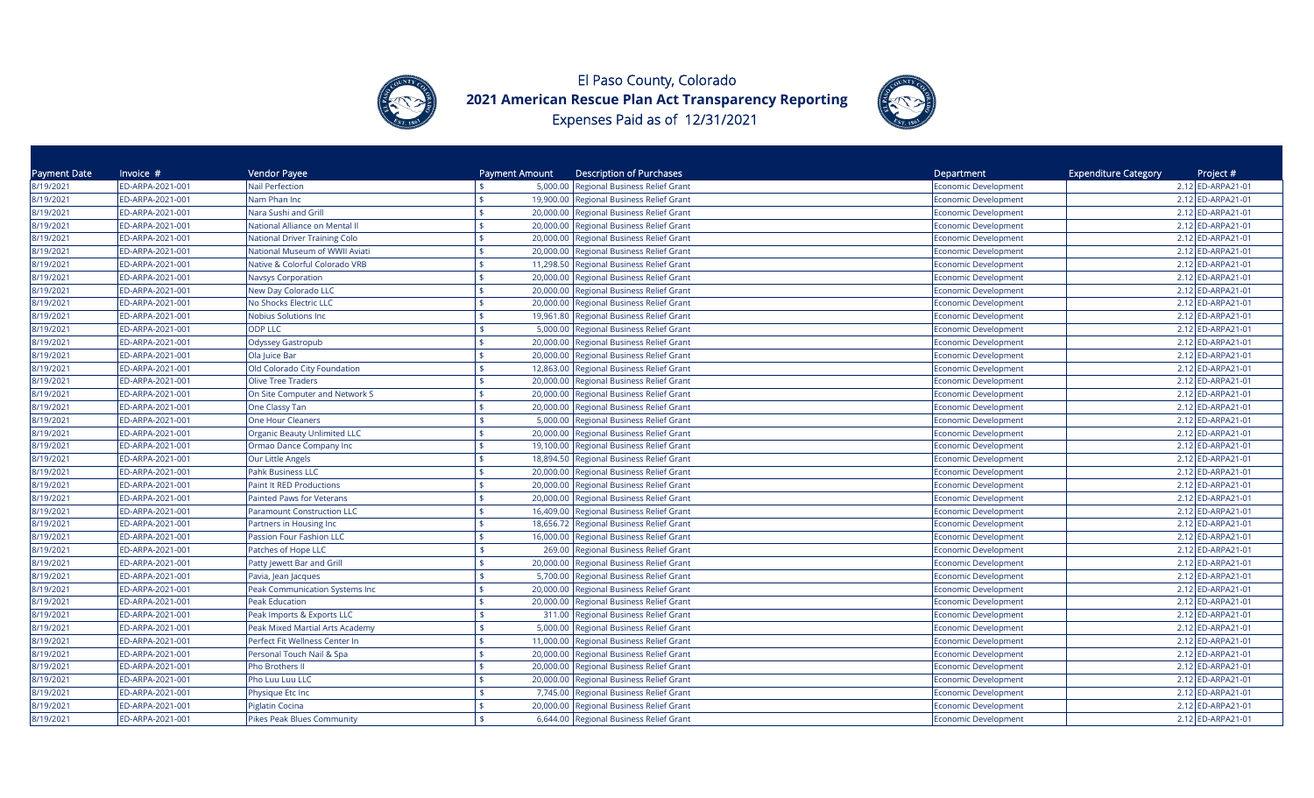



| Payment Date | Invoice $#$      | Vendor Payee                         | Payment Amount  | <b>Description of Purchases</b>          | Department                  | <b>Expenditure Category</b><br>Project # |
|--------------|------------------|--------------------------------------|-----------------|------------------------------------------|-----------------------------|------------------------------------------|
| 8/19/2021    | ED-ARPA-2021-001 | <b>Nail Perfection</b>               |                 | 5,000.00 Regional Business Relief Grant  | Economic Development        | 2.12 ED-ARPA21-01                        |
| 8/19/2021    | ED-ARPA-2021-001 | Nam Phan Inc                         | \$              | 19,900.00 Regional Business Relief Grant | Economic Development        | 2.12 ED-ARPA21-01                        |
| 8/19/2021    | ED-ARPA-2021-001 | Nara Sushi and Grill                 |                 | 20,000.00 Regional Business Relief Grant | Economic Development        | 2.12 ED-ARPA21-01                        |
| 8/19/2021    | ED-ARPA-2021-001 | National Alliance on Mental II       | \$<br>20,000.00 | Regional Business Relief Grant           | Economic Development        | 2.12 ED-ARPA21-01                        |
| 8/19/2021    | ED-ARPA-2021-001 | <b>National Driver Training Colo</b> | 20,000.00       | Regional Business Relief Grant           | Economic Development        | 2.12 ED-ARPA21-01                        |
| 8/19/2021    | ED-ARPA-2021-001 | National Museum of WWII Aviati       | 20,000.00       | Regional Business Relief Grant           | <b>Economic Development</b> | 2.12 ED-ARPA21-01                        |
| 8/19/2021    | ED-ARPA-2021-001 | Native & Colorful Colorado VRB       | 11,298.50       | Regional Business Relief Grant           | <b>Economic Development</b> | 2.12 ED-ARPA21-01                        |
| 8/19/2021    | ED-ARPA-2021-001 | <b>Navsys Corporation</b>            | 20,000.00       | Regional Business Relief Grant           | <b>Economic Development</b> | 2.12 ED-ARPA21-01                        |
| 8/19/2021    | ED-ARPA-2021-001 | New Day Colorado LLC                 | \$<br>20,000.00 | Regional Business Relief Grant           | <b>Economic Development</b> | 2.12 ED-ARPA21-01                        |
| 8/19/2021    | ED-ARPA-2021-001 | No Shocks Electric LLC               |                 | 20,000.00 Regional Business Relief Grant | <b>Economic Development</b> | 2.12 ED-ARPA21-01                        |
| 8/19/2021    | ED-ARPA-2021-001 | Nobius Solutions Inc                 | ¢               | 19,961.80 Regional Business Relief Grant | <b>Economic Development</b> | 2.12 ED-ARPA21-01                        |
| 8/19/2021    | ED-ARPA-2021-001 | <b>ODP LLC</b>                       | 5,000.00        | <b>Regional Business Relief Grant</b>    | <b>Economic Development</b> | 2.12 ED-ARPA21-01                        |
| 8/19/2021    | ED-ARPA-2021-001 | Odyssey Gastropub                    | 20,000.00       | <b>Regional Business Relief Grant</b>    | Economic Development        | 2.12 ED-ARPA21-01                        |
| 8/19/2021    | ED-ARPA-2021-001 | Ola Juice Bar                        | 20,000.00       | <b>Regional Business Relief Grant</b>    | <b>Economic Development</b> | 2.12 ED-ARPA21-01                        |
| 8/19/2021    | ED-ARPA-2021-001 | Old Colorado City Foundation         |                 | 12,863.00 Regional Business Relief Grant | <b>Economic Development</b> | 2.12 ED-ARPA21-01                        |
| 8/19/2021    | ED-ARPA-2021-001 | <b>Olive Tree Traders</b>            |                 | 20,000.00 Regional Business Relief Grant | Economic Development        | 2.12 ED-ARPA21-01                        |
| 8/19/2021    | ED-ARPA-2021-001 | On Site Computer and Network S       |                 | 20,000.00 Regional Business Relief Grant | Economic Development        | 2.12 ED-ARPA21-01                        |
| 8/19/2021    | ED-ARPA-2021-001 | One Classy Tan                       |                 | 20,000.00 Regional Business Relief Grant | Economic Development        | 2.12 ED-ARPA21-01                        |
| 8/19/2021    | ED-ARPA-2021-001 | <b>One Hour Cleaners</b>             | 5,000.00        | Regional Business Relief Grant           | Economic Development        | 2.12 ED-ARPA21-01                        |
| 8/19/2021    | ED-ARPA-2021-001 | <b>Organic Beauty Unlimited LLC</b>  | 20,000.00       | <b>Regional Business Relief Grant</b>    | Economic Development        | 2.12 ED-ARPA21-01                        |
| 8/19/2021    | ED-ARPA-2021-001 | Ormao Dance Company Inc              | 19,100.00       | Regional Business Relief Grant           | <b>Economic Development</b> | 2.12 ED-ARPA21-01                        |
| 8/19/2021    | ED-ARPA-2021-001 | Our Little Angels                    | 18,894.50       | Regional Business Relief Grant           | <b>Economic Development</b> | 2.12 ED-ARPA21-01                        |
| 8/19/2021    | ED-ARPA-2021-001 | Pahk Business LLC                    | 20,000.00<br>\$ | Regional Business Relief Grant           | <b>Economic Development</b> | 2.12 ED-ARPA21-01                        |
| 8/19/2021    | ED-ARPA-2021-001 | Paint It RED Productions             | 20,000.00       | Regional Business Relief Grant           | <b>Economic Development</b> | 2.12 ED-ARPA21-01                        |
| 8/19/2021    | ED-ARPA-2021-001 | Painted Paws for Veterans            | \$              | 20,000.00 Regional Business Relief Grant | <b>Economic Development</b> | 2.12 ED-ARPA21-01                        |
| 8/19/2021    | ED-ARPA-2021-001 | <b>Paramount Construction LLC</b>    | 16,409.00       | Regional Business Relief Grant           | <b>Economic Development</b> | 2.12 ED-ARPA21-01                        |
| 8/19/2021    | ED-ARPA-2021-001 | Partners in Housing Inc              | 18,656.72       | Regional Business Relief Grant           | <b>Economic Development</b> | 2.12 ED-ARPA21-01                        |
| 8/19/2021    | ED-ARPA-2021-001 | Passion Four Fashion LLC             | 16,000.00       | Regional Business Relief Grant           | <b>Economic Development</b> | 2.12 ED-ARPA21-01                        |
| 8/19/2021    | ED-ARPA-2021-001 | Patches of Hope LLC                  | 269.00          | <b>Regional Business Relief Grant</b>    | Economic Development        | 2.12 ED-ARPA21-01                        |
| 8/19/2021    | ED-ARPA-2021-001 | Patty Jewett Bar and Grill           | ፍ<br>20,000.00  | Regional Business Relief Grant           | <b>Economic Development</b> | 2.12 ED-ARPA21-01                        |
| 8/19/2021    | ED-ARPA-2021-001 | Pavia, Jean Jacques                  |                 | 5,700.00 Regional Business Relief Grant  | <b>Economic Development</b> | 2.12 ED-ARPA21-01                        |
| 8/19/2021    | ED-ARPA-2021-001 | Peak Communication Systems Inc       | ¢               | 20,000.00 Regional Business Relief Grant | Economic Development        | 2.12 ED-ARPA21-01                        |
| 8/19/2021    | ED-ARPA-2021-001 | <b>Peak Education</b>                | 20,000.00       | <b>Regional Business Relief Grant</b>    | Economic Development        | 2.12 ED-ARPA21-01                        |
| 8/19/2021    | ED-ARPA-2021-001 | Peak Imports & Exports LLC           | 311.00          | <b>Regional Business Relief Grant</b>    | Economic Development        | 2.12 ED-ARPA21-01                        |
| 8/19/2021    | ED-ARPA-2021-001 | Peak Mixed Martial Arts Academy      |                 | 5,000.00 Regional Business Relief Grant  | Economic Development        | 2.12 ED-ARPA21-01                        |
| 8/19/2021    | ED-ARPA-2021-001 | Perfect Fit Wellness Center In       | \$<br>11,000.00 | <b>Regional Business Relief Grant</b>    | Economic Development        | 2.12 ED-ARPA21-01                        |
| 8/19/2021    | ED-ARPA-2021-001 | Personal Touch Nail & Spa            | 20,000.00       | <b>Regional Business Relief Grant</b>    | <b>Economic Development</b> | 2.12 ED-ARPA21-01                        |
| 8/19/2021    | ED-ARPA-2021-001 | Pho Brothers II                      | 20,000.00       | Regional Business Relief Grant           | <b>Economic Development</b> | 2.12 ED-ARPA21-01                        |
| 8/19/2021    | ED-ARPA-2021-001 | Pho Luu Luu LLC                      | 20,000.00       | Regional Business Relief Grant           | <b>Economic Development</b> | 2.12 ED-ARPA21-01                        |
| 8/19/2021    | ED-ARPA-2021-001 | Physique Etc Inc                     |                 | 7,745.00 Regional Business Relief Grant  | <b>Economic Development</b> | 2.12 ED-ARPA21-01                        |
| 8/19/2021    | ED-ARPA-2021-001 | Piglatin Cocina                      | 20,000.00       | <b>Regional Business Relief Grant</b>    | <b>Economic Development</b> | 2.12 ED-ARPA21-01                        |
| 8/19/2021    | ED-ARPA-2021-001 | <b>Pikes Peak Blues Community</b>    |                 | 6,644.00 Regional Business Relief Grant  | <b>Economic Development</b> | 2.12 ED-ARPA21-01                        |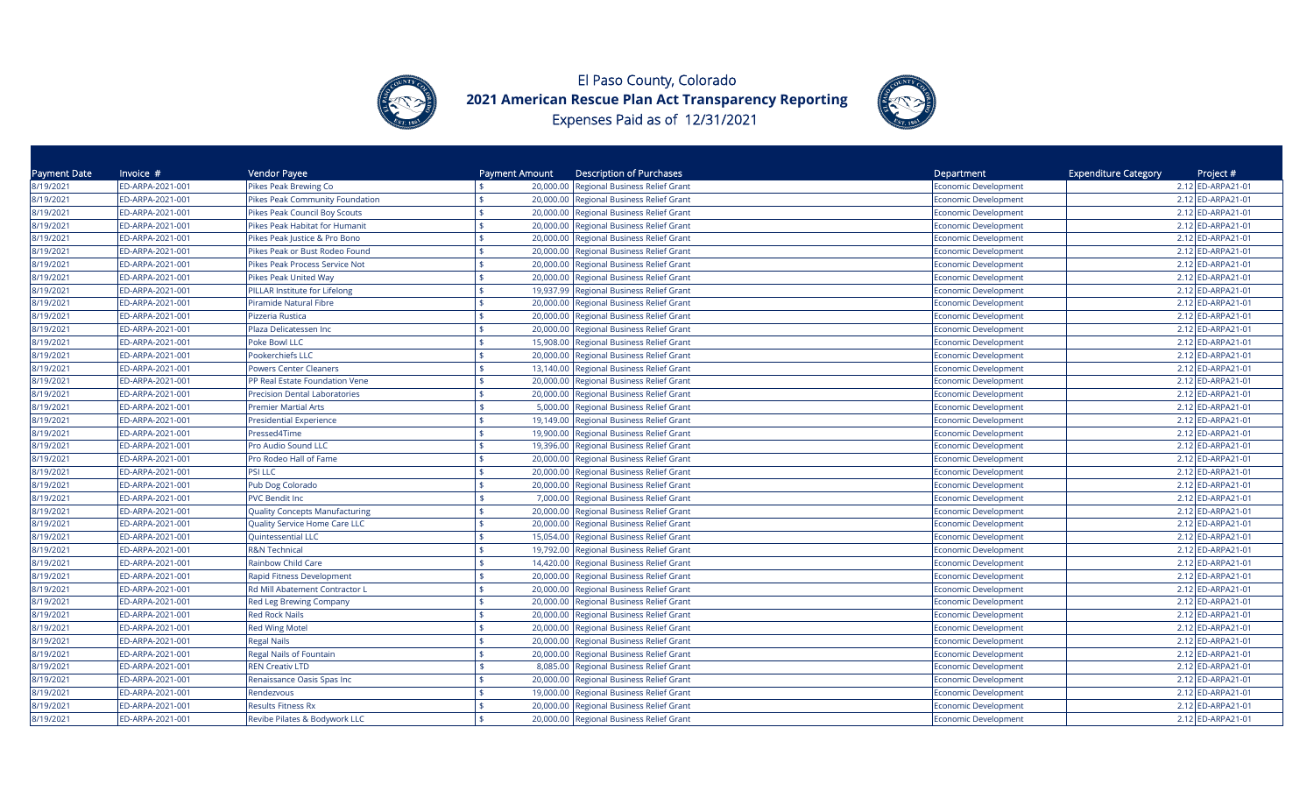



| Payment Date | Invoice $#$      | Vendor Payee                          | Payment Amount | <b>Description of Purchases</b>          | Department                  | <b>Expenditure Category</b><br>Project # |
|--------------|------------------|---------------------------------------|----------------|------------------------------------------|-----------------------------|------------------------------------------|
| 8/19/2021    | ED-ARPA-2021-001 | Pikes Peak Brewing Co                 |                | 20,000.00 Regional Business Relief Grant | <b>Economic Development</b> | 2.12 ED-ARPA21-01                        |
| 8/19/2021    | ED-ARPA-2021-001 | Pikes Peak Community Foundation       | \$.            | 20,000.00 Regional Business Relief Grant | Economic Development        | 2.12 ED-ARPA21-01                        |
| 8/19/2021    | ED-ARPA-2021-001 | Pikes Peak Council Boy Scouts         |                | 20,000.00 Regional Business Relief Grant | Economic Development        | 2.12 ED-ARPA21-01                        |
| 8/19/2021    | ED-ARPA-2021-001 | Pikes Peak Habitat for Humanit        |                | 20,000.00 Regional Business Relief Grant | Economic Development        | 2.12 ED-ARPA21-01                        |
| 8/19/2021    | ED-ARPA-2021-001 | Pikes Peak Justice & Pro Bono         | 20,000.00      | Regional Business Relief Grant           | <b>Economic Development</b> | 2.12 ED-ARPA21-01                        |
| 8/19/2021    | ED-ARPA-2021-001 | Pikes Peak or Bust Rodeo Found        | 20,000.00      | <b>Regional Business Relief Grant</b>    | Economic Development        | 2.12 ED-ARPA21-01                        |
| 8/19/2021    | ED-ARPA-2021-001 | Pikes Peak Process Service Not        | 20,000.00      | Regional Business Relief Grant           | Economic Development        | 2.12 ED-ARPA21-01                        |
| 8/19/2021    | ED-ARPA-2021-001 | Pikes Peak United Way                 | 20,000.00      | Regional Business Relief Grant           | Economic Development        | 2.12 ED-ARPA21-01                        |
| 8/19/2021    | ED-ARPA-2021-001 | PILLAR Institute for Lifelong         | 19,937.99      | Regional Business Relief Grant           | <b>Economic Development</b> | 2.12 ED-ARPA21-01                        |
| 8/19/2021    | ED-ARPA-2021-001 | Piramide Natural Fibre                |                | 20,000.00 Regional Business Relief Grant | <b>Economic Development</b> | 2.12 ED-ARPA21-01                        |
| 8/19/2021    | ED-ARPA-2021-001 | Pizzeria Rustica                      |                | 20,000.00 Regional Business Relief Grant | Economic Development        | 2.12 ED-ARPA21-01                        |
| 8/19/2021    | ED-ARPA-2021-001 | Plaza Delicatessen Inc                |                | 20,000.00 Regional Business Relief Grant | <b>Economic Development</b> | 2.12 ED-ARPA21-01                        |
| 8/19/2021    | ED-ARPA-2021-001 | Poke Bowl LLC                         | 15,908.00      | Regional Business Relief Grant           | <b>Economic Development</b> | 2.12 ED-ARPA21-01                        |
| 8/19/2021    | ED-ARPA-2021-001 | Pookerchiefs LLC                      | 20,000.00      | Regional Business Relief Grant           | Economic Development        | 2.12 ED-ARPA21-01                        |
| 8/19/2021    | ED-ARPA-2021-001 | <b>Powers Center Cleaners</b>         | 13,140.00      | <b>Regional Business Relief Grant</b>    | Economic Development        | 2.12 ED-ARPA21-01                        |
| 8/19/2021    | ED-ARPA-2021-001 | PP Real Estate Foundation Vene        |                | 20,000.00 Regional Business Relief Grant | Economic Development        | 2.12 ED-ARPA21-01                        |
| 8/19/2021    | ED-ARPA-2021-001 | <b>Precision Dental Laboratories</b>  |                | 20,000.00 Regional Business Relief Grant | Economic Development        | 2.12 ED-ARPA21-01                        |
| 8/19/2021    | ED-ARPA-2021-001 | <b>Premier Martial Arts</b>           | \$             | 5,000.00 Regional Business Relief Grant  | Economic Development        | 2.12 ED-ARPA21-01                        |
| 8/19/2021    | ED-ARPA-2021-001 | Presidential Experience               |                | 19,149.00 Regional Business Relief Grant | Economic Development        | 2.12 ED-ARPA21-01                        |
| 8/19/2021    | ED-ARPA-2021-001 | Pressed4Time                          | ፍ<br>19,900.00 | <b>Regional Business Relief Grant</b>    | <b>Economic Development</b> | 2.12 ED-ARPA21-01                        |
| 8/19/2021    | ED-ARPA-2021-001 | Pro Audio Sound LLC                   | 19,396.00      | Regional Business Relief Grant           | <b>Economic Development</b> | 2.12 ED-ARPA21-01                        |
| 8/19/2021    | ED-ARPA-2021-001 | Pro Rodeo Hall of Fame                | 20,000,00      | <b>Regional Business Relief Grant</b>    | <b>Economic Development</b> | 2.12 ED-ARPA21-01                        |
| 8/19/2021    | ED-ARPA-2021-001 | PSI LLC                               | 20,000.00      | Regional Business Relief Grant           | <b>Economic Development</b> | 2.12 ED-ARPA21-01                        |
| 8/19/2021    | ED-ARPA-2021-001 | Pub Dog Colorado                      |                | 20,000.00 Regional Business Relief Grant | Economic Development        | 2.12 ED-ARPA21-01                        |
| 8/19/2021    | ED-ARPA-2021-001 | <b>PVC Bendit Inc</b>                 | ¢<br>7,000.00  | Regional Business Relief Grant           | Economic Development        | 2.12 ED-ARPA21-01                        |
| 8/19/2021    | ED-ARPA-2021-001 | <b>Quality Concepts Manufacturing</b> | 20,000.00      | Regional Business Relief Grant           | <b>Economic Development</b> | 2.12 ED-ARPA21-01                        |
| 8/19/2021    | ED-ARPA-2021-001 | Quality Service Home Care LLC         | 20,000.00      | Regional Business Relief Grant           | Economic Development        | 2.12 ED-ARPA21-01                        |
| 8/19/2021    | ED-ARPA-2021-001 | Quintessential LLC                    |                | 15,054.00 Regional Business Relief Grant | <b>Economic Development</b> | 2.12 ED-ARPA21-01                        |
| 8/19/2021    | ED-ARPA-2021-001 | <b>R&amp;N Technical</b>              | ፍ              | 19,792.00 Regional Business Relief Grant | <b>Economic Development</b> | 2.12 ED-ARPA21-01                        |
| 8/19/2021    | ED-ARPA-2021-001 | Rainbow Child Care                    |                | 14,420.00 Regional Business Relief Grant | <b>Economic Development</b> | 2.12 ED-ARPA21-01                        |
| 8/19/2021    | ED-ARPA-2021-001 | Rapid Fitness Development             | \$             | 20,000.00 Regional Business Relief Grant | <b>Economic Development</b> | 2.12 ED-ARPA21-01                        |
| 8/19/2021    | ED-ARPA-2021-001 | Rd Mill Abatement Contractor L        |                | 20,000.00 Regional Business Relief Grant | Economic Development        | 2.12 ED-ARPA21-01                        |
| 8/19/2021    | ED-ARPA-2021-001 | Red Leg Brewing Company               | 20,000.00      | <b>Regional Business Relief Grant</b>    | <b>Economic Development</b> | 2.12 ED-ARPA21-01                        |
| 8/19/2021    | ED-ARPA-2021-001 | <b>Red Rock Nails</b>                 | 20,000.00      | <b>Regional Business Relief Grant</b>    | Economic Development        | 2.12 ED-ARPA21-01                        |
| 8/19/2021    | ED-ARPA-2021-001 | <b>Red Wing Motel</b>                 |                | 20,000.00 Regional Business Relief Grant | Economic Development        | 2.12 ED-ARPA21-01                        |
| 8/19/2021    | ED-ARPA-2021-001 | <b>Regal Nails</b>                    | 20,000.00      | Regional Business Relief Grant           | Economic Development        | 2.12 ED-ARPA21-01                        |
| 8/19/2021    | ED-ARPA-2021-001 | <b>Regal Nails of Fountain</b>        |                | 20,000.00 Regional Business Relief Grant | <b>Economic Development</b> | 2.12 ED-ARPA21-01                        |
| 8/19/2021    | ED-ARPA-2021-001 | <b>REN Creativ LTD</b>                | \$             | 8,085.00 Regional Business Relief Grant  | <b>Economic Development</b> | 2.12 ED-ARPA21-01                        |
| 8/19/2021    | ED-ARPA-2021-001 | Renaissance Oasis Spas Inc            | 20,000.00      | Regional Business Relief Grant           | <b>Economic Development</b> | 2.12 ED-ARPA21-01                        |
| 8/19/2021    | ED-ARPA-2021-001 | Rendezvous                            | 19,000.00      | Regional Business Relief Grant           | <b>Economic Development</b> | 2.12 ED-ARPA21-01                        |
| 8/19/2021    | ED-ARPA-2021-001 | Results Fitness Rx                    | 20,000.00      | Regional Business Relief Grant           | <b>Economic Development</b> | 2.12 ED-ARPA21-01                        |
| 8/19/2021    | ED-ARPA-2021-001 | Revibe Pilates & Bodywork LLC         |                | 20,000.00 Regional Business Relief Grant | <b>Economic Development</b> | 2.12 ED-ARPA21-01                        |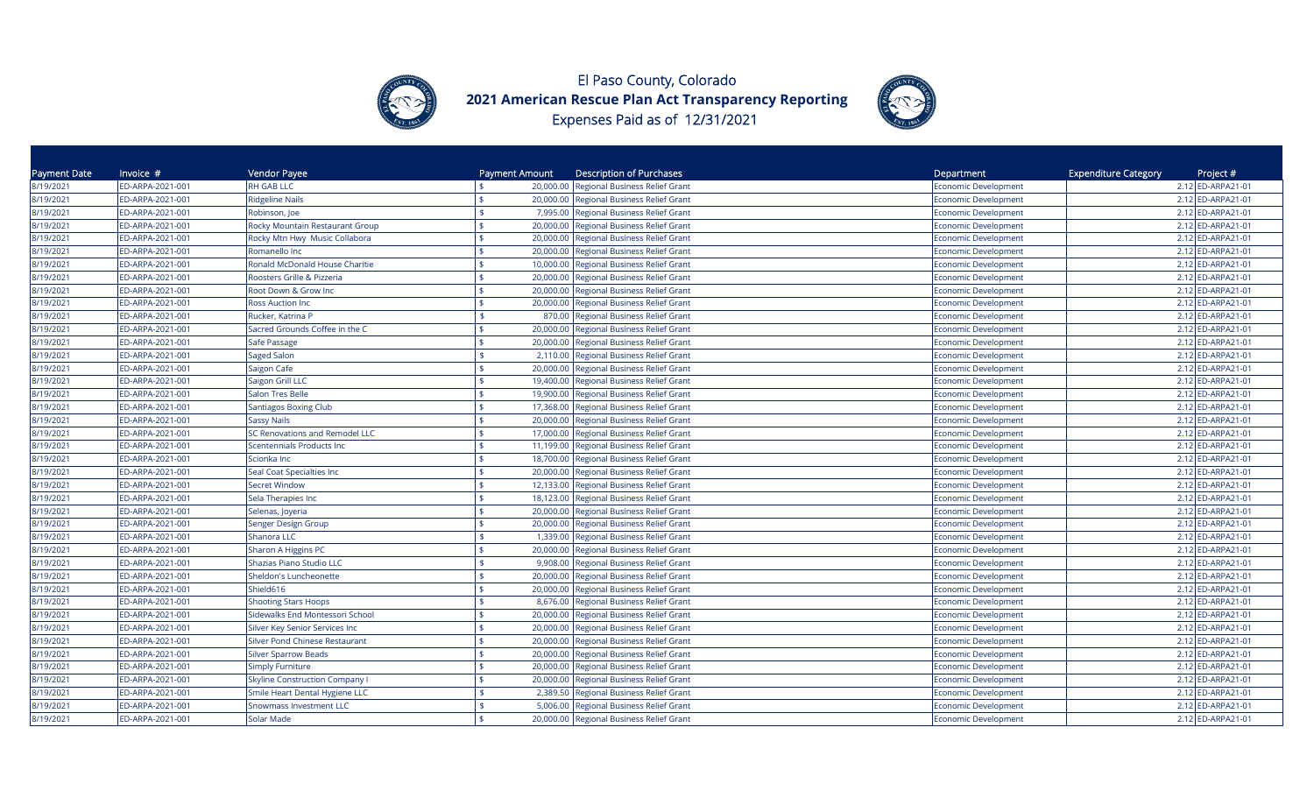



| Payment Date | Invoice #        | Vendor Payee                          | Payment Amount  | <b>Description of Purchases</b>          | Department                  | <b>Expenditure Category</b><br>Project # |
|--------------|------------------|---------------------------------------|-----------------|------------------------------------------|-----------------------------|------------------------------------------|
| 8/19/2021    | ED-ARPA-2021-001 | <b>RH GAB LLC</b>                     | 20,000.00       | <b>Regional Business Relief Grant</b>    | Economic Development        | 2.12 ED-ARPA21-01                        |
| 8/19/2021    | ED-ARPA-2021-001 | <b>Ridgeline Nails</b>                | \$<br>20,000.00 | Regional Business Relief Grant           | Economic Development        | 2.12 ED-ARPA21-01                        |
| 8/19/2021    | ED-ARPA-2021-001 | Robinson, Joe                         | 7,995.00        | Regional Business Relief Grant           | Economic Development        | 2.12 ED-ARPA21-01                        |
| 8/19/2021    | ED-ARPA-2021-001 | Rocky Mountain Restaurant Group       |                 | 20,000.00 Regional Business Relief Grant | Economic Development        | 2.12 ED-ARPA21-01                        |
| 8/19/2021    | ED-ARPA-2021-001 | Rocky Mtn Hwy Music Collabora         | 20,000.00       | Regional Business Relief Grant           | Economic Development        | 2.12 ED-ARPA21-01                        |
| 8/19/2021    | ED-ARPA-2021-001 | Romanello Inc                         | 20,000.00       | Regional Business Relief Grant           | Economic Development        | 2.12 ED-ARPA21-01                        |
| 8/19/2021    | ED-ARPA-2021-001 | Ronald McDonald House Charitie        | 10,000.00       | Regional Business Relief Grant           | <b>Economic Development</b> | 2.12 ED-ARPA21-01                        |
| 8/19/2021    | ED-ARPA-2021-001 | Roosters Grille & Pizzeria            | 20,000.00       | Regional Business Relief Grant           | <b>Economic Development</b> | 2.12 ED-ARPA21-01                        |
| 8/19/2021    | ED-ARPA-2021-001 | Root Down & Grow Inc                  | 20,000.00       | <b>Regional Business Relief Grant</b>    | <b>Economic Development</b> | 2.12 ED-ARPA21-01                        |
| 8/19/2021    | ED-ARPA-2021-001 | <b>Ross Auction Inc</b>               | 20,000.00       | Regional Business Relief Grant           | <b>Economic Development</b> | 2.12 ED-ARPA21-01                        |
| 8/19/2021    | ED-ARPA-2021-001 | Rucker, Katrina P                     | 870.00          | Regional Business Relief Grant           | <b>Economic Development</b> | 2.12 ED-ARPA21-01                        |
| 8/19/2021    | ED-ARPA-2021-001 | Sacred Grounds Coffee in the C        | 20,000.00       | Regional Business Relief Grant           | Economic Development        | 2.12 ED-ARPA21-01                        |
| 8/19/2021    | ED-ARPA-2021-001 | Safe Passage                          | 20,000.00       | Regional Business Relief Grant           | Economic Development        | 2.12 ED-ARPA21-01                        |
| 8/19/2021    | ED-ARPA-2021-001 | Saged Salon                           | 2,110.00        | Regional Business Relief Grant           | <b>Economic Development</b> | 2.12 ED-ARPA21-01                        |
| 8/19/2021    | ED-ARPA-2021-001 | Saigon Cafe                           | 20,000.00       | Regional Business Relief Grant           | Economic Development        | 2.12 ED-ARPA21-01                        |
| 8/19/2021    | ED-ARPA-2021-001 | Saigon Grill LLC                      | 19,400.00       | <b>Regional Business Relief Grant</b>    | <b>Economic Development</b> | 2.12 ED-ARPA21-01                        |
| 8/19/2021    | ED-ARPA-2021-001 | <b>Salon Tres Belle</b>               | 19,900.00       | <b>Regional Business Relief Grant</b>    | Economic Development        | 2.12 ED-ARPA21-01                        |
| 8/19/2021    | ED-ARPA-2021-001 | <b>Santiagos Boxing Club</b>          | 17,368.00       | Regional Business Relief Grant           | Economic Development        | 2.12 ED-ARPA21-01                        |
| 8/19/2021    | ED-ARPA-2021-001 | <b>Sassy Nails</b>                    |                 | 20,000.00 Regional Business Relief Grant | <b>Economic Development</b> | 2.12 ED-ARPA21-01                        |
| 8/19/2021    | ED-ARPA-2021-001 | <b>SC Renovations and Remodel LLC</b> | 17,000.00       | <b>Regional Business Relief Grant</b>    | Economic Development        | 2.12 ED-ARPA21-01                        |
| 8/19/2021    | ED-ARPA-2021-001 | Scentennials Products Inc             | 11,199.00       | Regional Business Relief Grant           | Economic Development        | 2.12 ED-ARPA21-01                        |
| 8/19/2021    | ED-ARPA-2021-001 | Scionka Inc                           | 18,700.00       | Regional Business Relief Grant           | <b>Economic Development</b> | 2.12 ED-ARPA21-01                        |
| 8/19/2021    | ED-ARPA-2021-001 | Seal Coat Specialties Inc             | 20,000.00       | Regional Business Relief Grant           | <b>Economic Development</b> | 2.12 ED-ARPA21-01                        |
| 8/19/2021    | ED-ARPA-2021-001 | <b>Secret Window</b>                  |                 | 12,133.00 Regional Business Relief Grant | <b>Economic Development</b> | 2.12 ED-ARPA21-01                        |
| 8/19/2021    | ED-ARPA-2021-001 | Sela Therapies Inc                    |                 | 18,123.00 Regional Business Relief Grant | <b>Economic Development</b> | 2.12 ED-ARPA21-01                        |
| 8/19/2021    | ED-ARPA-2021-001 | Selenas, Joyeria                      |                 | 20,000.00 Regional Business Relief Grant | <b>Economic Development</b> | 2.12 ED-ARPA21-01                        |
| 8/19/2021    | ED-ARPA-2021-001 | Senger Design Group                   | 20,000.00       | Regional Business Relief Grant           | <b>Economic Development</b> | 2.12 ED-ARPA21-01                        |
| 8/19/2021    | ED-ARPA-2021-001 | Shanora LLC                           | \$<br>1,339.00  | Regional Business Relief Grant           | <b>Economic Development</b> | 2.12 ED-ARPA21-01                        |
| 8/19/2021    | ED-ARPA-2021-001 | Sharon A Higgins PC                   | 20,000.00       | Regional Business Relief Grant           | Economic Development        | 2.12 ED-ARPA21-01                        |
| 8/19/2021    | ED-ARPA-2021-001 | Shazias Piano Studio LLC              | 9,908.00<br>\$  | Regional Business Relief Grant           | Economic Development        | 2.12 ED-ARPA21-01                        |
| 8/19/2021    | ED-ARPA-2021-001 | Sheldon's Luncheonette                | 20,000.00       | <b>Regional Business Relief Grant</b>    | Economic Development        | 2.12 ED-ARPA21-01                        |
| 8/19/2021    | ED-ARPA-2021-001 | Shield616                             | 20,000.00       | Regional Business Relief Grant           | Economic Development        | 2.12 ED-ARPA21-01                        |
| 8/19/2021    | ED-ARPA-2021-001 | <b>Shooting Stars Hoops</b>           | 8,676.00        | <b>Regional Business Relief Grant</b>    | Economic Development        | 2.12 ED-ARPA21-01                        |
| 8/19/2021    | ED-ARPA-2021-001 | Sidewalks End Montessori School       | 20,000.00       | Regional Business Relief Grant           | Economic Development        | 2.12 ED-ARPA21-01                        |
| 8/19/2021    | ED-ARPA-2021-001 | Silver Key Senior Services Inc        | 20,000.00       | <b>Regional Business Relief Grant</b>    | Economic Development        | 2.12 ED-ARPA21-01                        |
| 8/19/2021    | ED-ARPA-2021-001 | <b>Silver Pond Chinese Restaurant</b> | 20,000.00       | <b>Regional Business Relief Grant</b>    | Economic Development        | 2.12 ED-ARPA21-01                        |
| 8/19/2021    | ED-ARPA-2021-001 | <b>Silver Sparrow Beads</b>           | 20,000.00       | <b>Regional Business Relief Grant</b>    | Economic Development        | 2.12 ED-ARPA21-01                        |
| 8/19/2021    | ED-ARPA-2021-001 | <b>Simply Furniture</b>               | 20,000.00       | Regional Business Relief Grant           | Economic Development        | 2.12 ED-ARPA21-01                        |
| 8/19/2021    | ED-ARPA-2021-001 | <b>Skyline Construction Company I</b> | 20,000.00       | Regional Business Relief Grant           | <b>Economic Development</b> | 2.12 ED-ARPA21-01                        |
| 8/19/2021    | ED-ARPA-2021-001 | Smile Heart Dental Hygiene LLC        | 2,389.50        | Regional Business Relief Grant           | <b>Economic Development</b> | 2.12 ED-ARPA21-01                        |
| 8/19/2021    | ED-ARPA-2021-001 | Snowmass Investment LLC               | 5,006.00        | Regional Business Relief Grant           | Economic Development        | 2.12 ED-ARPA21-01                        |
| 8/19/2021    | ED-ARPA-2021-001 | <b>Solar Made</b>                     |                 | 20,000.00 Regional Business Relief Grant | <b>Economic Development</b> | 2.12 ED-ARPA21-01                        |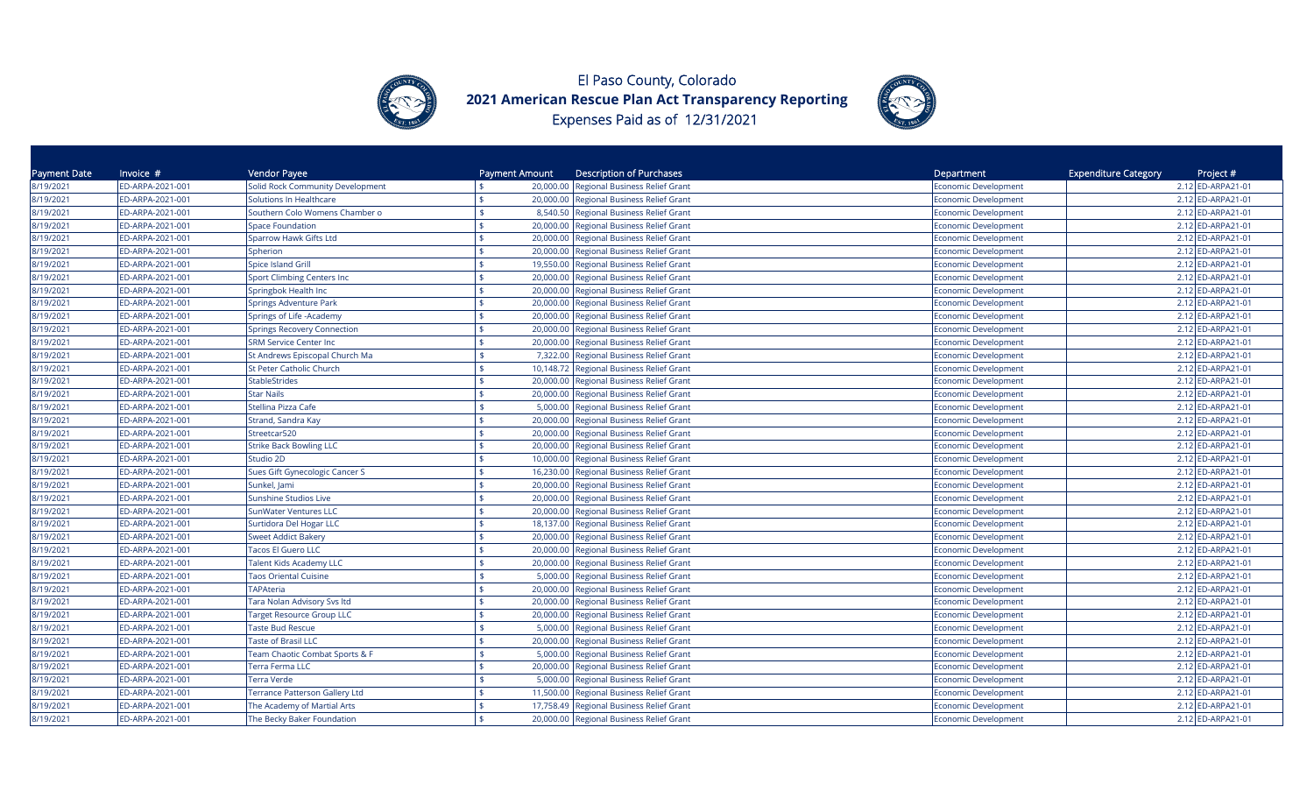



| Payment Date | Invoice $#$      | Vendor Payee                              | Payment Amount                  | <b>Description of Purchases</b>          | Department |                             | <b>Expenditure Category</b> | Project #         |
|--------------|------------------|-------------------------------------------|---------------------------------|------------------------------------------|------------|-----------------------------|-----------------------------|-------------------|
| 8/19/2021    | ED-ARPA-2021-001 | Solid Rock Community Development          |                                 | 20,000.00 Regional Business Relief Grant |            | <b>Economic Development</b> |                             | 2.12 ED-ARPA21-01 |
| 8/19/2021    | ED-ARPA-2021-001 | Solutions In Healthcare                   | ¢                               | 20,000.00 Regional Business Relief Grant |            | Economic Development        |                             | 2.12 ED-ARPA21-01 |
| 8/19/2021    | ED-ARPA-2021-001 | Southern Colo Womens Chamber o            | ¢                               | 8,540.50 Regional Business Relief Grant  |            | Economic Development        |                             | 2.12 ED-ARPA21-01 |
| 8/19/2021    | ED-ARPA-2021-001 | <b>Space Foundation</b>                   |                                 | 20,000.00 Regional Business Relief Grant |            | Economic Development        |                             | 2.12 ED-ARPA21-01 |
| 8/19/2021    | ED-ARPA-2021-001 | Sparrow Hawk Gifts Ltd                    | 20,000.00                       | Regional Business Relief Grant           |            | <b>Economic Development</b> |                             | 2.12 ED-ARPA21-01 |
| 8/19/2021    | ED-ARPA-2021-001 | Spherion                                  | 20,000.00                       | <b>Regional Business Relief Grant</b>    |            | <b>Economic Development</b> |                             | 2.12 ED-ARPA21-01 |
| 8/19/2021    | ED-ARPA-2021-001 | Spice Island Grill                        | 19,550.00                       | <b>Regional Business Relief Grant</b>    |            | <b>Economic Development</b> |                             | 2.12 ED-ARPA21-01 |
| 8/19/2021    | ED-ARPA-2021-001 | <b>Sport Climbing Centers Inc</b>         | 20,000.00                       | Regional Business Relief Grant           |            | Economic Development        |                             | 2.12 ED-ARPA21-01 |
| 8/19/2021    | ED-ARPA-2021-001 | Springbok Health Inc                      | 20,000.00                       | Regional Business Relief Grant           |            | <b>Economic Development</b> |                             | 2.12 ED-ARPA21-01 |
| 8/19/2021    | ED-ARPA-2021-001 | Springs Adventure Park                    |                                 | 20,000.00 Regional Business Relief Grant |            | <b>Economic Development</b> |                             | 2.12 ED-ARPA21-01 |
| 8/19/2021    | ED-ARPA-2021-001 | Springs of Life - Academy                 |                                 | 20,000.00 Regional Business Relief Grant |            | <b>Economic Development</b> |                             | 2.12 ED-ARPA21-01 |
| 8/19/2021    | ED-ARPA-2021-001 | Springs Recovery Connection               | 20,000.00                       | Regional Business Relief Grant           |            | <b>Economic Development</b> |                             | 2.12 ED-ARPA21-01 |
| 8/19/2021    | ED-ARPA-2021-001 | <b>SRM Service Center Inc</b>             | 20,000.00                       | Regional Business Relief Grant           |            | Economic Development        |                             | 2.12 ED-ARPA21-01 |
| 8/19/2021    | ED-ARPA-2021-001 | St Andrews Episcopal Church Ma            | 7,322.00                        | <b>Regional Business Relief Grant</b>    |            | <b>Economic Development</b> |                             | 2.12 ED-ARPA21-01 |
| 8/19/2021    | ED-ARPA-2021-001 | St Peter Catholic Church                  | 10,148.72                       | <b>Regional Business Relief Grant</b>    |            | <b>Economic Development</b> |                             | 2.12 ED-ARPA21-01 |
| 8/19/2021    | ED-ARPA-2021-001 | <b>StableStrides</b>                      |                                 | 20,000.00 Regional Business Relief Grant |            | <b>Economic Development</b> |                             | 2.12 ED-ARPA21-01 |
| 8/19/2021    | ED-ARPA-2021-001 | <b>Star Nails</b>                         |                                 | 20,000.00 Regional Business Relief Grant |            | <b>Economic Development</b> |                             | 2.12 ED-ARPA21-01 |
| 8/19/2021    | ED-ARPA-2021-001 | Stellina Pizza Cafe                       | \$<br>5,000.00                  | Regional Business Relief Grant           |            | <b>Economic Development</b> |                             | 2.12 ED-ARPA21-01 |
| 8/19/2021    | ED-ARPA-2021-001 | Strand, Sandra Kay                        |                                 | 20,000.00 Regional Business Relief Grant |            | Economic Development        |                             | 2.12 ED-ARPA21-01 |
| 8/19/2021    | ED-ARPA-2021-001 | Streetcar520                              | 20,000.00                       | Regional Business Relief Grant           |            | <b>Economic Development</b> |                             | 2.12 ED-ARPA21-01 |
| 8/19/2021    | ED-ARPA-2021-001 | <b>Strike Back Bowling LLC</b>            | 20,000.00                       | Regional Business Relief Grant           |            | Economic Development        |                             | 2.12 ED-ARPA21-01 |
| 8/19/2021    | ED-ARPA-2021-001 | Studio 2D                                 | 10,000.00                       | Regional Business Relief Grant           |            | Economic Development        |                             | 2.12 ED-ARPA21-01 |
| 8/19/2021    | ED-ARPA-2021-001 | Sues Gift Gynecologic Cancer S            | ፍ<br>16,230.00                  | Regional Business Relief Grant           |            | Economic Development        |                             | 2.12 ED-ARPA21-01 |
| 8/19/2021    | ED-ARPA-2021-001 | Sunkel, Jami                              | 20,000.00                       | Regional Business Relief Grant           |            | <b>Economic Development</b> |                             | 2.12 ED-ARPA21-01 |
| 8/19/2021    | ED-ARPA-2021-001 | <b>Sunshine Studios Live</b>              | \$.<br>20,000.00                | Regional Business Relief Grant           |            | Economic Development        |                             | 2.12 ED-ARPA21-01 |
| 8/19/2021    | ED-ARPA-2021-001 | <b>SunWater Ventures LLC</b>              |                                 | 20,000.00 Regional Business Relief Grant |            | <b>Economic Development</b> |                             | 2.12 ED-ARPA21-01 |
| 8/19/2021    | ED-ARPA-2021-001 | Surtidora Del Hogar LLC                   | 18,137.00<br>ፍ                  | Regional Business Relief Grant           |            | Economic Development        |                             | 2.12 ED-ARPA21-01 |
| 8/19/2021    | ED-ARPA-2021-001 | <b>Sweet Addict Bakery</b>                |                                 | 20,000.00 Regional Business Relief Grant |            | Economic Development        |                             | 2.12 ED-ARPA21-01 |
| 8/19/2021    | ED-ARPA-2021-001 | <b>Tacos El Guero LLC</b>                 | 20,000.00<br>ፍ                  | Regional Business Relief Grant           |            | Economic Development        |                             | 2.12 ED-ARPA21-01 |
| 8/19/2021    | ED-ARPA-2021-001 | <b>Talent Kids Academy LLC</b>            | \$<br>20,000.00                 | <b>Regional Business Relief Grant</b>    |            | <b>Economic Development</b> |                             | 2.12 ED-ARPA21-01 |
| 8/19/2021    | ED-ARPA-2021-001 | <b>Taos Oriental Cuisine</b>              | \$                              | 5,000.00 Regional Business Relief Grant  |            | Economic Development        |                             | 2.12 ED-ARPA21-01 |
| 8/19/2021    | ED-ARPA-2021-001 | <b>TAPAteria</b>                          | 20,000.00                       | Regional Business Relief Grant           |            | Economic Development        |                             | 2.12 ED-ARPA21-01 |
| 8/19/2021    | ED-ARPA-2021-001 | <b>Tara Nolan Advisory Svs ltd</b>        | 20,000.00                       | Regional Business Relief Grant           |            | Economic Development        |                             | 2.12 ED-ARPA21-01 |
| 8/19/2021    | ED-ARPA-2021-001 | <b>Target Resource Group LLC</b>          | $\mathbf{\hat{S}}$<br>20,000.00 | <b>Regional Business Relief Grant</b>    |            | <b>Economic Development</b> |                             | 2.12 ED-ARPA21-01 |
| 8/19/2021    | ED-ARPA-2021-001 | <b>Taste Bud Rescue</b>                   |                                 | 5,000.00 Regional Business Relief Grant  |            | <b>Economic Development</b> |                             | 2.12 ED-ARPA21-01 |
| 8/19/2021    | ED-ARPA-2021-001 | <b>Taste of Brasil LLC</b>                | 20,000.00                       | Regional Business Relief Grant           |            | <b>Economic Development</b> |                             | 2.12 ED-ARPA21-01 |
| 8/19/2021    | ED-ARPA-2021-001 | <b>Team Chaotic Combat Sports &amp; F</b> | 5,000.00<br>\$                  | Regional Business Relief Grant           |            | <b>Economic Development</b> |                             | 2.12 ED-ARPA21-01 |
| 8/19/2021    | ED-ARPA-2021-001 | Terra Ferma LLC                           | \$                              | 20,000.00 Regional Business Relief Grant |            | Economic Development        |                             | 2.12 ED-ARPA21-01 |
| 8/19/2021    | ED-ARPA-2021-001 | Terra Verde                               | 5,000.00                        | Regional Business Relief Grant           |            | <b>Economic Development</b> |                             | 2.12 ED-ARPA21-01 |
| 8/19/2021    | ED-ARPA-2021-001 | Terrance Patterson Gallery Ltd            | 11,500.00                       | Regional Business Relief Grant           |            | <b>Economic Development</b> |                             | 2.12 ED-ARPA21-01 |
| 8/19/2021    | ED-ARPA-2021-001 | The Academy of Martial Arts               | 17,758.49                       | Regional Business Relief Grant           |            | <b>Economic Development</b> |                             | 2.12 ED-ARPA21-01 |
| 8/19/2021    | ED-ARPA-2021-001 | The Becky Baker Foundation                |                                 | 20,000.00 Regional Business Relief Grant |            | <b>Economic Development</b> |                             | 2.12 ED-ARPA21-01 |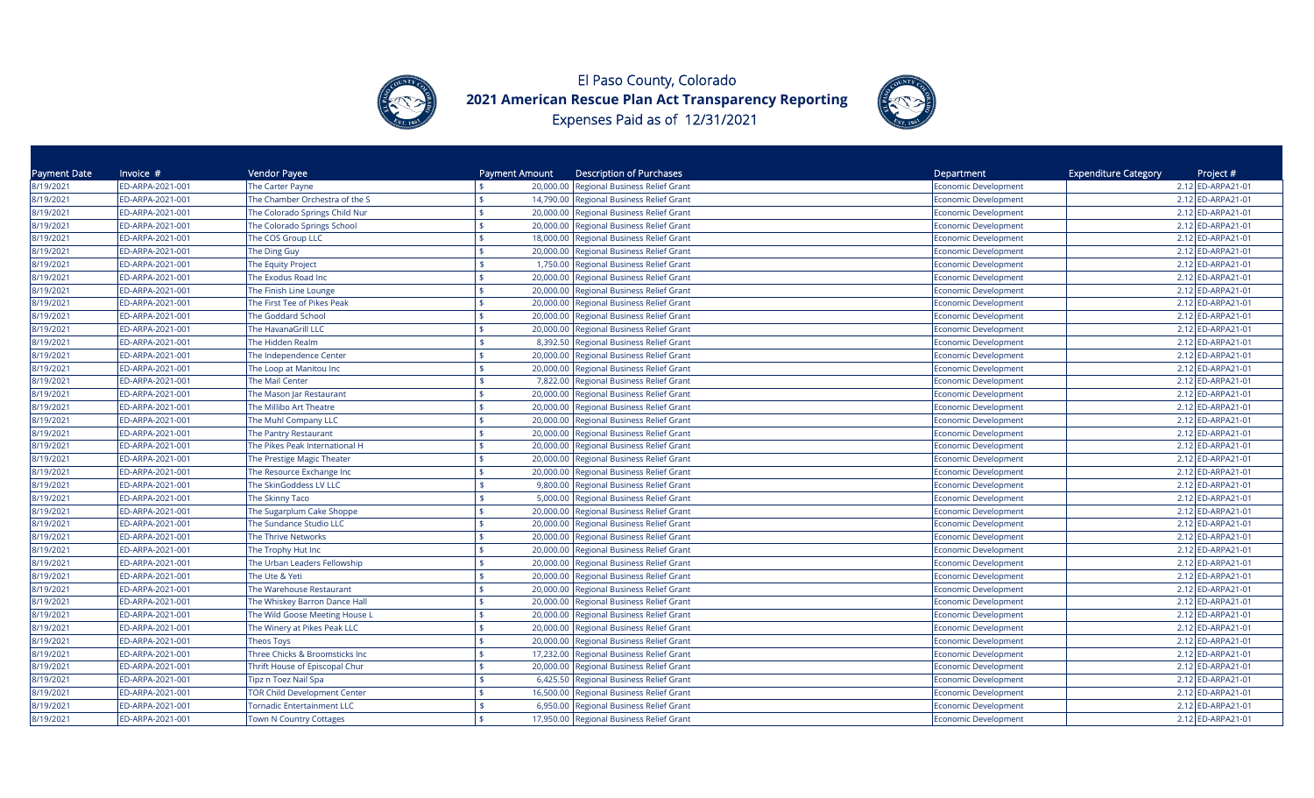



| Payment Date | Invoice #        | Vendor Payee                        | Payment Amount  | <b>Description of Purchases</b>          | Department                  | <b>Expenditure Category</b><br>Project # |
|--------------|------------------|-------------------------------------|-----------------|------------------------------------------|-----------------------------|------------------------------------------|
| 8/19/2021    | ED-ARPA-2021-001 | The Carter Payne                    | 20,000.00       | <b>Regional Business Relief Grant</b>    | Economic Development        | 2.12 ED-ARPA21-01                        |
| 8/19/2021    | ED-ARPA-2021-001 | The Chamber Orchestra of the S      |                 | 14,790.00 Regional Business Relief Grant | Economic Development        | 2.12 ED-ARPA21-01                        |
| 8/19/2021    | ED-ARPA-2021-001 | The Colorado Springs Child Nur      |                 | 20,000.00 Regional Business Relief Grant | Economic Development        | 2.12 ED-ARPA21-01                        |
| 8/19/2021    | ED-ARPA-2021-001 | The Colorado Springs School         | 20,000.00       | Regional Business Relief Grant           | Economic Development        | 2.12 ED-ARPA21-01                        |
| 8/19/2021    | ED-ARPA-2021-001 | The COS Group LLC                   | 18,000.00       | Regional Business Relief Grant           | Economic Development        | 2.12 ED-ARPA21-01                        |
| 8/19/2021    | ED-ARPA-2021-001 | The Ding Guy                        | 20,000.00       | Regional Business Relief Grant           | <b>Economic Development</b> | 2.12 ED-ARPA21-01                        |
| 8/19/2021    | ED-ARPA-2021-001 | The Equity Project                  | 1,750.00        | <b>Regional Business Relief Grant</b>    | <b>Economic Development</b> | 2.12 ED-ARPA21-01                        |
| 8/19/2021    | ED-ARPA-2021-001 | The Exodus Road Inc                 |                 | 20,000.00 Regional Business Relief Grant | <b>Economic Development</b> | 2.12 ED-ARPA21-01                        |
| 8/19/2021    | ED-ARPA-2021-001 | The Finish Line Lounge              |                 | 20,000.00 Regional Business Relief Grant | <b>Economic Development</b> | 2.12 ED-ARPA21-01                        |
| 8/19/2021    | ED-ARPA-2021-001 | The First Tee of Pikes Peak         | 20,000.00       | Regional Business Relief Grant           | Economic Development        | 2.12 ED-ARPA21-01                        |
| 8/19/2021    | ED-ARPA-2021-001 | <b>The Goddard School</b>           |                 | 20,000.00 Regional Business Relief Grant | Economic Development        | 2.12 ED-ARPA21-01                        |
| 8/19/2021    | ED-ARPA-2021-001 | The HavanaGrill LLC                 | 20,000.00       | <b>Regional Business Relief Grant</b>    | Economic Development        | 2.12 ED-ARPA21-01                        |
| 8/19/2021    | ED-ARPA-2021-001 | The Hidden Realm                    | 8,392.50        | Regional Business Relief Grant           | Economic Development        | 2.12 ED-ARPA21-01                        |
| 8/19/2021    | ED-ARPA-2021-001 | The Independence Center             | 20,000.00       | Regional Business Relief Grant           | Economic Development        | 2.12 ED-ARPA21-01                        |
| 8/19/2021    | ED-ARPA-2021-001 | The Loop at Manitou Inc             |                 | 20,000.00 Regional Business Relief Grant | <b>Economic Development</b> | 2.12 ED-ARPA21-01                        |
| 8/19/2021    | ED-ARPA-2021-001 | The Mail Center                     | \$              | 7,822.00 Regional Business Relief Grant  | <b>Economic Development</b> | 2.12 ED-ARPA21-01                        |
| 8/19/2021    | ED-ARPA-2021-001 | The Mason Jar Restaurant            | 20,000.00       | Regional Business Relief Grant           | Economic Development        | 2.12 ED-ARPA21-01                        |
| 8/19/2021    | ED-ARPA-2021-001 | The Millibo Art Theatre             | 20,000.00       | Regional Business Relief Grant           | Economic Development        | 2.12 ED-ARPA21-01                        |
| 8/19/2021    | ED-ARPA-2021-001 | The Muhl Company LLC                | 20,000.00       | Regional Business Relief Grant           | <b>Economic Development</b> | 2.12 ED-ARPA21-01                        |
| 8/19/2021    | ED-ARPA-2021-001 | The Pantry Restaurant               | 20,000.00       | Regional Business Relief Grant           | <b>Economic Development</b> | 2.12 ED-ARPA21-01                        |
| 8/19/2021    | ED-ARPA-2021-001 | The Pikes Peak International H      | 20,000.00       | Regional Business Relief Grant           | <b>Economic Development</b> | 2.12 ED-ARPA21-01                        |
| 8/19/2021    | ED-ARPA-2021-001 | The Prestige Magic Theater          | 20,000.00       | Regional Business Relief Grant           | Economic Development        | 2.12 ED-ARPA21-01                        |
| 8/19/2021    | ED-ARPA-2021-001 | The Resource Exchange Inc           | \$<br>20,000.00 | <b>Regional Business Relief Grant</b>    | Economic Development        | 2.12 ED-ARPA21-01                        |
| 8/19/2021    | ED-ARPA-2021-001 | The SkinGoddess LV LLC              | 9,800.00        | Regional Business Relief Grant           | Economic Development        | 2.12 ED-ARPA21-01                        |
| 8/19/2021    | ED-ARPA-2021-001 | The Skinny Taco                     |                 | 5,000.00 Regional Business Relief Grant  | Economic Development        | 2.12 ED-ARPA21-01                        |
| 8/19/2021    | ED-ARPA-2021-001 | The Sugarplum Cake Shoppe           | 20,000.00       | Regional Business Relief Grant           | <b>Economic Development</b> | 2.12 ED-ARPA21-01                        |
| 8/19/2021    | ED-ARPA-2021-001 | The Sundance Studio LLC             | 20,000.00       | Regional Business Relief Grant           | Economic Development        | 2.12 ED-ARPA21-01                        |
| 8/19/2021    | ED-ARPA-2021-001 | The Thrive Networks                 | 20,000.00       | Regional Business Relief Grant           | <b>Economic Development</b> | 2.12 ED-ARPA21-01                        |
| 8/19/2021    | ED-ARPA-2021-001 | The Trophy Hut Inc                  | 20,000.00       | Regional Business Relief Grant           | <b>Economic Development</b> | 2.12 ED-ARPA21-01                        |
| 8/19/2021    | ED-ARPA-2021-001 | The Urban Leaders Fellowship        | \$<br>20,000.00 | Regional Business Relief Grant           | <b>Economic Development</b> | 2.12 ED-ARPA21-01                        |
| 8/19/2021    | ED-ARPA-2021-001 | The Ute & Yeti                      | 20,000.00       | Regional Business Relief Grant           | <b>Economic Development</b> | 2.12 ED-ARPA21-01                        |
| 8/19/2021    | ED-ARPA-2021-001 | The Warehouse Restaurant            |                 | 20,000.00 Regional Business Relief Grant | Economic Development        | 2.12 ED-ARPA21-01                        |
| 8/19/2021    | ED-ARPA-2021-001 | The Whiskey Barron Dance Hall       | 20,000.00       | <b>Regional Business Relief Grant</b>    | Economic Development        | 2.12 ED-ARPA21-01                        |
| 8/19/2021    | ED-ARPA-2021-001 | The Wild Goose Meeting House L      | 20,000.00       | <b>Regional Business Relief Grant</b>    | Economic Development        | 2.12 ED-ARPA21-01                        |
| 8/19/2021    | ED-ARPA-2021-001 | The Winery at Pikes Peak LLC        | 20,000.00       | Regional Business Relief Grant           | Economic Development        | 2.12 ED-ARPA21-01                        |
| 8/19/2021    | ED-ARPA-2021-001 | Theos Toys                          | 20,000.00       | <b>Regional Business Relief Grant</b>    | Economic Development        | 2.12 ED-ARPA21-01                        |
| 8/19/2021    | ED-ARPA-2021-001 | Three Chicks & Broomsticks Inc      | 17,232.00       | Regional Business Relief Grant           | Economic Development        | 2.12 ED-ARPA21-01                        |
| 8/19/2021    | ED-ARPA-2021-001 | Thrift House of Episcopal Chur      |                 | 20,000.00 Regional Business Relief Grant | Economic Development        | 2.12 ED-ARPA21-01                        |
| 8/19/2021    | ED-ARPA-2021-001 | Tipz n Toez Nail Spa                |                 | 6,425.50 Regional Business Relief Grant  | <b>Economic Development</b> | 2.12 ED-ARPA21-01                        |
| 8/19/2021    | ED-ARPA-2021-001 | <b>TOR Child Development Center</b> | 16,500.00       | Regional Business Relief Grant           | <b>Economic Development</b> | 2.12 ED-ARPA21-01                        |
| 8/19/2021    | ED-ARPA-2021-001 | <b>Tornadic Entertainment LLC</b>   | 6,950.00        | Regional Business Relief Grant           | <b>Economic Development</b> | 2.12 ED-ARPA21-01                        |
| 8/19/2021    | ED-ARPA-2021-001 | <b>Town N Country Cottages</b>      |                 | 17,950.00 Regional Business Relief Grant | <b>Economic Development</b> | 2.12 ED-ARPA21-01                        |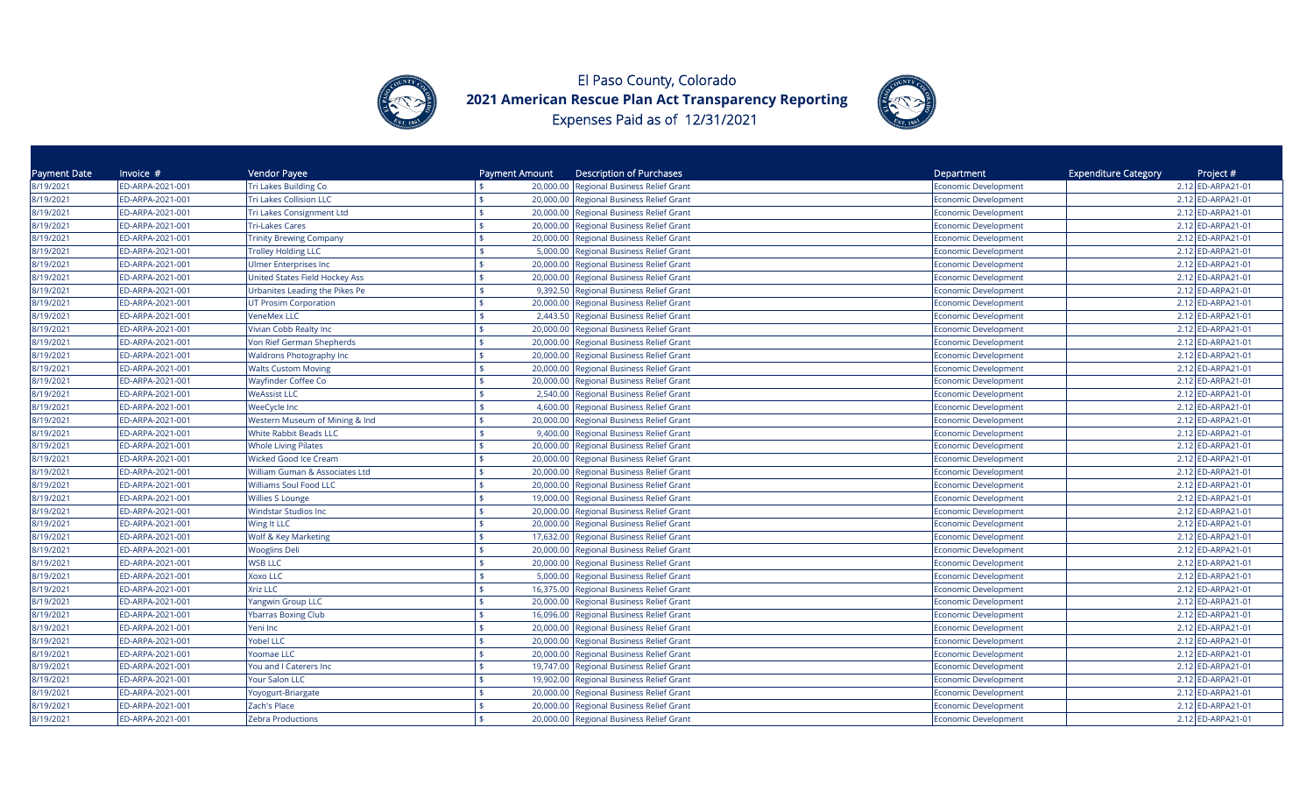



| Payment Date | Invoice $#$      | Vendor Payee                    | Payment Amount | <b>Description of Purchases</b>                    | Department                  | <b>Expenditure Category</b><br>Project # |
|--------------|------------------|---------------------------------|----------------|----------------------------------------------------|-----------------------------|------------------------------------------|
| 8/19/2021    | ED-ARPA-2021-001 | Tri Lakes Building Co           |                | 20,000.00 Regional Business Relief Grant           | Economic Development        | 2.12 ED-ARPA21-01                        |
| 8/19/2021    | ED-ARPA-2021-001 | <b>Tri Lakes Collision LLC</b>  | \$             | 20,000.00 Regional Business Relief Grant           | Economic Development        | 2.12 ED-ARPA21-01                        |
| 8/19/2021    | ED-ARPA-2021-001 | Tri Lakes Consignment Ltd       |                | 20,000.00 Regional Business Relief Grant           | Economic Development        | 2.12 ED-ARPA21-01                        |
| 8/19/2021    | ED-ARPA-2021-001 | <b>Tri-Lakes Cares</b>          |                | 20,000.00<br>Regional Business Relief Grant        | Economic Development        | 2.12 ED-ARPA21-01                        |
| 8/19/2021    | ED-ARPA-2021-001 | <b>Trinity Brewing Company</b>  | \$             | 20,000.00<br>Regional Business Relief Grant        | Economic Development        | 2.12 ED-ARPA21-01                        |
| 8/19/2021    | ED-ARPA-2021-001 | <b>Trolley Holding LLC</b>      |                | Regional Business Relief Grant<br>5,000.00         | <b>Economic Development</b> | 2.12 ED-ARPA21-01                        |
| 8/19/2021    | ED-ARPA-2021-001 | <b>Ulmer Enterprises Inc</b>    |                | 20,000.00<br>Regional Business Relief Grant        | <b>Economic Development</b> | 2.12 ED-ARPA21-01                        |
| 8/19/2021    | ED-ARPA-2021-001 | United States Field Hockey Ass  |                | Regional Business Relief Grant<br>20,000.00        | <b>Economic Development</b> | 2.12 ED-ARPA21-01                        |
| 8/19/2021    | ED-ARPA-2021-001 | Urbanites Leading the Pikes Pe  |                | <b>Regional Business Relief Grant</b><br>9,392.50  | <b>Economic Development</b> | 2.12 ED-ARPA21-01                        |
| 8/19/2021    | ED-ARPA-2021-001 | <b>UT Prosim Corporation</b>    |                | 20,000.00 Regional Business Relief Grant           | <b>Economic Development</b> | 2.12 ED-ARPA21-01                        |
| 8/19/2021    | ED-ARPA-2021-001 | <b>VeneMex LLC</b>              |                | 2,443.50 Regional Business Relief Grant            | <b>Economic Development</b> | 2.12 ED-ARPA21-01                        |
| 8/19/2021    | ED-ARPA-2021-001 | Vivian Cobb Realty Inc          |                | 20,000.00<br><b>Regional Business Relief Grant</b> | <b>Economic Development</b> | 2.12 ED-ARPA21-01                        |
| 8/19/2021    | ED-ARPA-2021-001 | Von Rief German Shepherds       |                | 20,000.00<br><b>Regional Business Relief Grant</b> | Economic Development        | 2.12 ED-ARPA21-01                        |
| 8/19/2021    | ED-ARPA-2021-001 | <b>Waldrons Photography Inc</b> |                | 20,000.00<br><b>Regional Business Relief Grant</b> | <b>Economic Development</b> | 2.12 ED-ARPA21-01                        |
| 8/19/2021    | ED-ARPA-2021-001 | <b>Walts Custom Moving</b>      |                | Regional Business Relief Grant<br>20,000.00        | <b>Economic Development</b> | 2.12 ED-ARPA21-01                        |
| 8/19/2021    | ED-ARPA-2021-001 | Wayfinder Coffee Co             | \$             | 20,000.00 Regional Business Relief Grant           | Economic Development        | 2.12 ED-ARPA21-01                        |
| 8/19/2021    | ED-ARPA-2021-001 | <b>WeAssist LLC</b>             |                | 2,540.00 Regional Business Relief Grant            | Economic Development        | 2.12 ED-ARPA21-01                        |
| 8/19/2021    | ED-ARPA-2021-001 | <b>WeeCycle Inc</b>             |                | 4,600.00<br><b>Regional Business Relief Grant</b>  | Economic Development        | 2.12 ED-ARPA21-01                        |
| 8/19/2021    | ED-ARPA-2021-001 | Western Museum of Mining & Ind  |                | 20,000.00<br>Regional Business Relief Grant        | Economic Development        | 2.12 ED-ARPA21-01                        |
| 8/19/2021    | ED-ARPA-2021-001 | White Rabbit Beads LLC          |                | <b>Regional Business Relief Grant</b><br>9.400.00  | Economic Development        | 2.12 ED-ARPA21-01                        |
| 8/19/2021    | ED-ARPA-2021-001 | <b>Whole Living Pilates</b>     |                | 20,000.00<br>Regional Business Relief Grant        | <b>Economic Development</b> | 2.12 ED-ARPA21-01                        |
| 8/19/2021    | ED-ARPA-2021-001 | <b>Wicked Good Ice Cream</b>    |                | Regional Business Relief Grant<br>20,000.00        | <b>Economic Development</b> | 2.12 ED-ARPA21-01                        |
| 8/19/2021    | ED-ARPA-2021-001 | William Guman & Associates Ltd  | \$             | 20,000.00<br>Regional Business Relief Grant        | <b>Economic Development</b> | 2.12 ED-ARPA21-01                        |
| 8/19/2021    | ED-ARPA-2021-001 | <b>Williams Soul Food LLC</b>   |                | 20,000.00<br>Regional Business Relief Grant        | <b>Economic Development</b> | 2.12 ED-ARPA21-01                        |
| 8/19/2021    | ED-ARPA-2021-001 | <b>Willies S Lounge</b>         | \$             | 19,000.00 Regional Business Relief Grant           | <b>Economic Development</b> | 2.12 ED-ARPA21-01                        |
| 8/19/2021    | ED-ARPA-2021-001 | <b>Windstar Studios Inc</b>     |                | 20,000.00<br>Regional Business Relief Grant        | <b>Economic Development</b> | 2.12 ED-ARPA21-01                        |
| 8/19/2021    | ED-ARPA-2021-001 | Wing It LLC                     |                | 20,000.00<br>Regional Business Relief Grant        | <b>Economic Development</b> | 2.12 ED-ARPA21-01                        |
| 8/19/2021    | ED-ARPA-2021-001 | Wolf & Key Marketing            |                | 17,632.00<br>Regional Business Relief Grant        | <b>Economic Development</b> | 2.12 ED-ARPA21-01                        |
| 8/19/2021    | ED-ARPA-2021-001 | <b>Wooglins Deli</b>            | \$             | <b>Regional Business Relief Grant</b><br>20,000.00 | Economic Development        | 2.12 ED-ARPA21-01                        |
| 8/19/2021    | ED-ARPA-2021-001 | <b>WSB LLC</b>                  | \$             | Regional Business Relief Grant<br>20,000.00        | <b>Economic Development</b> | 2.12 ED-ARPA21-01                        |
| 8/19/2021    | ED-ARPA-2021-001 | Xoxo LLC                        |                | 5,000.00 Regional Business Relief Grant            | <b>Economic Development</b> | 2.12 ED-ARPA21-01                        |
| 8/19/2021    | ED-ARPA-2021-001 | <b>Xriz LLC</b>                 | \$             | 16,375.00 Regional Business Relief Grant           | Economic Development        | 2.12 ED-ARPA21-01                        |
| 8/19/2021    | ED-ARPA-2021-001 | Yangwin Group LLC               |                | 20,000.00<br><b>Regional Business Relief Grant</b> | Economic Development        | 2.12 ED-ARPA21-01                        |
| 8/19/2021    | ED-ARPA-2021-001 | <b>Ybarras Boxing Club</b>      |                | 16,096.00<br><b>Regional Business Relief Grant</b> | Economic Development        | 2.12 ED-ARPA21-01                        |
| 8/19/2021    | ED-ARPA-2021-001 | Yeni Inc                        |                | 20,000.00 Regional Business Relief Grant           | Economic Development        | 2.12 ED-ARPA21-01                        |
| 8/19/2021    | ED-ARPA-2021-001 | <b>Yobel LLC</b>                |                | 20,000.00<br><b>Regional Business Relief Grant</b> | Economic Development        | 2.12 ED-ARPA21-01                        |
| 8/19/2021    | ED-ARPA-2021-001 | Yoomae LLC                      |                | 20,000.00<br><b>Regional Business Relief Grant</b> | <b>Economic Development</b> | 2.12 ED-ARPA21-01                        |
| 8/19/2021    | ED-ARPA-2021-001 | You and I Caterers Inc          |                | 19,747.00<br>Regional Business Relief Grant        | <b>Economic Development</b> | 2.12 ED-ARPA21-01                        |
| 8/19/2021    | ED-ARPA-2021-001 | Your Salon LLC                  |                | 19,902.00<br>Regional Business Relief Grant        | <b>Economic Development</b> | 2.12 ED-ARPA21-01                        |
| 8/19/2021    | ED-ARPA-2021-001 | Yoyogurt-Briargate              |                | 20,000.00<br>Regional Business Relief Grant        | <b>Economic Development</b> | 2.12 ED-ARPA21-01                        |
| 8/19/2021    | ED-ARPA-2021-001 | Zach's Place                    | \$             | 20,000.00<br><b>Regional Business Relief Grant</b> | <b>Economic Development</b> | 2.12 ED-ARPA21-01                        |
| 8/19/2021    | ED-ARPA-2021-001 | <b>Zebra Productions</b>        |                | 20,000.00 Regional Business Relief Grant           | <b>Economic Development</b> | 2.12 ED-ARPA21-01                        |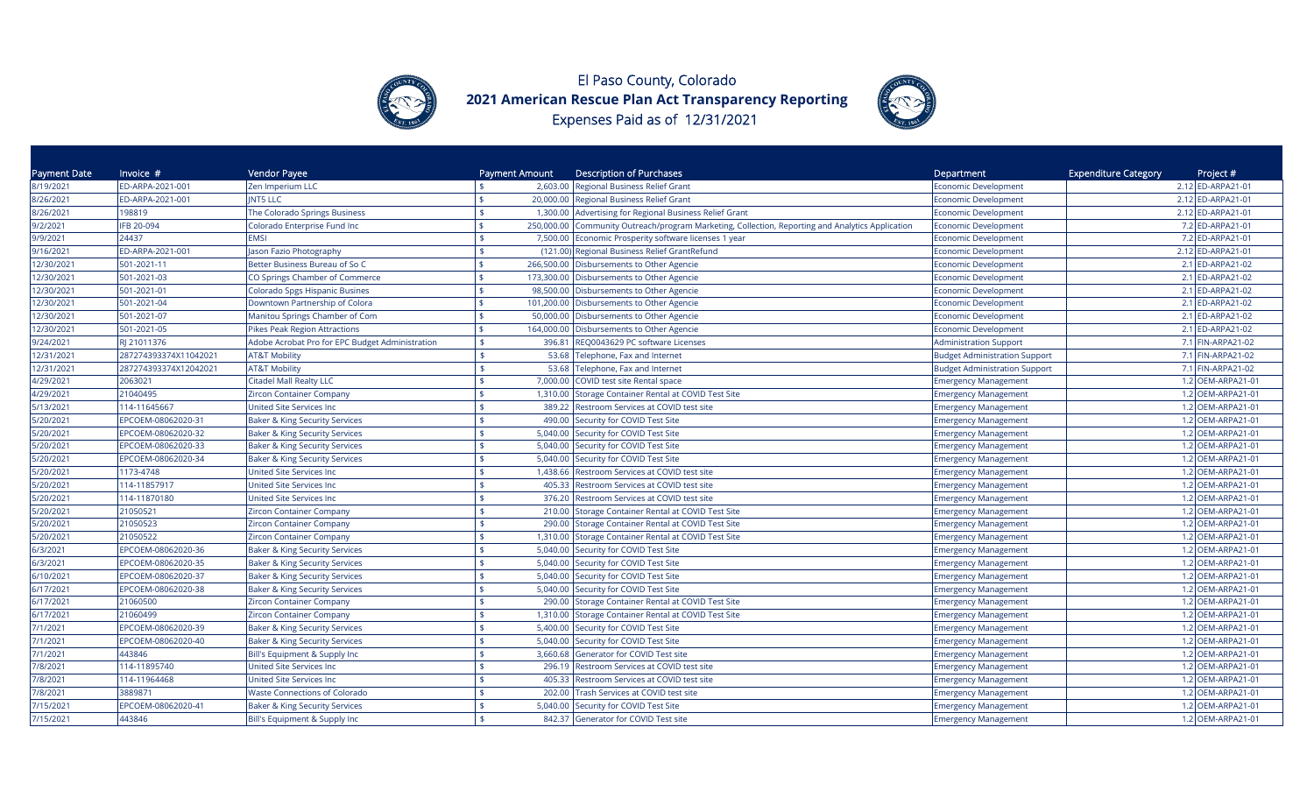



| Payment Date | Invoice #             | Vendor Payee                                    | Payment Amount   | <b>Description of Purchases</b>                                                       | Department                           | <b>Expenditure Category</b><br>Project # |
|--------------|-----------------------|-------------------------------------------------|------------------|---------------------------------------------------------------------------------------|--------------------------------------|------------------------------------------|
| 8/19/2021    | ED-ARPA-2021-001      | Zen Imperium LLC                                | 2,603.00         | Regional Business Relief Grant                                                        | <b>Economic Development</b>          | 2.12 ED-ARPA21-01                        |
| 8/26/2021    | ED-ARPA-2021-001      | <b>INT5 LLC</b>                                 | \$               | 20,000.00 Regional Business Relief Grant                                              | <b>Economic Development</b>          | 2.12 ED-ARPA21-01                        |
| 8/26/2021    | 198819                | The Colorado Springs Business                   | \$               | 1,300.00 Advertising for Regional Business Relief Grant                               | Economic Development                 | 2.12 ED-ARPA21-01                        |
| 9/2/2021     | IFB 20-094            | Colorado Enterprise Fund Inc                    | \$<br>250,000.00 | Community Outreach/program Marketing, Collection, Reporting and Analytics Application | Economic Development                 | 7.2 ED-ARPA21-01                         |
| 9/9/2021     | 24437                 | <b>EMSI</b>                                     | \$<br>7,500.00   | Economic Prosperity software licenses 1 year                                          | <b>Economic Development</b>          | 7.2 ED-ARPA21-01                         |
| 9/16/2021    | ED-ARPA-2021-001      | Jason Fazio Photography                         |                  | (121.00) Regional Business Relief GrantRefund                                         | <b>Economic Development</b>          | 2.12 ED-ARPA21-01                        |
| 12/30/2021   | 501-2021-11           | Better Business Bureau of So C                  | 266,500.00       | Disbursements to Other Agencie                                                        | <b>Economic Development</b>          | 2.1 ED-ARPA21-02                         |
| 12/30/2021   | 501-2021-03           | CO Springs Chamber of Commerce                  | 173,300.00       | Disbursements to Other Agencie                                                        | <b>Economic Development</b>          | 2.1 ED-ARPA21-02                         |
| 12/30/2021   | 501-2021-01           | Colorado Spgs Hispanic Busines                  | 98,500.00        | Disbursements to Other Agencie                                                        | <b>Economic Development</b>          | 2.1 ED-ARPA21-02                         |
| 12/30/2021   | 501-2021-04           | Downtown Partnership of Colora                  |                  | 101,200.00 Disbursements to Other Agencie                                             | <b>Economic Development</b>          | 2.1 ED-ARPA21-02                         |
| 12/30/2021   | 501-2021-07           | Manitou Springs Chamber of Com                  | 50,000.00<br>ፍ   | Disbursements to Other Agencie                                                        | Economic Development                 | 2.1 ED-ARPA21-02                         |
| 12/30/2021   | 501-2021-05           | Pikes Peak Region Attractions                   | 164,000.00       | Disbursements to Other Agencie                                                        | <b>Economic Development</b>          | 2.1 ED-ARPA21-02                         |
| 9/24/2021    | RI 21011376           | Adobe Acrobat Pro for EPC Budget Administration | 396.81<br>\$     | REQ0043629 PC software Licenses                                                       | <b>Administration Support</b>        | 7.1 FIN-ARPA21-02                        |
| 12/31/2021   | 287274393374X11042021 | <b>AT&amp;T Mobility</b>                        | 53.68            | Telephone, Fax and Internet                                                           | <b>Budget Administration Support</b> | 7.1 FIN-ARPA21-02                        |
| 12/31/2021   | 287274393374X12042021 | <b>AT&amp;T Mobility</b>                        | \$<br>53.68      | Telephone, Fax and Internet                                                           | <b>Budget Administration Support</b> | 7.1 FIN-ARPA21-02                        |
| 4/29/2021    | 2063021               | <b>Citadel Mall Realty LLC</b>                  | \$               | 7,000.00 COVID test site Rental space                                                 | <b>Emergency Management</b>          | 1.2 OEM-ARPA21-01                        |
| 4/29/2021    | 21040495              | <b>Zircon Container Company</b>                 | 1,310.00         | Storage Container Rental at COVID Test Site                                           | <b>Emergency Management</b>          | 1.2 OEM-ARPA21-01                        |
| 5/13/2021    | 114-11645667          | <b>United Site Services Inc</b>                 | \$               | 389.22 Restroom Services at COVID test site                                           | <b>Emergency Management</b>          | 1.2 OEM-ARPA21-01                        |
| 5/20/2021    | EPCOEM-08062020-31    | <b>Baker &amp; King Security Services</b>       | 490.00           | Security for COVID Test Site                                                          | <b>Emergency Management</b>          | 1.2 OEM-ARPA21-01                        |
| 5/20/2021    | EPCOEM-08062020-32    | <b>Baker &amp; King Security Services</b>       | 5,040.00<br>\$   | Security for COVID Test Site                                                          | <b>Emergency Management</b>          | 1.2 OEM-ARPA21-01                        |
| 5/20/2021    | EPCOEM-08062020-33    | <b>Baker &amp; King Security Services</b>       | 5,040.00<br>ፍ    | Security for COVID Test Site                                                          | <b>Emergency Management</b>          | 1.2 OEM-ARPA21-01                        |
| 5/20/2021    | EPCOEM-08062020-34    | <b>Baker &amp; King Security Services</b>       | \$<br>5,040.00   | Security for COVID Test Site                                                          | <b>Emergency Management</b>          | 1.2 OEM-ARPA21-01                        |
| 5/20/2021    | 1173-4748             | United Site Services Inc                        | \$               | 1,438.66 Restroom Services at COVID test site                                         | <b>Emergency Management</b>          | 1.2 OEM-ARPA21-01                        |
| 5/20/2021    | 114-11857917          | United Site Services Inc                        | 405.33           | Restroom Services at COVID test site                                                  | <b>Emergency Management</b>          | 1.2 OEM-ARPA21-01                        |
| 5/20/2021    | 114-11870180          | <b>United Site Services Inc.</b>                | \$<br>376.20     | Restroom Services at COVID test site                                                  | <b>Emergency Management</b>          | 1.2 OEM-ARPA21-01                        |
| 5/20/2021    | 21050521              | <b>Zircon Container Company</b>                 | 210.00           | Storage Container Rental at COVID Test Site                                           | <b>Emergency Management</b>          | 1.2 OEM-ARPA21-01                        |
| 5/20/2021    | 21050523              | <b>Zircon Container Company</b>                 | \$               | 290.00 Storage Container Rental at COVID Test Site                                    | <b>Emergency Management</b>          | 1.2 OEM-ARPA21-01                        |
| 5/20/2021    | 21050522              | <b>Zircon Container Company</b>                 | \$               | 1,310.00 Storage Container Rental at COVID Test Site                                  | <b>Emergency Management</b>          | 1.2 OEM-ARPA21-01                        |
| 6/3/2021     | EPCOEM-08062020-36    | <b>Baker &amp; King Security Services</b>       | \$               | 5,040.00 Security for COVID Test Site                                                 | <b>Emergency Management</b>          | 1.2 OEM-ARPA21-01                        |
| 6/3/2021     | EPCOEM-08062020-35    | <b>Baker &amp; King Security Services</b>       | \$               | 5,040.00 Security for COVID Test Site                                                 | <b>Emergency Management</b>          | 1.2 OEM-ARPA21-01                        |
| 6/10/2021    | EPCOEM-08062020-37    | <b>Baker &amp; King Security Services</b>       |                  | 5,040.00 Security for COVID Test Site                                                 | <b>Emergency Management</b>          | 1.2 OEM-ARPA21-01                        |
| 6/17/2021    | EPCOEM-08062020-38    | <b>Baker &amp; King Security Services</b>       | \$               | 5,040.00 Security for COVID Test Site                                                 | <b>Emergency Management</b>          | 1.2 OEM-ARPA21-01                        |
| 6/17/2021    | 21060500              | <b>Zircon Container Company</b>                 |                  | 290.00 Storage Container Rental at COVID Test Site                                    | <b>Emergency Management</b>          | 1.2 OEM-ARPA21-01                        |
| 6/17/2021    | 21060499              | <b>Zircon Container Company</b>                 | 1,310.00<br>\$.  | Storage Container Rental at COVID Test Site                                           | <b>Emergency Management</b>          | 1.2 OEM-ARPA21-01                        |
| 7/1/2021     | EPCOEM-08062020-39    | <b>Baker &amp; King Security Services</b>       | 5,400.00<br>¢    | Security for COVID Test Site                                                          | <b>Emergency Management</b>          | 1.2 OEM-ARPA21-01                        |
| 7/1/2021     | EPCOEM-08062020-40    | <b>Baker &amp; King Security Services</b>       | 5,040.00<br>\$   | Security for COVID Test Site                                                          | <b>Emergency Management</b>          | 1.2 OEM-ARPA21-01                        |
| 7/1/2021     | 443846                | Bill's Equipment & Supply Inc                   | 3,660.68<br>\$   | Generator for COVID Test site                                                         | <b>Emergency Management</b>          | 1.2 OEM-ARPA21-01                        |
| 7/8/2021     | 114-11895740          | <b>United Site Services Inc</b>                 | 296.19           | Restroom Services at COVID test site                                                  | <b>Emergency Management</b>          | 1.2 OEM-ARPA21-01                        |
| 7/8/2021     | 114-11964468          | United Site Services Inc                        | 405.33<br>\$     | Restroom Services at COVID test site                                                  | <b>Emergency Management</b>          | 1.2 OEM-ARPA21-01                        |
| 7/8/2021     | 3889871               | <b>Waste Connections of Colorado</b>            | 202.00           | Trash Services at COVID test site                                                     | <b>Emergency Management</b>          | 1.2 OEM-ARPA21-01                        |
| 7/15/2021    | EPCOEM-08062020-41    | <b>Baker &amp; King Security Services</b>       | 5,040.00<br>\$   | Security for COVID Test Site                                                          | <b>Emergency Management</b>          | 1.2 OEM-ARPA21-01                        |
| 7/15/2021    | 443846                | Bill's Equipment & Supply Inc                   |                  | 842.37 Generator for COVID Test site                                                  | <b>Emergency Management</b>          | 1.2 OEM-ARPA21-01                        |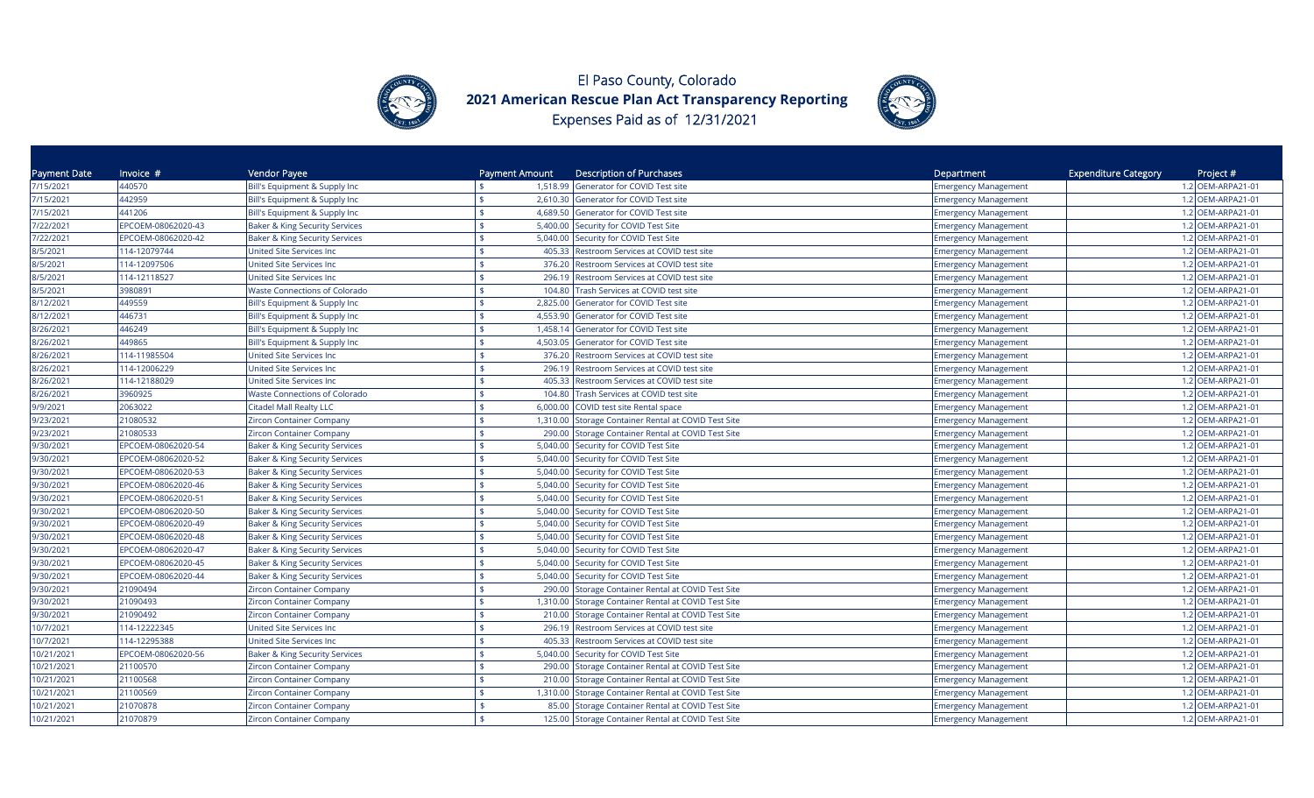



| Payment Date | Invoice $#$        | Vendor Payee                              | Payment Amount | <b>Description of Purchases</b>                      | Department                  | <b>Expenditure Category</b><br>Project # |
|--------------|--------------------|-------------------------------------------|----------------|------------------------------------------------------|-----------------------------|------------------------------------------|
| 7/15/2021    | 440570             | Bill's Equipment & Supply Inc             |                | 1,518.99 Generator for COVID Test site               | <b>Emergency Management</b> | 1.2 OEM-ARPA21-01                        |
| 7/15/2021    | 442959             | Bill's Equipment & Supply Inc             |                | 2,610.30 Generator for COVID Test site               | <b>Emergency Management</b> | 1.2 OEM-ARPA21-01                        |
| 7/15/2021    | 441206             | Bill's Equipment & Supply Inc             |                | 4,689.50 Generator for COVID Test site               | <b>Emergency Management</b> | 1.2 OEM-ARPA21-01                        |
| 7/22/2021    | EPCOEM-08062020-43 | <b>Baker &amp; King Security Services</b> | ¢              | 5,400.00 Security for COVID Test Site                | <b>Emergency Management</b> | 1.2 OEM-ARPA21-01                        |
| 7/22/2021    | EPCOEM-08062020-42 | <b>Baker &amp; King Security Services</b> | 5,040.00       | Security for COVID Test Site                         | <b>Emergency Management</b> | 1.2 OEM-ARPA21-01                        |
| 8/5/2021     | 114-12079744       | <b>Jnited Site Services Inc</b>           | 405.33         | Restroom Services at COVID test site                 | <b>Emergency Management</b> | 1.2 OEM-ARPA21-01                        |
| 8/5/2021     | 114-12097506       | <b>Jnited Site Services Inc</b>           | 376.20         | Restroom Services at COVID test site                 | <b>Emergency Management</b> | 1.2 OEM-ARPA21-01                        |
| 8/5/2021     | 114-12118527       | <b>Jnited Site Services Inc</b>           | 296.19         | Restroom Services at COVID test site                 | <b>Emergency Management</b> | 1.2 OEM-ARPA21-01                        |
| 8/5/2021     | 3980891            | <b>Naste Connections of Colorado</b>      | 104.80         | Trash Services at COVID test site                    | <b>Emergency Management</b> | 1.2 OEM-ARPA21-01                        |
| 8/12/2021    | 449559             | Bill's Equipment & Supply Inc             |                | 2,825.00 Generator for COVID Test site               | <b>Emergency Management</b> | 1.2 OEM-ARPA21-01                        |
| 8/12/2021    | 446731             | Bill's Equipment & Supply Inc             | 4,553.90       | Generator for COVID Test site                        | <b>Emergency Management</b> | 1.2 OEM-ARPA21-01                        |
| 8/26/2021    | 446249             | Bill's Equipment & Supply Inc             | 1,458.14       | Generator for COVID Test site                        | <b>Emergency Management</b> | 1.2 OEM-ARPA21-01                        |
| 8/26/2021    | 449865             | Bill's Equipment & Supply Inc             | 4,503.05       | Generator for COVID Test site                        | <b>Emergency Management</b> | 1.2 OEM-ARPA21-01                        |
| 8/26/2021    | 114-11985504       | United Site Services Inc                  | 376.20         | <b>Restroom Services at COVID test site</b>          | <b>Emergency Management</b> | 1.2 OEM-ARPA21-01                        |
| 8/26/2021    | 114-12006229       | United Site Services Inc                  | 296.19         | Restroom Services at COVID test site                 | <b>Emergency Management</b> | 1.2 OEM-ARPA21-01                        |
| 8/26/2021    | 114-12188029       | United Site Services Inc                  | 405.33         | Restroom Services at COVID test site                 | <b>Emergency Management</b> | 1.2 OEM-ARPA21-01                        |
| 8/26/2021    | 3960925            | <b>Waste Connections of Colorado</b>      | 104.80         | Trash Services at COVID test site                    | <b>Emergency Management</b> | 1.2 OEM-ARPA21-01                        |
| 9/9/2021     | 2063022            | <b>Citadel Mall Realty LLC</b>            | \$<br>6,000.00 | COVID test site Rental space                         | <b>Emergency Management</b> | 1.2 OEM-ARPA21-01                        |
| 9/23/2021    | 21080532           | Zircon Container Company                  | 1,310.00       | Storage Container Rental at COVID Test Site          | <b>Emergency Management</b> | 1.2 OEM-ARPA21-01                        |
| 9/23/2021    | 21080533           | Zircon Container Company                  | 290.00         | Storage Container Rental at COVID Test Site          | <b>Emergency Management</b> | 1.2 OEM-ARPA21-01                        |
| 9/30/2021    | EPCOEM-08062020-54 | <b>Baker &amp; King Security Services</b> | 5,040.00       | Security for COVID Test Site                         | <b>Emergency Management</b> | 1.2 OEM-ARPA21-01                        |
| 9/30/2021    | EPCOEM-08062020-52 | <b>Baker &amp; King Security Services</b> | 5,040.00       | Security for COVID Test Site                         | <b>Emergency Management</b> | 1.2 OEM-ARPA21-01                        |
| 9/30/2021    | EPCOEM-08062020-53 | <b>Baker &amp; King Security Services</b> | 5,040.00       | Security for COVID Test Site                         | <b>Emergency Management</b> | 1.2 OEM-ARPA21-01                        |
| 9/30/2021    | EPCOEM-08062020-46 | <b>Baker &amp; King Security Services</b> |                | 5,040.00 Security for COVID Test Site                | <b>Emergency Management</b> | 1.2 OEM-ARPA21-01                        |
| 9/30/2021    | EPCOEM-08062020-51 | <b>Baker &amp; King Security Services</b> |                | 5,040.00 Security for COVID Test Site                | <b>Emergency Management</b> | 1.2 OEM-ARPA21-01                        |
| 9/30/2021    | EPCOEM-08062020-50 | <b>Baker &amp; King Security Services</b> |                | 5,040.00 Security for COVID Test Site                | <b>Emergency Management</b> | 1.2 OEM-ARPA21-01                        |
| 9/30/2021    | EPCOEM-08062020-49 | <b>Baker &amp; King Security Services</b> | 5,040.00       | Security for COVID Test Site                         | <b>Emergency Management</b> | 1.2 OEM-ARPA21-01                        |
| 9/30/2021    | EPCOEM-08062020-48 | <b>Baker &amp; King Security Services</b> |                | 5,040.00 Security for COVID Test Site                | <b>Emergency Management</b> | 1.2 OEM-ARPA21-01                        |
| 9/30/2021    | EPCOEM-08062020-47 | <b>Baker &amp; King Security Services</b> |                | 5,040.00 Security for COVID Test Site                | <b>Emergency Management</b> | 1.2 OEM-ARPA21-01                        |
| 9/30/2021    | EPCOEM-08062020-45 | <b>Baker &amp; King Security Services</b> | 5,040.00       | Security for COVID Test Site                         | <b>Emergency Management</b> | 1.2 OEM-ARPA21-01                        |
| 9/30/2021    | EPCOEM-08062020-44 | Baker & King Security Services            |                | 5,040.00 Security for COVID Test Site                | <b>Emergency Management</b> | 1.2 OEM-ARPA21-01                        |
| 9/30/2021    | 21090494           | Zircon Container Company                  | \$             | 290.00 Storage Container Rental at COVID Test Site   | <b>Emergency Management</b> | 1.2 OEM-ARPA21-01                        |
| 9/30/2021    | 21090493           | Zircon Container Company                  |                | 1,310.00 Storage Container Rental at COVID Test Site | <b>Emergency Management</b> | 1.2 OEM-ARPA21-01                        |
| 9/30/2021    | 21090492           | Zircon Container Company                  | 210.00         | Storage Container Rental at COVID Test Site          | <b>Emergency Management</b> | 1.2 OEM-ARPA21-01                        |
| 10/7/2021    | 114-12222345       | United Site Services Inc                  | 296.19         | Restroom Services at COVID test site                 | <b>Emergency Management</b> | 1.2 OEM-ARPA21-01                        |
| 10/7/2021    | 114-12295388       | United Site Services Inc                  | 405.33         | Restroom Services at COVID test site                 | <b>Emergency Management</b> | 1.2 OEM-ARPA21-01                        |
| 10/21/2021   | EPCOEM-08062020-56 | <b>Baker &amp; King Security Services</b> | 5,040.00       | Security for COVID Test Site                         | <b>Emergency Management</b> | 1.2 OEM-ARPA21-01                        |
| 10/21/2021   | 21100570           | Zircon Container Company                  | 290.00         | Storage Container Rental at COVID Test Site          | <b>Emergency Management</b> | 1.2 OEM-ARPA21-01                        |
| 10/21/2021   | 21100568           | Zircon Container Company                  | 210.00         | Storage Container Rental at COVID Test Site          | <b>Emergency Management</b> | 1.2 OEM-ARPA21-01                        |
| 10/21/2021   | 21100569           | Zircon Container Company                  |                | 1,310.00 Storage Container Rental at COVID Test Site | <b>Emergency Management</b> | 1.2 OEM-ARPA21-01                        |
| 10/21/2021   | 21070878           | Zircon Container Company                  | \$             | 85.00 Storage Container Rental at COVID Test Site    | <b>Emergency Management</b> | 1.2 OEM-ARPA21-01                        |
| 10/21/2021   | 21070879           | Zircon Container Company                  |                | 125.00 Storage Container Rental at COVID Test Site   | <b>Emergency Management</b> | 1.2 OEM-ARPA21-01                        |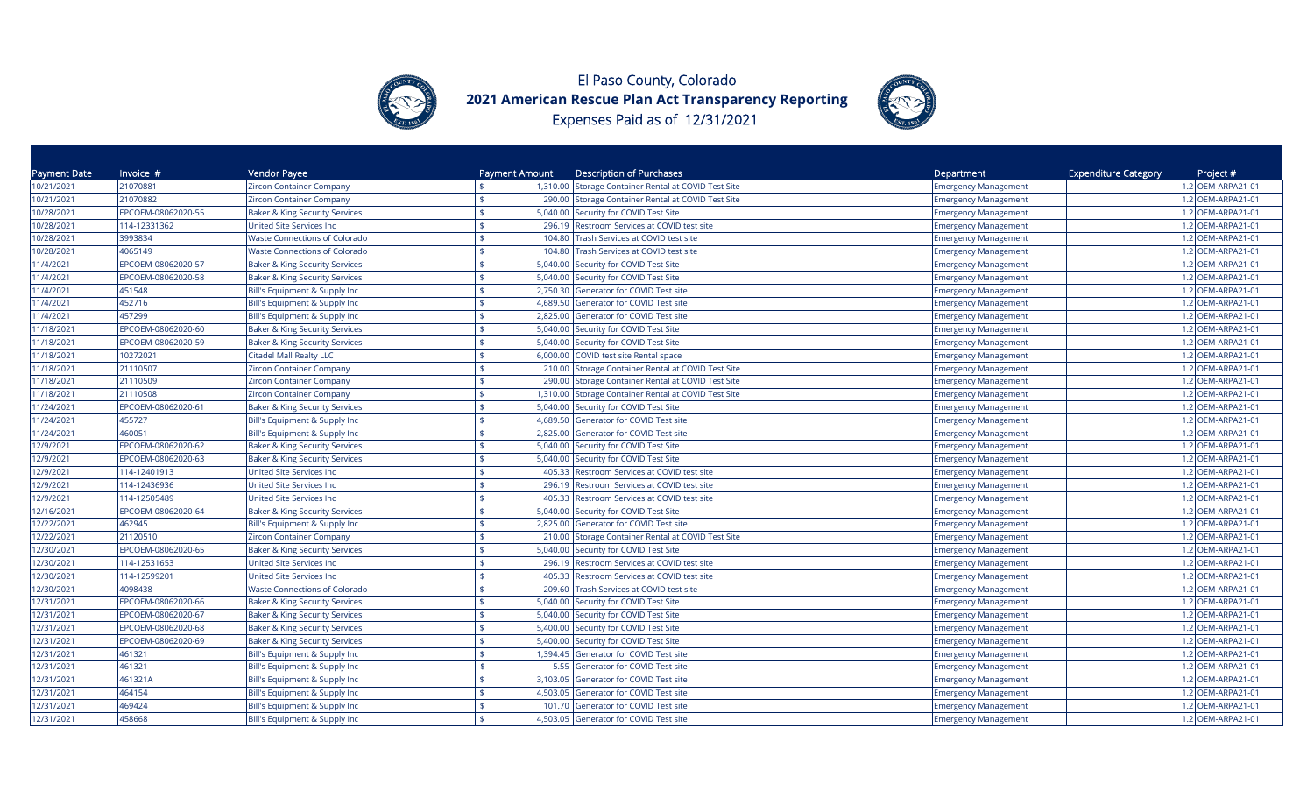



| Payment Date | Invoice $#$        | Vendor Payee                              | Payment Amount                  | <b>Description of Purchases</b>                      | Department                  | <b>Expenditure Category</b><br>Project # |
|--------------|--------------------|-------------------------------------------|---------------------------------|------------------------------------------------------|-----------------------------|------------------------------------------|
| 10/21/2021   | 21070881           | Zircon Container Company                  |                                 | 1,310.00 Storage Container Rental at COVID Test Site | <b>Emergency Management</b> | 1.2 OEM-ARPA21-01                        |
| 10/21/2021   | 21070882           | Zircon Container Company                  |                                 | 290.00 Storage Container Rental at COVID Test Site   | <b>Emergency Management</b> | 1.2 OEM-ARPA21-01                        |
| 10/28/2021   | EPCOEM-08062020-55 | <b>Baker &amp; King Security Services</b> |                                 | 5,040.00 Security for COVID Test Site                | <b>Emergency Management</b> | 1.2 OEM-ARPA21-01                        |
| 10/28/2021   | 114-12331362       | United Site Services Inc                  | 296.19                          | Restroom Services at COVID test site                 | <b>Emergency Management</b> | 1.2 OEM-ARPA21-01                        |
| 10/28/2021   | 3993834            | <b>Waste Connections of Colorado</b>      | 104.80                          | Trash Services at COVID test site                    | <b>Emergency Management</b> | 1.2 OEM-ARPA21-01                        |
| 10/28/2021   | 4065149            | <b>Waste Connections of Colorado</b>      | 104.80                          | Trash Services at COVID test site                    | <b>Emergency Management</b> | 1.2 OEM-ARPA21-01                        |
| 11/4/2021    | EPCOEM-08062020-57 | <b>Baker &amp; King Security Services</b> | 5,040.00                        | Security for COVID Test Site                         | <b>Emergency Management</b> | 1.2 OEM-ARPA21-01                        |
| 11/4/2021    | EPCOEM-08062020-58 | <b>Baker &amp; King Security Services</b> | 5,040.00                        | Security for COVID Test Site                         | <b>Emergency Management</b> | 1.2 OEM-ARPA21-01                        |
| 11/4/2021    | 451548             | Bill's Equipment & Supply Inc             | 2,750.30<br>\$                  | Generator for COVID Test site                        | <b>Emergency Management</b> | 1.2 OEM-ARPA21-01                        |
| 11/4/2021    | 452716             | Bill's Equipment & Supply Inc             |                                 | 4,689.50 Generator for COVID Test site               | <b>Emergency Management</b> | 1.2 OEM-ARPA21-01                        |
| 11/4/2021    | 457299             | Bill's Equipment & Supply Inc             | $\ddot{\bm{\tau}}$              | 2,825.00 Generator for COVID Test site               | <b>Emergency Management</b> | 1.2 OEM-ARPA21-01                        |
| 11/18/2021   | EPCOEM-08062020-60 | <b>Baker &amp; King Security Services</b> |                                 | 5,040.00 Security for COVID Test Site                | <b>Emergency Management</b> | 1.2 OEM-ARPA21-01                        |
| 11/18/2021   | EPCOEM-08062020-59 | <b>Baker &amp; King Security Services</b> | 5,040.00                        | Security for COVID Test Site                         | <b>Emergency Management</b> | 1.2 OEM-ARPA21-01                        |
| 11/18/2021   | 10272021           | <b>Citadel Mall Realty LLC</b>            | 6,000.00                        | COVID test site Rental space                         | <b>Emergency Management</b> | 1.2 OEM-ARPA21-01                        |
| 11/18/2021   | 21110507           | Zircon Container Company                  | 210.00                          | Storage Container Rental at COVID Test Site          | <b>Emergency Management</b> | 1.2 OEM-ARPA21-01                        |
| 11/18/2021   | 21110509           | Zircon Container Company                  | 290.00                          | Storage Container Rental at COVID Test Site          | <b>Emergency Management</b> | 1.2 OEM-ARPA21-01                        |
| 11/18/2021   | 21110508           | Zircon Container Company                  |                                 | 1,310.00 Storage Container Rental at COVID Test Site | <b>Emergency Management</b> | 1.2 OEM-ARPA21-01                        |
| 11/24/2021   | EPCOEM-08062020-61 | <b>Baker &amp; King Security Services</b> |                                 | 5,040.00 Security for COVID Test Site                | <b>Emergency Management</b> | 1.2 OEM-ARPA21-01                        |
| 11/24/2021   | 455727             | Bill's Equipment & Supply Inc             | 4,689.50                        | Generator for COVID Test site                        | <b>Emergency Management</b> | 1.2 OEM-ARPA21-01                        |
| 11/24/2021   | 460051             | Bill's Equipment & Supply Inc             | 2,825.00<br>¢                   | Generator for COVID Test site                        | <b>Emergency Management</b> | 1.2 OEM-ARPA21-01                        |
| 12/9/2021    | EPCOEM-08062020-62 | <b>Baker &amp; King Security Services</b> | 5,040.00                        | Security for COVID Test Site                         | <b>Emergency Management</b> | 1.2 OEM-ARPA21-01                        |
| 12/9/2021    | EPCOEM-08062020-63 | Baker & King Security Services            | 5,040.00<br>\$                  | Security for COVID Test Site                         | <b>Emergency Management</b> | 1.2 OEM-ARPA21-01                        |
| 12/9/2021    | 114-12401913       | <b>Jnited Site Services Inc</b>           | ¢<br>405.33                     | Restroom Services at COVID test site                 | <b>Emergency Management</b> | 1.2 OEM-ARPA21-01                        |
| 12/9/2021    | 114-12436936       | <b>Jnited Site Services Inc</b>           | 296.19                          | Restroom Services at COVID test site                 | <b>Emergency Management</b> | 1.2 OEM-ARPA21-01                        |
| 12/9/2021    | 114-12505489       | United Site Services Inc                  | \$<br>405.33                    | Restroom Services at COVID test site                 | <b>Emergency Management</b> | 1.2 OEM-ARPA21-01                        |
| 12/16/2021   | EPCOEM-08062020-64 | <b>Baker &amp; King Security Services</b> | 5,040.00                        | Security for COVID Test Site                         | <b>Emergency Management</b> | 1.2 OEM-ARPA21-01                        |
| 12/22/2021   | 462945             | Bill's Equipment & Supply Inc             | 2,825.00                        | Generator for COVID Test site                        | <b>Emergency Management</b> | 1.2 OEM-ARPA21-01                        |
| 12/22/2021   | 21120510           | Zircon Container Company                  | 210.00                          | Storage Container Rental at COVID Test Site          | <b>Emergency Management</b> | 1.2 OEM-ARPA21-01                        |
| 12/30/2021   | EPCOEM-08062020-65 | <b>Baker &amp; King Security Services</b> | $\frac{1}{2}$<br>5,040.00       | Security for COVID Test Site                         | <b>Emergency Management</b> | 1.2 OEM-ARPA21-01                        |
| 12/30/2021   | 114-12531653       | United Site Services Inc                  | 296.19                          | Restroom Services at COVID test site                 | <b>Emergency Management</b> | 1.2 OEM-ARPA21-01                        |
| 12/30/2021   | 114-12599201       | United Site Services Inc                  | 405.33                          | Restroom Services at COVID test site                 | <b>Emergency Management</b> | 1.2 OEM-ARPA21-01                        |
| 12/30/2021   | 4098438            | <b>Waste Connections of Colorado</b>      | <b>¢</b><br>209.60              | Trash Services at COVID test site                    | <b>Emergency Management</b> | 1.2 OEM-ARPA21-01                        |
| 12/31/2021   | EPCOEM-08062020-66 | Baker & King Security Services            | 5,040.00                        | Security for COVID Test Site                         | <b>Emergency Management</b> | 1.2 OEM-ARPA21-01                        |
| 12/31/2021   | EPCOEM-08062020-67 | Baker & King Security Services            | 5,040.00<br>\$                  | Security for COVID Test Site                         | <b>Emergency Management</b> | 1.2 OEM-ARPA21-01                        |
| 12/31/2021   | EPCOEM-08062020-68 | Baker & King Security Services            |                                 | 5,400.00 Security for COVID Test Site                | <b>Emergency Management</b> | 1.2 OEM-ARPA21-01                        |
| 12/31/2021   | EPCOEM-08062020-69 | <b>Baker &amp; King Security Services</b> | 5,400.00                        | Security for COVID Test Site                         | <b>Emergency Management</b> | 1.2 OEM-ARPA21-01                        |
| 12/31/2021   | 461321             | Bill's Equipment & Supply Inc             | 1,394.45<br>\$                  | Generator for COVID Test site                        | <b>Emergency Management</b> | 1.2 OEM-ARPA21-01                        |
| 12/31/2021   | 461321             | Bill's Equipment & Supply Inc             | \$<br>5.55                      | Generator for COVID Test site                        | <b>Emergency Management</b> | 1.2 OEM-ARPA21-01                        |
| 12/31/2021   | 461321A            | Bill's Equipment & Supply Inc             | $\ddot{\bm{\zeta}}$<br>3,103.05 | Generator for COVID Test site                        | <b>Emergency Management</b> | 1.2 OEM-ARPA21-01                        |
| 12/31/2021   | 464154             | Bill's Equipment & Supply Inc             | 4,503.05                        | Generator for COVID Test site                        | <b>Emergency Management</b> | 1.2 OEM-ARPA21-01                        |
| 12/31/2021   | 469424             | Bill's Equipment & Supply Inc             | 101.70<br>\$                    | Generator for COVID Test site                        | <b>Emergency Management</b> | 1.2 OEM-ARPA21-01                        |
| 12/31/2021   | 458668             | Bill's Equipment & Supply Inc             |                                 | 4,503.05 Generator for COVID Test site               | <b>Emergency Management</b> | 1.2 OEM-ARPA21-01                        |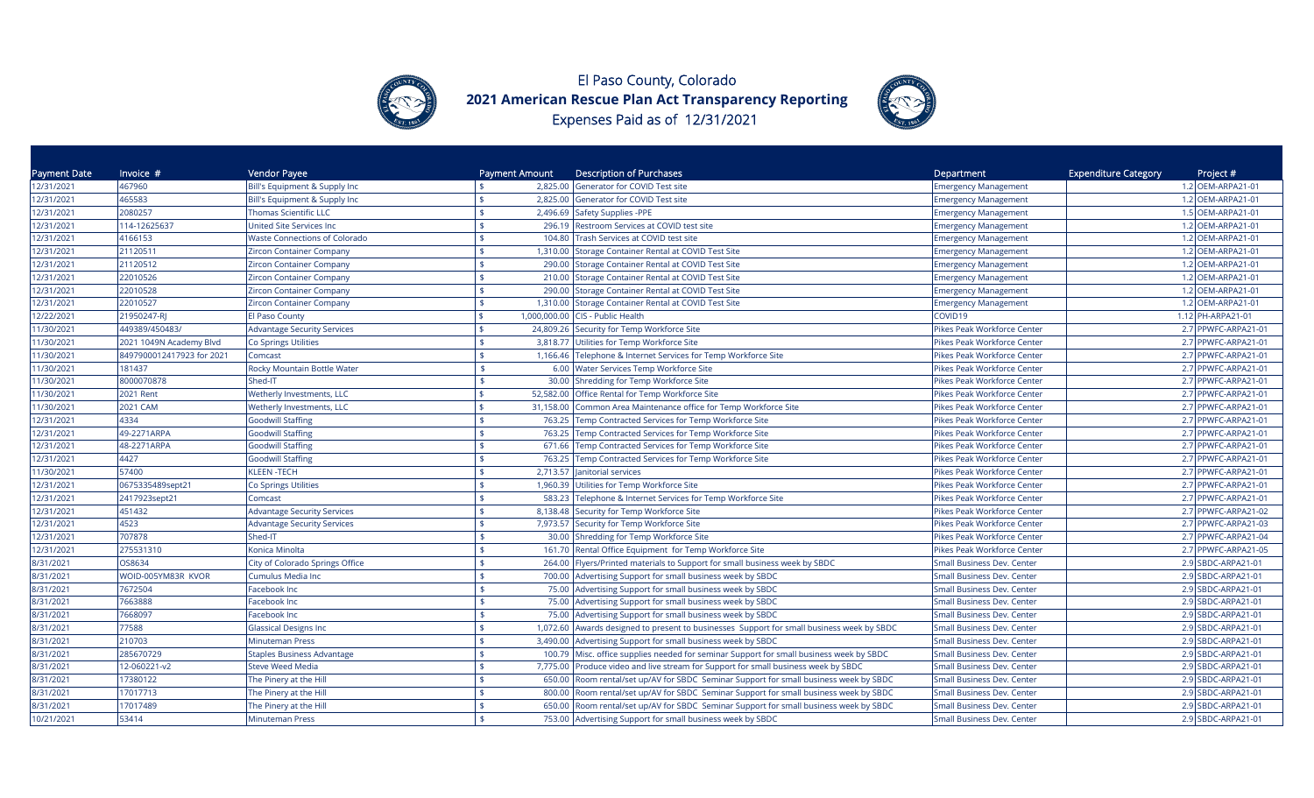



| Payment Date | Invoice $#$               | Vendor Payee                         | Payment Amount | <b>Description of Purchases</b>                                                    | Department                        | <b>Expenditure Category</b><br>Project # |
|--------------|---------------------------|--------------------------------------|----------------|------------------------------------------------------------------------------------|-----------------------------------|------------------------------------------|
| 12/31/2021   | 467960                    | Bill's Equipment & Supply Inc        |                | 2,825.00 Generator for COVID Test site                                             | <b>Emergency Management</b>       | 1.2 OEM-ARPA21-01                        |
| 12/31/2021   | 465583                    | Bill's Equipment & Supply Inc        |                | 2,825.00 Generator for COVID Test site                                             | <b>Emergency Management</b>       | 1.2 OEM-ARPA21-01                        |
| 12/31/2021   | 2080257                   | <b>Thomas Scientific LLC</b>         |                | 2,496.69 Safety Supplies -PPE                                                      | <b>Emergency Management</b>       | 1.5 OEM-ARPA21-01                        |
| 12/31/2021   | 114-12625637              | <b>United Site Services Inc</b>      |                | 296.19 Restroom Services at COVID test site                                        | <b>Emergency Management</b>       | 1.2 OEM-ARPA21-01                        |
| 12/31/2021   | 4166153                   | <b>Waste Connections of Colorado</b> | 104.80         | Trash Services at COVID test site                                                  | <b>Emergency Management</b>       | 1.2 OEM-ARPA21-01                        |
| 12/31/2021   | 21120511                  | <b>Zircon Container Company</b>      |                | 1,310.00 Storage Container Rental at COVID Test Site                               | <b>Emergency Management</b>       | 1.2 OEM-ARPA21-01                        |
| 12/31/2021   | 21120512                  | Zircon Container Company             | 290.00         | Storage Container Rental at COVID Test Site                                        | <b>Emergency Management</b>       | 1.2 OEM-ARPA21-01                        |
| 12/31/2021   | 22010526                  | Zircon Container Company             |                | 210.00 Storage Container Rental at COVID Test Site                                 | <b>Emergency Management</b>       | 1.2 OEM-ARPA21-01                        |
| 12/31/2021   | 22010528                  | Zircon Container Company             |                | 290.00 Storage Container Rental at COVID Test Site                                 | <b>Emergency Management</b>       | 1.2 OEM-ARPA21-01                        |
| 12/31/2021   | 22010527                  | Zircon Container Company             |                | 1,310.00 Storage Container Rental at COVID Test Site                               | <b>Emergency Management</b>       | 1.2 OEM-ARPA21-01                        |
| 12/22/2021   | 21950247-RI               | El Paso County                       |                | 1,000,000.00 CIS - Public Health                                                   | COVID19                           | 1.12 PH-ARPA21-01                        |
| 1/30/2021    | 449389/450483/            | <b>Advantage Security Services</b>   |                | 24,809.26 Security for Temp Workforce Site                                         | Pikes Peak Workforce Center       | 2.7 PPWFC-ARPA21-01                      |
| 1/30/2021    | 2021 1049N Academy Blvd   | Co Springs Utilities                 |                | 3,818.77 Utilities for Temp Workforce Site                                         | Pikes Peak Workforce Center       | 2.7 PPWFC-ARPA21-01                      |
| 11/30/2021   | 8497900012417923 for 2021 | Comcast                              | 1,166.46       | Telephone & Internet Services for Temp Workforce Site                              | Pikes Peak Workforce Center       | 2.7 PPWFC-ARPA21-01                      |
| 1/30/2021    | 181437                    | Rocky Mountain Bottle Water          |                | 6.00 Water Services Temp Workforce Site                                            | Pikes Peak Workforce Center       | 2.7 PPWFC-ARPA21-01                      |
| 1/30/2021    | 8000070878                | Shed-IT                              | \$             | 30.00 Shredding for Temp Workforce Site                                            | Pikes Peak Workforce Center       | 2.7 PPWFC-ARPA21-01                      |
| 1/30/2021    | 2021 Rent                 | <b>Wetherly Investments, LLC</b>     |                | 52,582.00 Office Rental for Temp Workforce Site                                    | Pikes Peak Workforce Center       | 2.7 PPWFC-ARPA21-01                      |
| 11/30/2021   | 2021 CAM                  | Wetherly Investments, LLC            |                | 31,158.00 Common Area Maintenance office for Temp Workforce Site                   | Pikes Peak Workforce Center       | 2.7 PPWFC-ARPA21-01                      |
| 12/31/2021   | 4334                      | <b>Goodwill Staffing</b>             | 763.25         | Temp Contracted Services for Temp Workforce Site                                   | Pikes Peak Workforce Center       | 2.7 PPWFC-ARPA21-01                      |
| 12/31/2021   | 49-2271ARPA               | <b>Goodwill Staffing</b>             |                | 763.25 Temp Contracted Services for Temp Workforce Site                            | Pikes Peak Workforce Center       | 2.7 PPWFC-ARPA21-01                      |
| 12/31/2021   | 48-2271ARPA               | <b>Goodwill Staffing</b>             | 671.66         | Temp Contracted Services for Temp Workforce Site                                   | Pikes Peak Workforce Center       | 2.7 PPWFC-ARPA21-01                      |
| 12/31/2021   | 4427                      | <b>Goodwill Staffing</b>             | 763.25         | Temp Contracted Services for Temp Workforce Site                                   | Pikes Peak Workforce Center       | 2.7 PPWFC-ARPA21-01                      |
| 11/30/2021   | 57400                     | <b>KLEEN-TECH</b>                    |                | 2,713.57   Janitorial services                                                     | Pikes Peak Workforce Center       | 2.7 PPWFC-ARPA21-01                      |
| 12/31/2021   | 0675335489sept21          | Co Springs Utilities                 |                | 1,960.39 Utilities for Temp Workforce Site                                         | Pikes Peak Workforce Center       | 2.7 PPWFC-ARPA21-01                      |
| 12/31/2021   | 2417923sept21             | Comcast                              |                | 583.23 Telephone & Internet Services for Temp Workforce Site                       | Pikes Peak Workforce Center       | 2.7 PPWFC-ARPA21-01                      |
| 12/31/2021   | 451432                    | <b>Advantage Security Services</b>   |                | 8,138.48 Security for Temp Workforce Site                                          | Pikes Peak Workforce Center       | 2.7 PPWFC-ARPA21-02                      |
| 12/31/2021   | 4523                      | <b>Advantage Security Services</b>   |                | 7,973.57 Security for Temp Workforce Site                                          | Pikes Peak Workforce Center       | 2.7 PPWFC-ARPA21-03                      |
| 12/31/2021   | 707878                    | Shed-IT                              |                | 30.00 Shredding for Temp Workforce Site                                            | Pikes Peak Workforce Center       | 2.7 PPWFC-ARPA21-04                      |
| 12/31/2021   | 275531310                 | Konica Minolta                       |                | 161.70 Rental Office Equipment for Temp Workforce Site                             | Pikes Peak Workforce Center       | 2.7 PPWFC-ARPA21-05                      |
| 8/31/2021    | OS8634                    | City of Colorado Springs Office      | 264.00         | Flyers/Printed materials to Support for small business week by SBDC                | <b>Small Business Dev. Center</b> | 2.9 SBDC-ARPA21-01                       |
| 8/31/2021    | WOID-005YM83R KVOR        | Cumulus Media Inc                    |                | 700.00 Advertising Support for small business week by SBDC                         | Small Business Dev. Center        | 2.9 SBDC-ARPA21-01                       |
| 8/31/2021    | 7672504                   | <b>Facebook Inc</b>                  | \$             | 75.00 Advertising Support for small business week by SBDC                          | Small Business Dev. Center        | 2.9 SBDC-ARPA21-01                       |
| 8/31/2021    | 7663888                   | <b>Facebook Inc</b>                  |                | 75.00 Advertising Support for small business week by SBDC                          | Small Business Dev. Center        | 2.9 SBDC-ARPA21-01                       |
| 8/31/2021    | 7668097                   | <b>Facebook Inc</b>                  |                | 75.00 Advertising Support for small business week by SBDC                          | Small Business Dev. Center        | 2.9 SBDC-ARPA21-01                       |
| 8/31/2021    | 77588                     | <b>Glassical Designs Inc</b>         | 1,072.60       | Awards designed to present to businesses Support for small business week by SBDC   | <b>Small Business Dev. Center</b> | 2.9 SBDC-ARPA21-01                       |
| 8/31/2021    | 210703                    | Minuteman Press                      |                | 3,490.00 Advertising Support for small business week by SBDC                       | <b>Small Business Dev. Center</b> | 2.9 SBDC-ARPA21-01                       |
| 8/31/2021    | 285670729                 | <b>Staples Business Advantage</b>    | \$<br>100.79   | Misc. office supplies needed for seminar Support for small business week by SBDC   | <b>Small Business Dev. Center</b> | 2.9 SBDC-ARPA21-01                       |
| 8/31/2021    | 12-060221-v2              | Steve Weed Media                     |                | 7,775.00 Produce video and live stream for Support for small business week by SBDC | Small Business Dev. Center        | 2.9 SBDC-ARPA21-01                       |
| 8/31/2021    | 17380122                  | The Pinery at the Hill               | 650.00         | Room rental/set up/AV for SBDC Seminar Support for small business week by SBDC     | <b>Small Business Dev. Center</b> | 2.9 SBDC-ARPA21-01                       |
| 8/31/2021    | 17017713                  | The Pinery at the Hill               | 800.00         | Room rental/set up/AV for SBDC Seminar Support for small business week by SBDC     | Small Business Dev. Center        | 2.9 SBDC-ARPA21-01                       |
| 8/31/2021    | 17017489                  | The Pinery at the Hill               | 650.00         | Room rental/set up/AV for SBDC Seminar Support for small business week by SBDC     | <b>Small Business Dev. Center</b> | 2.9 SBDC-ARPA21-01                       |
| 10/21/2021   | 53414                     | <b>Minuteman Press</b>               |                | 753.00 Advertising Support for small business week by SBDC                         | <b>Small Business Dev. Center</b> | 2.9 SBDC-ARPA21-01                       |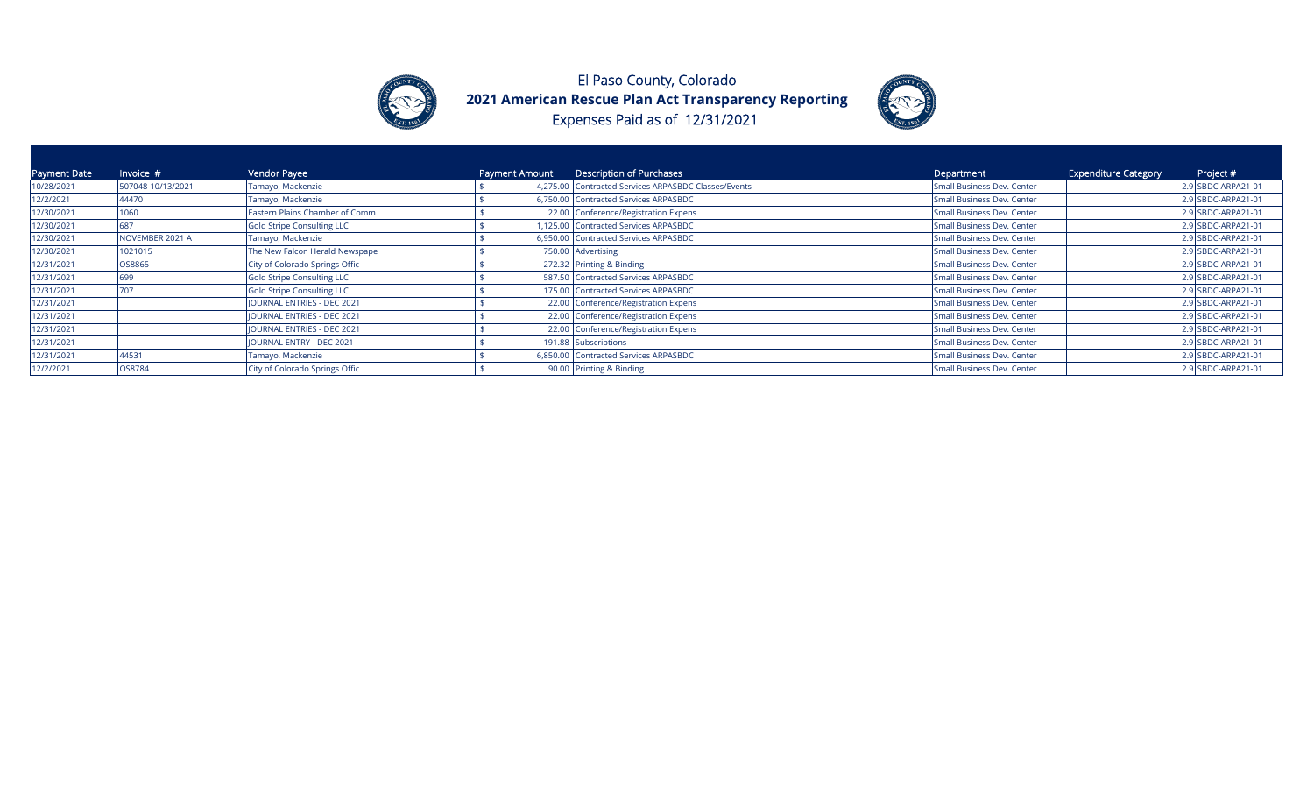



| <b>Payment Date</b> | Invoice $#$       | Vendor Payee                      | Payment Amount | Description of Purchases                             | Department                 | <b>Expenditure Category</b> | Project #          |
|---------------------|-------------------|-----------------------------------|----------------|------------------------------------------------------|----------------------------|-----------------------------|--------------------|
| 10/28/2021          | 507048-10/13/2021 | Tamayo, Mackenzie                 |                | 4,275.00 Contracted Services ARPASBDC Classes/Events | Small Business Dev. Center |                             | 2.9 SBDC-ARPA21-01 |
| 12/2/2021           | 44470             | Tamayo, Mackenzie                 |                | 6,750.00 Contracted Services ARPASBDC                | Small Business Dev. Center |                             | 2.9 SBDC-ARPA21-01 |
| 12/30/2021          | 060               | Eastern Plains Chamber of Comm    |                | 22.00 Conference/Registration Expens                 | Small Business Dev. Center |                             | 2.9 SBDC-ARPA21-01 |
| 12/30/2021          |                   | Gold Stripe Consulting LLC        |                | 1,125.00 Contracted Services ARPASBDC                | Small Business Dev. Center |                             | 2.9 SBDC-ARPA21-01 |
| 12/30/2021          | NOVEMBER 2021 A   | Tamayo, Mackenzie                 |                | 6,950.00 Contracted Services ARPASBDC                | Small Business Dev. Center |                             | 2.9 SBDC-ARPA21-01 |
| 12/30/2021          | 1021015           | The New Falcon Herald Newspape    |                | 750.00 Advertising                                   | Small Business Dev. Center |                             | 2.9 SBDC-ARPA21-01 |
| 12/31/2021          | OS8865            | City of Colorado Springs Offic    |                | 272.32 Printing & Binding                            | Small Business Dev. Center |                             | 2.9 SBDC-ARPA21-01 |
| 12/31/2021          | 699               | Gold Stripe Consulting LLC        |                | 587.50 Contracted Services ARPASBDC                  | Small Business Dev. Center |                             | 2.9 SBDC-ARPA21-01 |
| 12/31/2021          |                   | Gold Stripe Consulting LLC        |                | 175.00 Contracted Services ARPASBDC                  | Small Business Dev. Center |                             | 2.9 SBDC-ARPA21-01 |
| 12/31/2021          |                   | <b>JOURNAL ENTRIES - DEC 2021</b> |                | 22.00 Conference/Registration Expens                 | Small Business Dev. Center |                             | 2.9 SBDC-ARPA21-01 |
| 12/31/2021          |                   | <b>JOURNAL ENTRIES - DEC 2021</b> |                | 22.00 Conference/Registration Expens                 | Small Business Dev. Center |                             | 2.9 SBDC-ARPA21-01 |
| 12/31/2021          |                   | JOURNAL ENTRIES - DEC 2021        |                | 22.00 Conference/Registration Expens                 | Small Business Dev. Center |                             | 2.9 SBDC-ARPA21-01 |
| 12/31/2021          |                   | JOURNAL ENTRY - DEC 2021          |                | 191.88 Subscriptions                                 | Small Business Dev. Center |                             | 2.9 SBDC-ARPA21-01 |
| 12/31/2021          | 44531             | Tamayo, Mackenzie                 |                | 6,850.00 Contracted Services ARPASBDC                | Small Business Dev. Center |                             | 2.9 SBDC-ARPA21-01 |
| 12/2/2021           | OS8784            | City of Colorado Springs Offic    |                | 90.00 Printing & Binding                             | Small Business Dev. Center |                             | 2.9 SBDC-ARPA21-01 |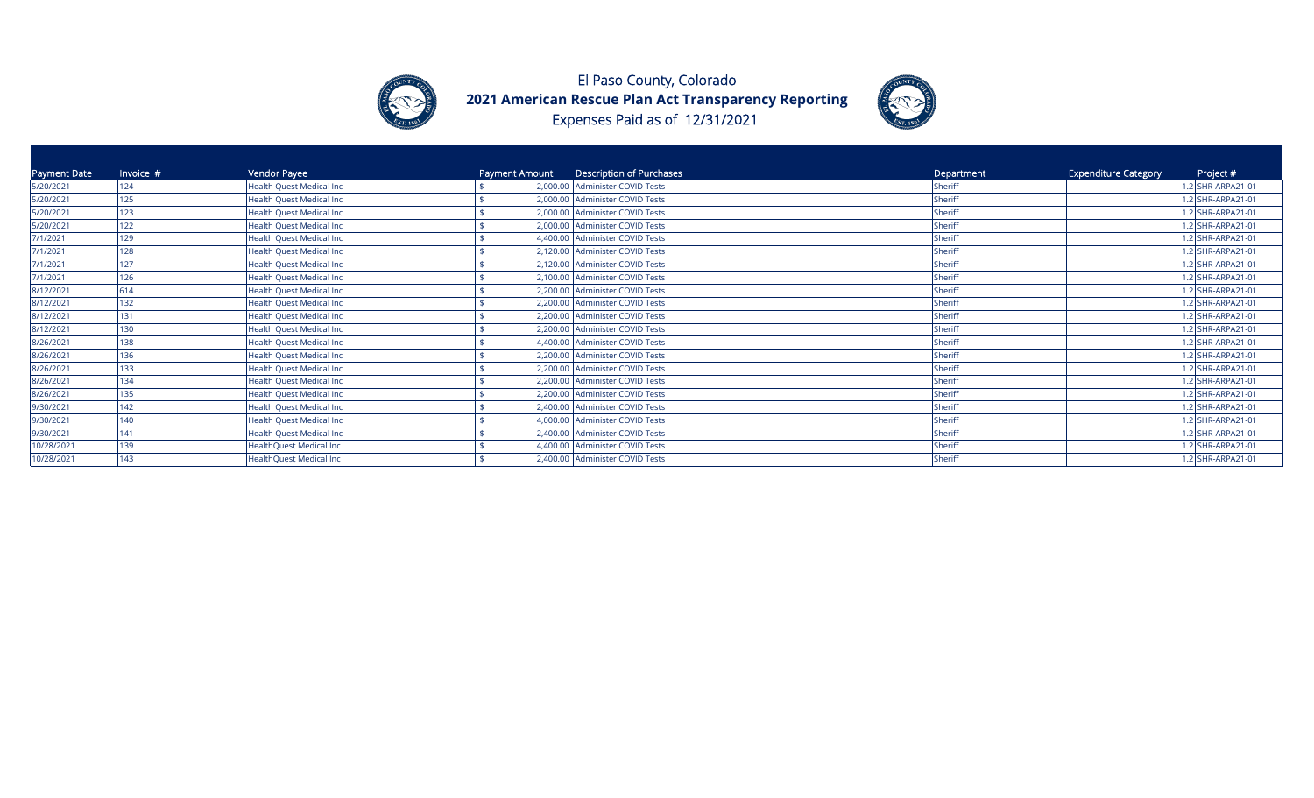



| Payment Date | Invoice # | Vendor Payee                     | Payment Amount | Description of Purchases        | Department | <b>Expenditure Category</b> | Project #         |
|--------------|-----------|----------------------------------|----------------|---------------------------------|------------|-----------------------------|-------------------|
| 5/20/2021    | 124       | <b>Health Quest Medical Inc.</b> |                | 2,000.00 Administer COVID Tests | Sheriff    |                             | 1.2 SHR-ARPA21-01 |
| 5/20/2021    | 125       | <b>Health Quest Medical Inc</b>  |                | 2,000.00 Administer COVID Tests | Sheriff    |                             | 1.2 SHR-ARPA21-01 |
| 5/20/2021    | 123       | <b>Health Quest Medical Inc.</b> |                | 2,000.00 Administer COVID Tests | Sheriff    |                             | 1.2 SHR-ARPA21-01 |
| 5/20/2021    | 122       | <b>Health Quest Medical Inc.</b> |                | 2,000.00 Administer COVID Tests | Sheriff    |                             | 1.2 SHR-ARPA21-01 |
| 7/1/2021     | 129       | <b>Health Quest Medical Inc</b>  |                | 4,400.00 Administer COVID Tests | Sheriff    |                             | 1.2 SHR-ARPA21-01 |
| 7/1/2021     | 128       | <b>Health Quest Medical Inc.</b> |                | 2,120.00 Administer COVID Tests | Sheriff    |                             | 1.2 SHR-ARPA21-01 |
| 7/1/2021     | 127       | Health Quest Medical Inc         |                | 2,120.00 Administer COVID Tests | Sheriff    |                             | 1.2 SHR-ARPA21-01 |
| 7/1/2021     | 126       | Health Quest Medical Inc         |                | 2,100.00 Administer COVID Tests | Sheriff    |                             | 1.2 SHR-ARPA21-01 |
| 8/12/2021    | 614       | <b>Health Quest Medical Inc.</b> |                | 2,200.00 Administer COVID Tests | Sheriff    |                             | 1.2 SHR-ARPA21-01 |
| 8/12/2021    | 132       | <b>Health Quest Medical Inc</b>  |                | 2,200.00 Administer COVID Tests | Sheriff    |                             | 1.2 SHR-ARPA21-01 |
| 8/12/2021    | 131       | <b>Health Quest Medical Inc</b>  |                | 2,200.00 Administer COVID Tests | Sheriff    |                             | .2 SHR-ARPA21-01  |
| 8/12/2021    | 130       | <b>Health Quest Medical Inc</b>  |                | 2,200.00 Administer COVID Tests | Sheriff    |                             | .2 SHR-ARPA21-01  |
| 8/26/2021    | 138       | <b>Health Quest Medical Inc.</b> |                | 4,400.00 Administer COVID Tests | Sheriff    |                             | 1.2 SHR-ARPA21-01 |
| 8/26/2021    | 136       | <b>Health Quest Medical Inc</b>  |                | 2,200.00 Administer COVID Tests | Sheriff    |                             | 1.2 SHR-ARPA21-01 |
| 8/26/2021    | 133       | <b>Health Quest Medical Inc.</b> |                | 2,200.00 Administer COVID Tests | Sheriff    |                             | 1.2 SHR-ARPA21-01 |
| 8/26/2021    | 134       | Health Quest Medical Inc         |                | 2,200.00 Administer COVID Tests | Sheriff    |                             | 1.2 SHR-ARPA21-01 |
| 8/26/2021    | 135       | Health Quest Medical Inc         |                | 2,200.00 Administer COVID Tests | Sheriff    |                             | 1.2 SHR-ARPA21-01 |
| 9/30/2021    | 142       | <b>Health Quest Medical Inc</b>  |                | 2,400.00 Administer COVID Tests | Sheriff    |                             | 1.2 SHR-ARPA21-01 |
| 9/30/2021    | 140       | <b>Health Quest Medical Inc</b>  |                | 4,000.00 Administer COVID Tests | Sheriff    |                             | 1.2 SHR-ARPA21-01 |
| 9/30/2021    | 141       | Health Quest Medical Inc         |                | 2,400.00 Administer COVID Tests | Sheriff    |                             | 1.2 SHR-ARPA21-01 |
| 10/28/2021   | 139       | <b>HealthQuest Medical Inc</b>   |                | 4,400.00 Administer COVID Tests | Sheriff    |                             | 1.2 SHR-ARPA21-01 |
| 10/28/2021   | 143       | <b>HealthQuest Medical Inc</b>   |                | 2,400.00 Administer COVID Tests | Sheriff    |                             | 1.2 SHR-ARPA21-01 |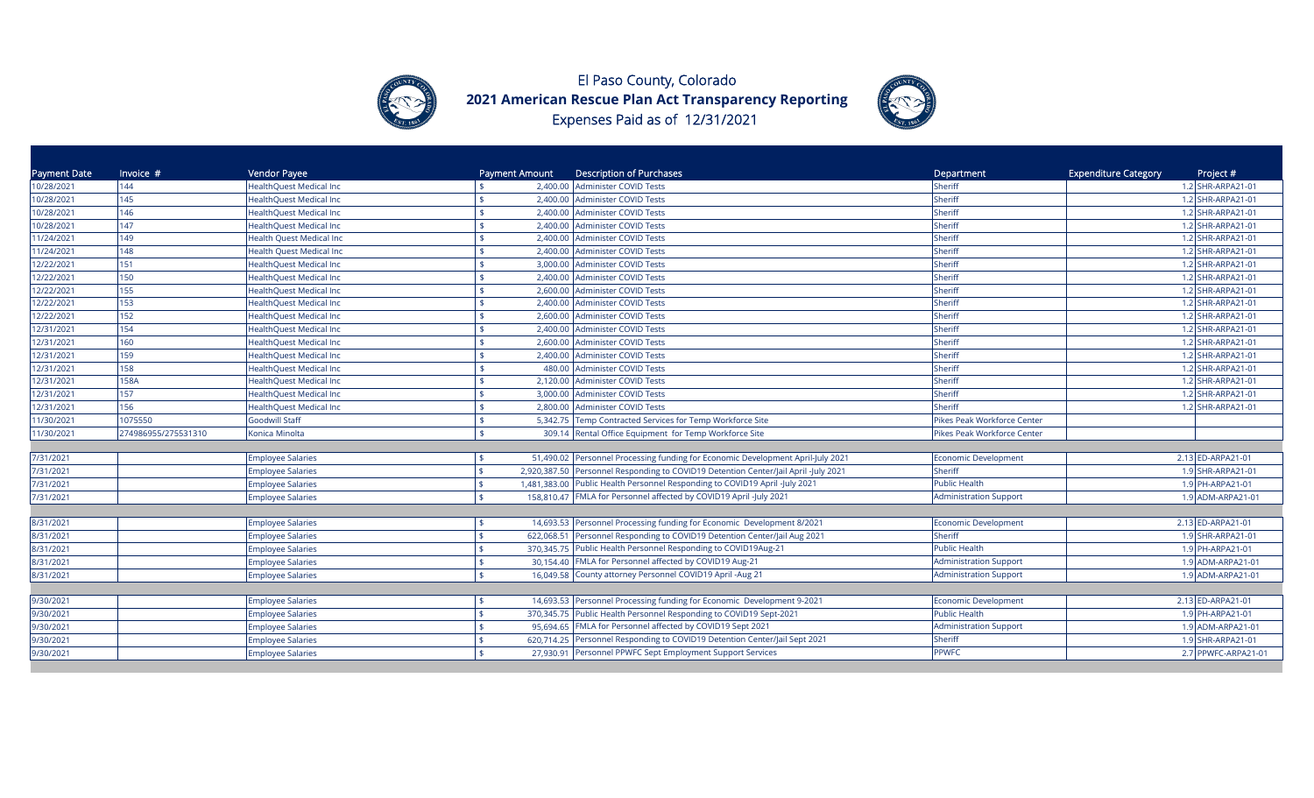



| Payment Date | Invoice $#$         | Vendor Payee                    | <b>Payment Amount</b> | <b>Description of Purchases</b>                                                     | Department                    | <b>Expenditure Category</b><br>Project # |
|--------------|---------------------|---------------------------------|-----------------------|-------------------------------------------------------------------------------------|-------------------------------|------------------------------------------|
| 10/28/2021   | 144                 | <b>HealthQuest Medical Inc</b>  |                       | 2,400.00 Administer COVID Tests                                                     | Sheriff                       | 1.2 SHR-ARPA21-01                        |
| 10/28/2021   | 145                 | HealthQuest Medical Inc         |                       | 2,400.00 Administer COVID Tests                                                     | Sheriff                       | 1.2 SHR-ARPA21-01                        |
| 10/28/2021   | 146                 | HealthQuest Medical Inc         |                       | 2,400.00 Administer COVID Tests                                                     | Sheriff                       | 1.2 SHR-ARPA21-01                        |
| 10/28/2021   | 147                 | <b>HealthQuest Medical Inc</b>  |                       | 2,400.00 Administer COVID Tests                                                     | Sheriff                       | 1.2 SHR-ARPA21-01                        |
| 11/24/2021   | 149                 | Health Quest Medical Inc        |                       | 2,400.00 Administer COVID Tests                                                     | Sheriff                       | 1.2 SHR-ARPA21-01                        |
| 11/24/2021   | 148                 | <b>Health Quest Medical Inc</b> |                       | 2,400.00 Administer COVID Tests                                                     | Sheriff                       | 1.2 SHR-ARPA21-01                        |
| 12/22/2021   | 151                 | HealthQuest Medical Inc         |                       | 3,000.00 Administer COVID Tests                                                     | Sheriff                       | 1.2 SHR-ARPA21-01                        |
| 12/22/2021   | 150                 | <b>HealthQuest Medical Inc</b>  |                       | 2,400.00 Administer COVID Tests                                                     | Sheriff                       | 1.2 SHR-ARPA21-01                        |
| 12/22/2021   | 155                 | <b>HealthQuest Medical Inc</b>  |                       | 2,600.00 Administer COVID Tests                                                     | Sheriff                       | 1.2 SHR-ARPA21-01                        |
| 12/22/2021   | 153                 | <b>HealthQuest Medical Inc</b>  |                       | 2,400.00 Administer COVID Tests                                                     | Sheriff                       | 1.2 SHR-ARPA21-01                        |
| 12/22/2021   | 152                 | HealthQuest Medical Inc         |                       | 2,600.00 Administer COVID Tests                                                     | Sheriff                       | 1.2 SHR-ARPA21-01                        |
| 12/31/2021   | 154                 | <b>HealthQuest Medical Inc</b>  |                       | 2,400.00 Administer COVID Tests                                                     | Sheriff                       | 1.2 SHR-ARPA21-01                        |
| 12/31/2021   | 160                 | HealthQuest Medical Inc         |                       | 2,600.00 Administer COVID Tests                                                     | Sheriff                       | 1.2 SHR-ARPA21-01                        |
| 12/31/2021   | 159                 | HealthQuest Medical Inc         |                       | 2,400.00 Administer COVID Tests                                                     | Sheriff                       | 1.2 SHR-ARPA21-01                        |
| 12/31/2021   | 158                 | HealthQuest Medical Inc         |                       | 480.00 Administer COVID Tests                                                       | Sheriff                       | 1.2 SHR-ARPA21-01                        |
| 12/31/2021   | 158A                | HealthQuest Medical Inc         |                       | 2,120.00 Administer COVID Tests                                                     | Sheriff                       | 1.2 SHR-ARPA21-01                        |
| 12/31/2021   | 157                 | HealthQuest Medical Inc         |                       | 3,000.00 Administer COVID Tests                                                     | Sheriff                       | 1.2 SHR-ARPA21-01                        |
| 12/31/2021   | 156                 | HealthQuest Medical Inc         |                       | 2,800.00 Administer COVID Tests                                                     | Sheriff                       | 1.2 SHR-ARPA21-01                        |
| 11/30/2021   | 1075550             | <b>Goodwill Staff</b>           | \$                    | 5,342.75 Temp Contracted Services for Temp Workforce Site                           | Pikes Peak Workforce Center   |                                          |
| 11/30/2021   | 274986955/275531310 | Konica Minolta                  | $\mathbf{s}$          | 309.14 Rental Office Equipment for Temp Workforce Site                              | Pikes Peak Workforce Center   |                                          |
|              |                     |                                 |                       |                                                                                     |                               |                                          |
| 7/31/2021    |                     | <b>Employee Salaries</b>        | 51,490.02             | Personnel Processing funding for Economic Development April-July 2021               | Economic Development          | 2.13 ED-ARPA21-01                        |
| 7/31/2021    |                     | <b>Employee Salaries</b>        |                       | 2,920,387.50 Personnel Responding to COVID19 Detention Center/Jail April -July 2021 | Sheriff                       | 1.9 SHR-ARPA21-01                        |
| 7/31/2021    |                     | <b>Employee Salaries</b>        |                       | 1,481,383.00 Public Health Personnel Responding to COVID19 April -July 2021         | <b>Public Health</b>          | 1.9 PH-ARPA21-01                         |
| 7/31/2021    |                     | <b>Employee Salaries</b>        |                       | 158,810.47 FMLA for Personnel affected by COVID19 April -July 2021                  | <b>Administration Support</b> | 1.9 ADM-ARPA21-01                        |
|              |                     |                                 |                       |                                                                                     |                               |                                          |
| 8/31/2021    |                     | <b>Employee Salaries</b>        |                       | 14,693.53 Personnel Processing funding for Economic Development 8/2021              | Economic Development          | 2.13 ED-ARPA21-01                        |
| 8/31/2021    |                     | <b>Employee Salaries</b>        |                       | 622,068.51 Personnel Responding to COVID19 Detention Center/Jail Aug 2021           | Sheriff                       | 1.9 SHR-ARPA21-01                        |
| 8/31/2021    |                     | <b>Employee Salaries</b>        |                       | 370,345.75 Public Health Personnel Responding to COVID19Aug-21                      | <b>Public Health</b>          | 1.9 PH-ARPA21-01                         |
| 8/31/2021    |                     | <b>Employee Salaries</b>        |                       | 30,154.40 FMLA for Personnel affected by COVID19 Aug-21                             | Administration Support        | 1.9 ADM-ARPA21-01                        |
| 8/31/2021    |                     | <b>Employee Salaries</b>        |                       | 16,049.58 County attorney Personnel COVID19 April -Aug 21                           | <b>Administration Support</b> | 1.9 ADM-ARPA21-01                        |
|              |                     |                                 |                       |                                                                                     |                               |                                          |
| 9/30/2021    |                     | <b>Employee Salaries</b>        |                       | 14,693.53 Personnel Processing funding for Economic Development 9-2021              | <b>Economic Development</b>   | 2.13 ED-ARPA21-01                        |
| 9/30/2021    |                     | <b>Employee Salaries</b>        |                       | 370,345.75 Public Health Personnel Responding to COVID19 Sept-2021                  | <b>Public Health</b>          | 1.9 PH-ARPA21-01                         |
| 9/30/2021    |                     | <b>Employee Salaries</b>        |                       | 95,694.65 FMLA for Personnel affected by COVID19 Sept 2021                          | <b>Administration Support</b> | 1.9 ADM-ARPA21-01                        |
| 9/30/2021    |                     | <b>Employee Salaries</b>        |                       | 620,714.25 Personnel Responding to COVID19 Detention Center/Jail Sept 2021          | Sheriff                       | 1.9 SHR-ARPA21-01                        |
| 9/30/2021    |                     | <b>Employee Salaries</b>        |                       | 27,930.91 Personnel PPWFC Sept Employment Support Services                          | <b>PPWFC</b>                  | 2.7 PPWFC-ARPA21-01                      |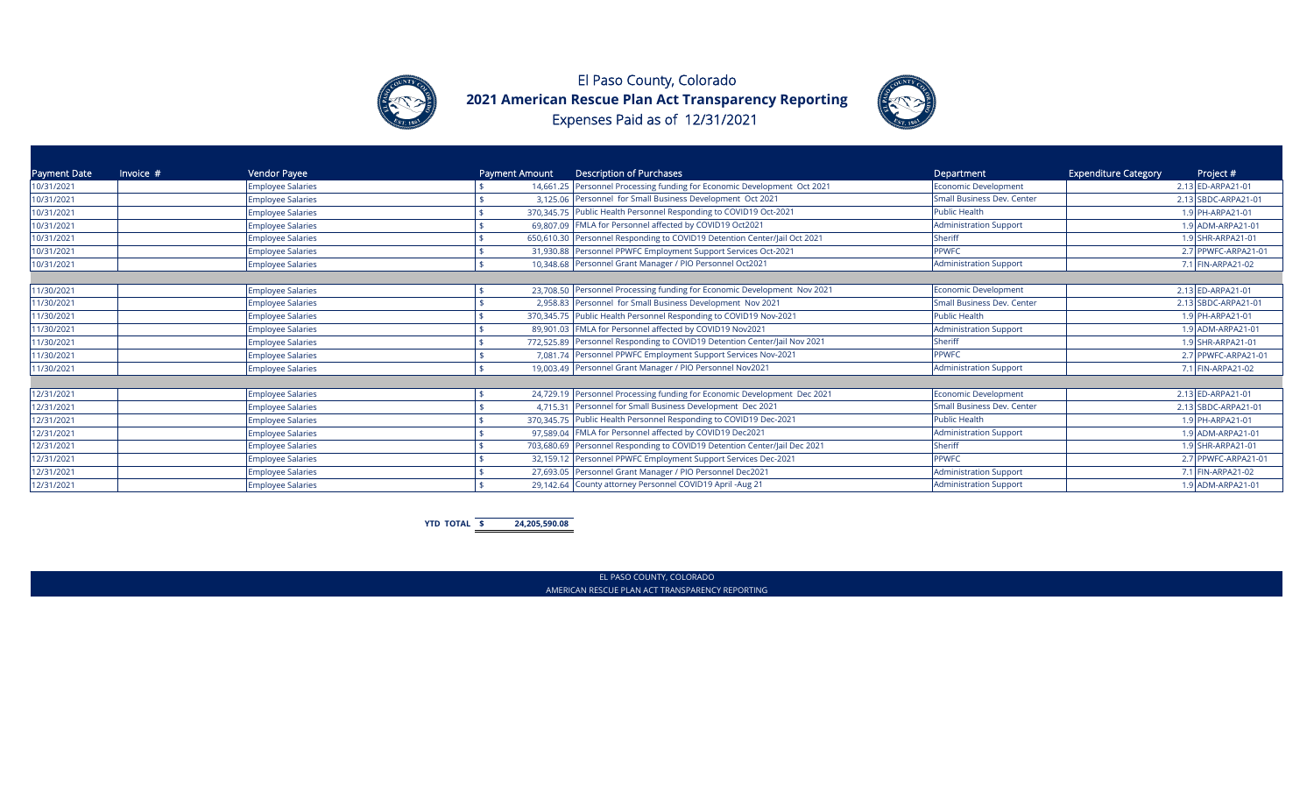



| Payment Date | Invoice $#$ | Vendor Payee             | Description of Purchases<br>Payment Amount                                | Department                        | <b>Expenditure Category</b><br>Project # |
|--------------|-------------|--------------------------|---------------------------------------------------------------------------|-----------------------------------|------------------------------------------|
| 10/31/2021   |             | <b>Employee Salaries</b> | 14,661.25 Personnel Processing funding for Economic Development Oct 2021  | <b>Economic Development</b>       | 2.13 ED-ARPA21-01                        |
| 10/31/2021   |             | <b>Employee Salaries</b> | 3,125.06 Personnel for Small Business Development Oct 2021                | Small Business Dev. Center        | 2.13 SBDC-ARPA21-01                      |
| 10/31/2021   |             | <b>Employee Salaries</b> | 370,345.75 Public Health Personnel Responding to COVID19 Oct-2021         | <b>Public Health</b>              | 1.9 PH-ARPA21-01                         |
| 10/31/2021   |             | <b>Employee Salaries</b> | 69,807.09 FMLA for Personnel affected by COVID19 Oct2021                  | <b>Administration Support</b>     | 1.9 ADM-ARPA21-01                        |
| 10/31/2021   |             | <b>Employee Salaries</b> | 650,610.30 Personnel Responding to COVID19 Detention Center/Jail Oct 2021 | <b>Sheriff</b>                    | 1.9 SHR-ARPA21-01                        |
| 10/31/2021   |             | <b>Employee Salaries</b> | 31,930.88 Personnel PPWFC Employment Support Services Oct-2021            | <b>PPWFC</b>                      | 2.7 PPWFC-ARPA21-01                      |
| 10/31/2021   |             | <b>Employee Salaries</b> | 10,348.68 Personnel Grant Manager / PIO Personnel Oct2021                 | <b>Administration Support</b>     | 7.1 FIN-ARPA21-02                        |
|              |             |                          |                                                                           |                                   |                                          |
| 11/30/2021   |             | <b>Employee Salaries</b> | 23,708.50 Personnel Processing funding for Economic Development Nov 2021  | <b>Economic Development</b>       | 2.13 ED-ARPA21-01                        |
| 11/30/2021   |             | <b>Employee Salaries</b> | 2,958.83 Personnel for Small Business Development Nov 2021                | <b>Small Business Dev. Center</b> | 2.13 SBDC-ARPA21-01                      |
| 11/30/2021   |             | <b>Employee Salaries</b> | 370,345.75 Public Health Personnel Responding to COVID19 Nov-2021         | <b>Public Health</b>              | 1.9 PH-ARPA21-01                         |
| 11/30/2021   |             | <b>Employee Salaries</b> | 89,901.03 FMLA for Personnel affected by COVID19 Nov2021                  | <b>Administration Support</b>     | 1.9 ADM-ARPA21-01                        |
| 11/30/2021   |             | <b>Employee Salaries</b> | 772,525.89 Personnel Responding to COVID19 Detention Center/Jail Nov 2021 | Sheriff                           | 1.9 SHR-ARPA21-01                        |
| 11/30/2021   |             | <b>Employee Salaries</b> | 7,081.74 Personnel PPWFC Employment Support Services Nov-2021             | PPWFC                             | 2.7 PPWFC-ARPA21-01                      |
| 11/30/2021   |             | <b>Employee Salaries</b> | 19,003.49 Personnel Grant Manager / PIO Personnel Nov2021                 | <b>Administration Support</b>     | 7.1 FIN-ARPA21-02                        |
|              |             |                          |                                                                           |                                   |                                          |
| 12/31/2021   |             | <b>Employee Salaries</b> | 24,729.19 Personnel Processing funding for Economic Development Dec 2021  | <b>Economic Development</b>       | 2.13 ED-ARPA21-01                        |
| 12/31/2021   |             | <b>Employee Salaries</b> | 4,715.31 Personnel for Small Business Development Dec 2021                | <b>Small Business Dev. Center</b> | 2.13 SBDC-ARPA21-01                      |
| 12/31/2021   |             | <b>Employee Salaries</b> | 370,345.75 Public Health Personnel Responding to COVID19 Dec-2021         | <b>Public Health</b>              | 1.9 PH-ARPA21-01                         |
| 12/31/2021   |             | <b>Employee Salaries</b> | 97,589.04 FMLA for Personnel affected by COVID19 Dec2021                  | <b>Administration Support</b>     | 1.9 ADM-ARPA21-01                        |
| 12/31/2021   |             | <b>Employee Salaries</b> | 703,680.69 Personnel Responding to COVID19 Detention Center/Jail Dec 2021 | Sheriff                           | 1.9 SHR-ARPA21-01                        |
| 12/31/2021   |             | <b>Employee Salaries</b> | 32,159.12 Personnel PPWFC Employment Support Services Dec-2021            | <b>PPWFC</b>                      | 2.7 PPWFC-ARPA21-01                      |
| 12/31/2021   |             | <b>Employee Salaries</b> | 27,693.05 Personnel Grant Manager / PIO Personnel Dec2021                 | <b>Administration Support</b>     | 7.1 FIN-ARPA21-02                        |
| 12/31/2021   |             | <b>Employee Salaries</b> | 29,142.64 County attorney Personnel COVID19 April -Aug 21                 | <b>Administration Support</b>     | 1.9 ADM-ARPA21-01                        |

**YTD TOTAL \$ 24,205,590.08**

EL PASO COUNTY, COLORADO AMERICAN RESCUE PLAN ACT TRANSPARENCY REPORTING